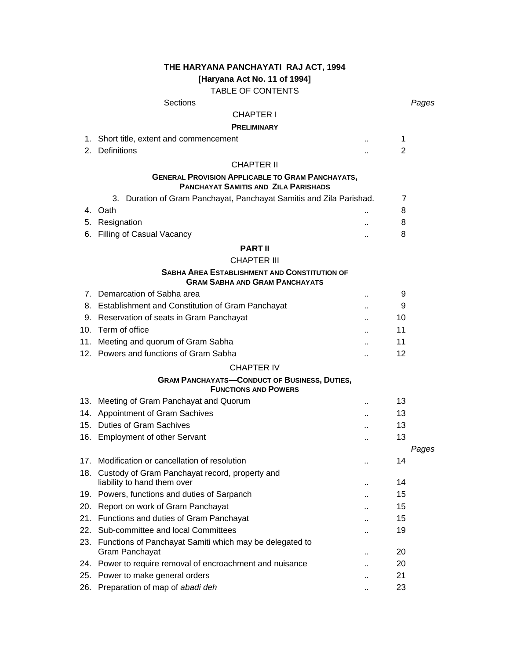## **THE HARYANA PANCHAYATI RAJ ACT, 1994**

**[Haryana Act No. 11 of 1994]** 

TABLE OF CONTENTS

# Sections *Pages*

# CHAPTER I

## **PRELIMINARY**

|     | 1. Short title, extent and commencement                                                      |    | 1              |       |
|-----|----------------------------------------------------------------------------------------------|----|----------------|-------|
| 2.  | <b>Definitions</b>                                                                           |    | $\overline{2}$ |       |
|     | <b>CHAPTER II</b>                                                                            |    |                |       |
|     | <b>GENERAL PROVISION APPLICABLE TO GRAM PANCHAYATS,</b>                                      |    |                |       |
|     | <b>PANCHAYAT SAMITIS AND ZILA PARISHADS</b>                                                  |    |                |       |
|     | 3. Duration of Gram Panchayat, Panchayat Samitis and Zila Parishad.                          |    | $\overline{7}$ |       |
|     | 4. Oath                                                                                      |    | 8              |       |
|     | 5. Resignation                                                                               | Ω. | 8              |       |
| 6.  | Filling of Casual Vacancy                                                                    | и, | 8              |       |
|     | <b>PART II</b>                                                                               |    |                |       |
|     | <b>CHAPTER III</b>                                                                           |    |                |       |
|     | <b>SABHA AREA ESTABLISHMENT AND CONSTITUTION OF</b><br><b>GRAM SABHA AND GRAM PANCHAYATS</b> |    |                |       |
|     | 7. Demarcation of Sabha area                                                                 | Ω. | 9              |       |
|     | 8. Establishment and Constitution of Gram Panchayat                                          |    | 9              |       |
|     | 9. Reservation of seats in Gram Panchayat                                                    |    | 10             |       |
|     | 10. Term of office                                                                           |    | 11             |       |
|     | 11. Meeting and quorum of Gram Sabha                                                         |    | 11             |       |
|     | 12. Powers and functions of Gram Sabha                                                       |    | 12             |       |
|     | <b>CHAPTER IV</b>                                                                            |    |                |       |
|     | <b>GRAM PANCHAYATS-CONDUCT OF BUSINESS, DUTIES,</b>                                          |    |                |       |
|     | <b>FUNCTIONS AND POWERS</b>                                                                  |    |                |       |
|     | 13. Meeting of Gram Panchayat and Quorum                                                     | Ω, | 13             |       |
|     | 14. Appointment of Gram Sachives                                                             | Ω. | 13             |       |
|     | 15. Duties of Gram Sachives                                                                  |    | 13             |       |
|     | 16. Employment of other Servant                                                              | Ω. | 13             |       |
|     | 17. Modification or cancellation of resolution                                               |    | 14             | Pages |
|     | 18. Custody of Gram Panchayat record, property and                                           |    |                |       |
|     | liability to hand them over                                                                  | и, | 14             |       |
|     | 19. Powers, functions and duties of Sarpanch                                                 | ٠. | 15             |       |
|     | 20. Report on work of Gram Panchayat                                                         |    | 15             |       |
|     | 21. Functions and duties of Gram Panchayat                                                   |    | 15             |       |
| 22. | Sub-committee and local Committees                                                           |    | 19             |       |
|     | 23. Functions of Panchayat Samiti which may be delegated to                                  |    |                |       |
|     | Gram Panchayat                                                                               |    | 20             |       |
|     | 24. Power to require removal of encroachment and nuisance                                    |    | 20             |       |
|     | 25. Power to make general orders                                                             |    | 21             |       |

26. Preparation of map of *abadi deh* .. 23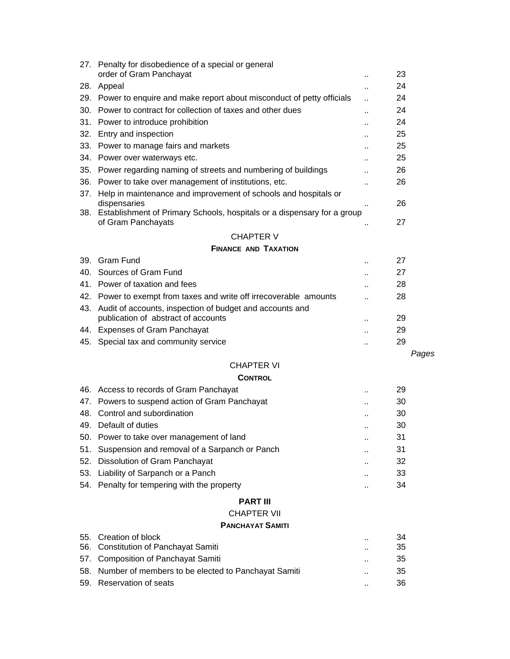|                   | 27. Penalty for disobedience of a special or general                                                                                 |                      |          |  |  |  |
|-------------------|--------------------------------------------------------------------------------------------------------------------------------------|----------------------|----------|--|--|--|
|                   | order of Gram Panchayat                                                                                                              |                      | 23       |  |  |  |
| 28.               | Appeal                                                                                                                               |                      | 24       |  |  |  |
|                   | 29. Power to enquire and make report about misconduct of petty officials<br>Power to contract for collection of taxes and other dues | ä.                   | 24<br>24 |  |  |  |
| 30.               |                                                                                                                                      |                      | 24       |  |  |  |
| 31.               | Power to introduce prohibition                                                                                                       |                      |          |  |  |  |
|                   | 32. Entry and inspection                                                                                                             |                      | 25       |  |  |  |
| 33.               | Power to manage fairs and markets                                                                                                    |                      | 25       |  |  |  |
|                   | 34. Power over waterways etc.                                                                                                        |                      | 25       |  |  |  |
|                   | 35. Power regarding naming of streets and numbering of buildings                                                                     | ٠.                   | 26       |  |  |  |
| 36.               | Power to take over management of institutions, etc.                                                                                  |                      | 26       |  |  |  |
|                   | 37. Help in maintenance and improvement of schools and hospitals or<br>dispensaries                                                  |                      | 26       |  |  |  |
|                   | 38. Establishment of Primary Schools, hospitals or a dispensary for a group                                                          |                      |          |  |  |  |
|                   | of Gram Panchayats                                                                                                                   |                      | 27       |  |  |  |
|                   | <b>CHAPTER V</b>                                                                                                                     |                      |          |  |  |  |
|                   | <b>FINANCE AND TAXATION</b>                                                                                                          |                      |          |  |  |  |
| 39.               | <b>Gram Fund</b>                                                                                                                     |                      | 27       |  |  |  |
|                   | 40. Sources of Gram Fund                                                                                                             |                      | 27       |  |  |  |
|                   | 41. Power of taxation and fees                                                                                                       | $\ddot{\phantom{a}}$ | 28       |  |  |  |
|                   | 42. Power to exempt from taxes and write off irrecoverable amounts                                                                   | $\ddot{\phantom{a}}$ | 28       |  |  |  |
|                   | 43. Audit of accounts, inspection of budget and accounts and                                                                         |                      |          |  |  |  |
|                   | publication of abstract of accounts                                                                                                  | ٠.                   | 29       |  |  |  |
|                   | 44. Expenses of Gram Panchayat                                                                                                       | $\ddot{\phantom{a}}$ | 29       |  |  |  |
| 45.               | Special tax and community service                                                                                                    |                      | 29       |  |  |  |
|                   |                                                                                                                                      |                      | Pages    |  |  |  |
| <b>CHAPTER VI</b> |                                                                                                                                      |                      |          |  |  |  |
|                   |                                                                                                                                      |                      |          |  |  |  |
|                   | <b>CONTROL</b>                                                                                                                       |                      |          |  |  |  |
|                   | 46. Access to records of Gram Panchayat                                                                                              |                      | 29       |  |  |  |
| 47.               | Powers to suspend action of Gram Panchayat                                                                                           |                      | 30       |  |  |  |
|                   | 48. Control and subordination                                                                                                        |                      | 30       |  |  |  |
|                   | 49. Default of duties                                                                                                                |                      | 30       |  |  |  |
| 50.               | Power to take over management of land                                                                                                |                      | 31       |  |  |  |
| 51.               | Suspension and removal of a Sarpanch or Panch                                                                                        |                      | 31       |  |  |  |
| 52.               | Dissolution of Gram Panchayat                                                                                                        |                      | 32       |  |  |  |
| 53.               | Liability of Sarpanch or a Panch                                                                                                     |                      | 33       |  |  |  |
| 54.               | Penalty for tempering with the property                                                                                              |                      | 34       |  |  |  |
|                   | <b>PART III</b>                                                                                                                      |                      |          |  |  |  |
|                   | <b>CHAPTER VII</b>                                                                                                                   |                      |          |  |  |  |
|                   | <b>PANCHAYAT SAMITI</b>                                                                                                              |                      |          |  |  |  |
|                   | 55. Creation of block                                                                                                                |                      | 34       |  |  |  |
| 56.               | Constitution of Panchayat Samiti                                                                                                     |                      | 35       |  |  |  |
| 57.               | <b>Composition of Panchayat Samiti</b>                                                                                               |                      | 35       |  |  |  |
| 58.<br>59.        | Number of members to be elected to Panchayat Samiti<br>Reservation of seats                                                          |                      | 35<br>36 |  |  |  |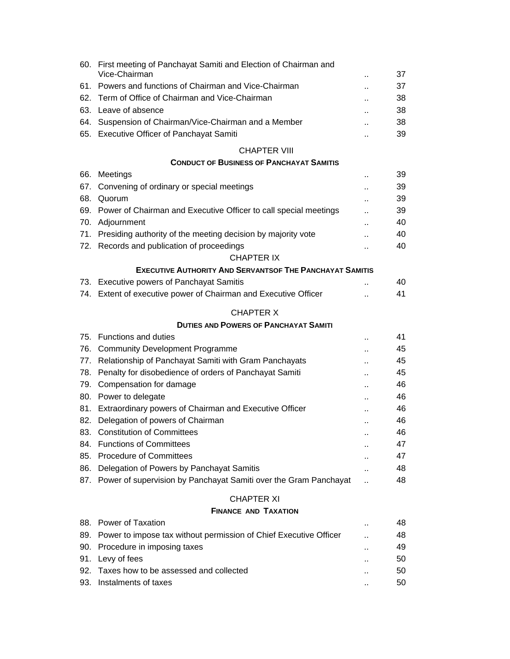|     | 60. First meeting of Panchayat Samiti and Election of Chairman and<br>Vice-Chairman |                      | 37 |
|-----|-------------------------------------------------------------------------------------|----------------------|----|
|     | 61. Powers and functions of Chairman and Vice-Chairman                              |                      | 37 |
| 62. | Term of Office of Chairman and Vice-Chairman                                        | $\ddot{\phantom{a}}$ | 38 |
| 63. | Leave of absence                                                                    | $\ddot{\phantom{a}}$ | 38 |
|     | 64. Suspension of Chairman/Vice-Chairman and a Member                               |                      | 38 |
|     | 65. Executive Officer of Panchayat Samiti                                           |                      | 39 |
|     |                                                                                     |                      |    |
|     | <b>CHAPTER VIII</b>                                                                 |                      |    |
|     | <b>CONDUCT OF BUSINESS OF PANCHAYAT SAMITIS</b>                                     |                      |    |
| 66. | Meetings                                                                            | $\ddot{\phantom{a}}$ | 39 |
| 67. | Convening of ordinary or special meetings                                           |                      | 39 |
| 68. | Quorum                                                                              | $\ddot{\phantom{0}}$ | 39 |
|     | 69. Power of Chairman and Executive Officer to call special meetings                |                      | 39 |
|     | 70. Adjournment                                                                     | $\ddot{\phantom{a}}$ | 40 |
|     | 71. Presiding authority of the meeting decision by majority vote                    |                      | 40 |
|     | 72. Records and publication of proceedings<br><b>CHAPTER IX</b>                     | $\ddot{\phantom{a}}$ | 40 |
|     | <b>EXECUTIVE AUTHORITY AND SERVANTSOF THE PANCHAYAT SAMITIS</b>                     |                      |    |
|     | 73. Executive powers of Panchayat Samitis                                           |                      | 40 |
|     | 74. Extent of executive power of Chairman and Executive Officer                     |                      | 41 |
|     |                                                                                     |                      |    |
|     | <b>CHAPTER X</b>                                                                    |                      |    |
|     | <b>DUTIES AND POWERS OF PANCHAYAT SAMITI</b>                                        |                      |    |
|     | 75. Functions and duties                                                            | $\ddot{\phantom{a}}$ | 41 |
| 76. | <b>Community Development Programme</b>                                              |                      | 45 |
|     | 77. Relationship of Panchayat Samiti with Gram Panchayats                           | $\ddot{\phantom{a}}$ | 45 |
|     | 78. Penalty for disobedience of orders of Panchayat Samiti                          | $\ddot{\phantom{a}}$ | 45 |
|     | 79. Compensation for damage                                                         |                      | 46 |
|     | 80. Power to delegate                                                               | $\ddot{\phantom{a}}$ | 46 |
|     | 81. Extraordinary powers of Chairman and Executive Officer                          |                      | 46 |
|     | 82. Delegation of powers of Chairman                                                | $\ddot{\phantom{a}}$ | 46 |
| 83. | <b>Constitution of Committees</b>                                                   | $\ddot{\phantom{1}}$ | 46 |
|     | 84. Functions of Committees                                                         |                      | 47 |
|     | 85. Procedure of Committees                                                         |                      | 47 |
|     | 86. Delegation of Powers by Panchayat Samitis                                       |                      | 48 |
|     | 87. Power of supervision by Panchayat Samiti over the Gram Panchayat                |                      | 48 |
|     | <b>CHAPTER XI</b>                                                                   |                      |    |
|     | <b>FINANCE AND TAXATION</b>                                                         |                      |    |
|     | 88. Power of Taxation                                                               |                      | 48 |
|     | 89. Power to impose tax without permission of Chief Executive Officer               |                      | 48 |
|     | 90. Procedure in imposing taxes                                                     |                      | 49 |
|     | 91. Levy of fees                                                                    |                      | 50 |
| 92. | Taxes how to be assessed and collected                                              |                      | 50 |
| 93. | Instalments of taxes                                                                |                      | 50 |
|     |                                                                                     |                      |    |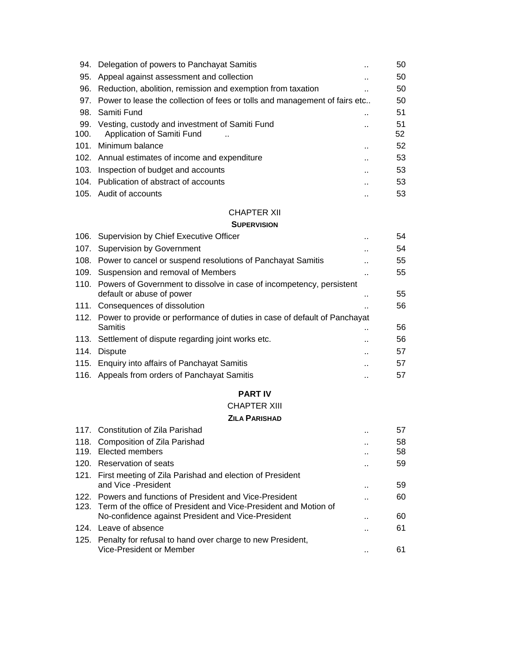|      | 94. Delegation of powers to Panchayat Samitis                                  |     | 50 |
|------|--------------------------------------------------------------------------------|-----|----|
| 95.  | Appeal against assessment and collection                                       |     | 50 |
|      | 96. Reduction, abolition, remission and exemption from taxation                |     | 50 |
|      | 97. Power to lease the collection of fees or tolls and management of fairs etc |     | 50 |
|      | 98. Samiti Fund                                                                | . . | 51 |
|      | 99. Vesting, custody and investment of Samiti Fund                             | . . | 51 |
| 100. | Application of Samiti Fund                                                     |     | 52 |
|      | 101. Minimum balance                                                           | . . | 52 |
|      | 102. Annual estimates of income and expenditure                                |     | 53 |
|      | 103. Inspection of budget and accounts                                         |     | 53 |
|      | 104. Publication of abstract of accounts                                       |     | 53 |
|      | 105. Audit of accounts                                                         |     | 53 |

## CHAPTER XII

#### **SUPERVISION**

|      | 106. Supervision by Chief Executive Officer                                    |     | 54 |
|------|--------------------------------------------------------------------------------|-----|----|
|      | 107. Supervision by Government                                                 |     | 54 |
|      | 108. Power to cancel or suspend resolutions of Panchayat Samitis               |     | 55 |
|      | 109. Suspension and removal of Members                                         |     | 55 |
|      | 110. Powers of Government to dissolve in case of incompetency, persistent      |     |    |
|      | default or abuse of power                                                      |     | 55 |
|      | 111. Consequences of dissolution                                               |     | 56 |
|      | 112. Power to provide or performance of duties in case of default of Panchayat |     |    |
|      | Samitis                                                                        | . . | 56 |
|      | 113. Settlement of dispute regarding joint works etc.                          |     | 56 |
| 114. | Dispute                                                                        | . . | 57 |
|      | 115. Enquiry into affairs of Panchayat Samitis                                 |     | 57 |
|      | 116. Appeals from orders of Panchayat Samitis                                  |     | 57 |

## **PART IV**

#### CHAPTER XIII

### **ZILA PARISHAD**

| 117. Constitution of Zila Parishad                                    |           | 57 |
|-----------------------------------------------------------------------|-----------|----|
| 118. Composition of Zila Parishad                                     |           | 58 |
| 119. Elected members                                                  | $\cdot$ . | 58 |
| 120. Reservation of seats                                             |           | 59 |
| 121. First meeting of Zila Parishad and election of President         |           |    |
| and Vice - President                                                  | . .       | 59 |
| 122. Powers and functions of President and Vice-President             |           | 60 |
| 123. Term of the office of President and Vice-President and Motion of |           |    |
| No-confidence against President and Vice-President                    |           | 60 |
| 124. Leave of absence                                                 | . .       | 61 |
| 125. Penalty for refusal to hand over charge to new President,        |           |    |
| Vice-President or Member                                              |           | 61 |
|                                                                       |           |    |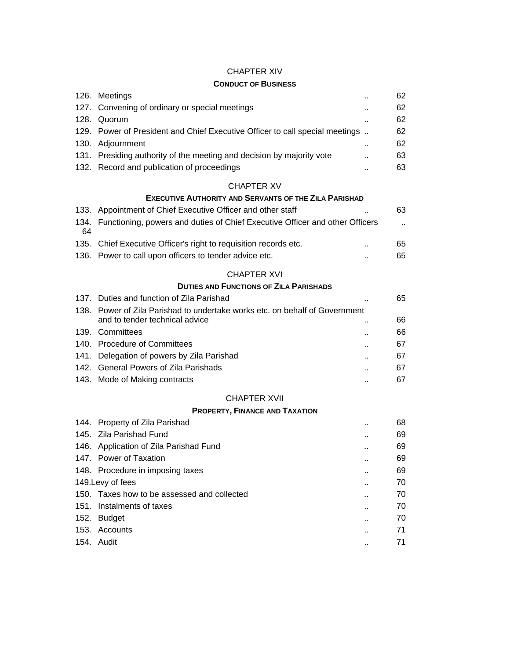# CHAPTER XIV

## **CONDUCT OF BUSINESS**

|    | 126. Meetings                                                                     | Ω,                   | 62                   |
|----|-----------------------------------------------------------------------------------|----------------------|----------------------|
|    | 127. Convening of ordinary or special meetings                                    |                      | 62                   |
|    | 128. Quorum                                                                       | $\ddot{\phantom{a}}$ | 62                   |
|    | 129. Power of President and Chief Executive Officer to call special meetings      |                      | 62                   |
|    | 130. Adjournment                                                                  | ٠.                   | 62                   |
|    | 131. Presiding authority of the meeting and decision by majority vote             | н,                   | 63                   |
|    | 132. Record and publication of proceedings                                        |                      | 63                   |
|    | <b>CHAPTER XV</b>                                                                 |                      |                      |
|    | <b>EXECUTIVE AUTHORITY AND SERVANTS OF THE ZILA PARISHAD</b>                      |                      |                      |
|    | 133. Appointment of Chief Executive Officer and other staff                       |                      | 63                   |
| 64 | 134. Functioning, powers and duties of Chief Executive Officer and other Officers |                      | $\ddot{\phantom{1}}$ |
|    | 135. Chief Executive Officer's right to requisition records etc.                  | ٠.                   | 65                   |
|    | 136. Power to call upon officers to tender advice etc.                            | ٠.                   | 65                   |
|    | <b>CHAPTER XVI</b>                                                                |                      |                      |
|    | <b>DUTIES AND FUNCTIONS OF ZILA PARISHADS</b>                                     |                      |                      |
|    | 137. Duties and function of Zila Parishad                                         |                      | 65                   |
|    | 138. Power of Zila Parishad to undertake works etc. on behalf of Government       |                      |                      |
|    | and to tender technical advice                                                    |                      | 66                   |
|    | 139. Committees                                                                   |                      | 66                   |
|    | 140. Procedure of Committees                                                      |                      | 67                   |
|    | 141. Delegation of powers by Zila Parishad                                        |                      | 67                   |
|    | 142. General Powers of Zila Parishads                                             |                      | 67                   |
|    | 143. Mode of Making contracts                                                     |                      | 67                   |
|    | <b>CHAPTER XVII</b>                                                               |                      |                      |
|    | <b>PROPERTY, FINANCE AND TAXATION</b>                                             |                      |                      |
|    | 144. Property of Zila Parishad                                                    |                      | 68                   |
|    | 145. Zila Parishad Fund                                                           |                      | 69                   |
|    | 146. Application of Zila Parishad Fund                                            |                      | 69                   |
|    | 147. Power of Taxation                                                            |                      | 69                   |
|    | 148. Procedure in imposing taxes                                                  |                      | 69                   |
|    | 149. Levy of fees                                                                 |                      | 70                   |
|    | 150. Taxes how to be assessed and collected                                       |                      | 70                   |
|    | 151. Instalments of taxes                                                         |                      | 70                   |
|    | 152. Budget                                                                       |                      | 70                   |
|    | 153. Accounts                                                                     |                      | 71                   |
|    | 154. Audit                                                                        |                      | 71                   |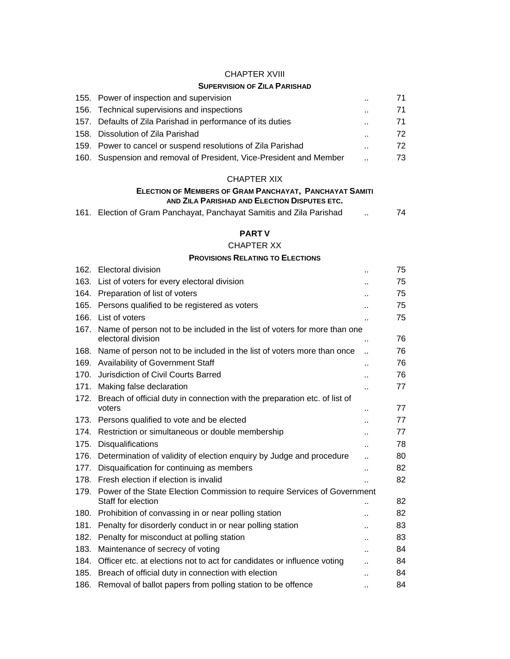### CHAPTER XVIII

## **SUPERVISION OF ZILA PARISHAD**

| 155. Power of inspection and supervision                            |                      | 71. |
|---------------------------------------------------------------------|----------------------|-----|
| 156. Technical supervisions and inspections                         | $\ddot{\phantom{a}}$ | 71  |
| 157. Defaults of Zila Parishad in performance of its duties         | $\ddot{\phantom{a}}$ | 71  |
| 158. Dissolution of Zila Parishad                                   |                      | 72  |
| 159. Power to cancel or suspend resolutions of Zila Parishad        |                      | 72  |
| 160. Suspension and removal of President, Vice-President and Member |                      | 73. |

## CHAPTER XIX

## **ELECTION OF MEMBERS OF GRAM PANCHAYAT, PANCHAYAT SAMITI AND ZILA PARISHAD AND ELECTION DISPUTES ETC.**

|  |  |  |  |  |  | 161. Election of Gram Panchayat, Panchayat Samitis and Zila Parishad |  | 74 |
|--|--|--|--|--|--|----------------------------------------------------------------------|--|----|
|--|--|--|--|--|--|----------------------------------------------------------------------|--|----|

# **PART V**

## CHAPTER XX

#### **PROVISIONS RELATING TO ELECTIONS**

| 162. | Electoral division                                                              | $\ddot{\phantom{1}}$ | 75 |
|------|---------------------------------------------------------------------------------|----------------------|----|
| 163. | List of voters for every electoral division                                     | Ω,                   | 75 |
| 164. | Preparation of list of voters                                                   | Ω,                   | 75 |
|      | 165. Persons qualified to be registered as voters                               | Ω.                   | 75 |
|      | 166. List of voters                                                             | Ω,                   | 75 |
|      | 167. Name of person not to be included in the list of voters for more than one  |                      |    |
|      | electoral division                                                              | Ω.                   | 76 |
|      | 168. Name of person not to be included in the list of voters more than once     | $\ddot{\phantom{a}}$ | 76 |
|      | 169. Availability of Government Staff                                           | $\ddot{\phantom{a}}$ | 76 |
|      | 170. Jurisdiction of Civil Courts Barred                                        | ٠.                   | 76 |
|      | 171. Making false declaration                                                   | $\ddot{\phantom{a}}$ | 77 |
|      | 172. Breach of official duty in connection with the preparation etc. of list of |                      |    |
|      | voters                                                                          | $\ddot{\phantom{1}}$ | 77 |
|      | 173. Persons qualified to vote and be elected                                   | ٠.                   | 77 |
| 174. | Restriction or simultaneous or double membership                                | $\ddot{\phantom{a}}$ | 77 |
|      | 175. Disqualifications                                                          | $\ddot{\phantom{1}}$ | 78 |
|      | 176. Determination of validity of election enquiry by Judge and procedure       | Ω.                   | 80 |
| 177. | Disquaification for continuing as members                                       | Ω,                   | 82 |
|      | 178. Fresh election if election is invalid                                      |                      | 82 |
|      | 179. Power of the State Election Commission to require Services of Government   |                      |    |
|      | Staff for election                                                              |                      | 82 |
|      | 180. Prohibition of convassing in or near polling station                       | $\ddot{\phantom{a}}$ | 82 |
| 181. | Penalty for disorderly conduct in or near polling station                       |                      | 83 |
| 182. | Penalty for misconduct at polling station                                       | $\ddot{\phantom{a}}$ | 83 |
| 183. | Maintenance of secrecy of voting                                                | ä.                   | 84 |
| 184. | Officer etc. at elections not to act for candidates or influence voting         |                      | 84 |
| 185. | Breach of official duty in connection with election                             | ò.                   | 84 |
| 186. | Removal of ballot papers from polling station to be offence                     | $\cdot$ .            | 84 |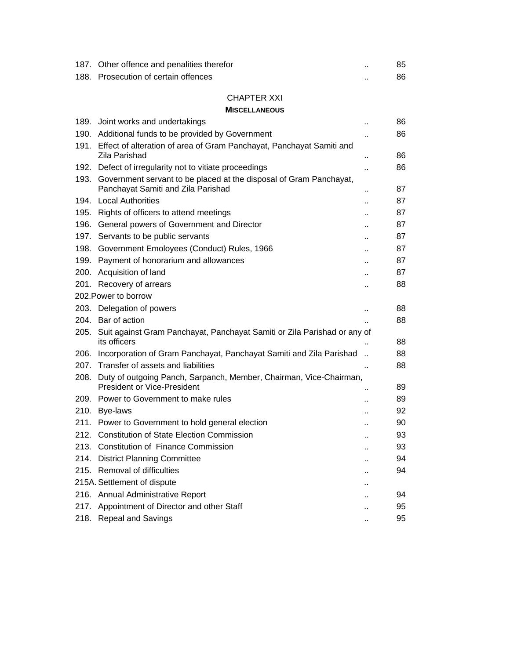| 187. Other offence and penalities therefor | 85 |
|--------------------------------------------|----|
| 188. Prosecution of certain offences       | 86 |

## CHAPTER XXI

#### **MISCELLANEOUS**

| 189. | Joint works and undertakings                                                                                  | Ω.                   | 86 |
|------|---------------------------------------------------------------------------------------------------------------|----------------------|----|
|      | 190. Additional funds to be provided by Government                                                            | Ω.                   | 86 |
|      | 191. Effect of alteration of area of Gram Panchayat, Panchayat Samiti and<br>Zila Parishad                    | ä.                   | 86 |
| 192. | Defect of irregularity not to vitiate proceedings                                                             |                      | 86 |
| 193. | Government servant to be placed at the disposal of Gram Panchayat,<br>Panchayat Samiti and Zila Parishad      |                      | 87 |
| 194. | <b>Local Authorities</b>                                                                                      | ٠.                   | 87 |
|      |                                                                                                               | $\ddot{\phantom{a}}$ | 87 |
|      | 195. Rights of officers to attend meetings                                                                    |                      | 87 |
|      | 196. General powers of Government and Director                                                                | Ω.                   | 87 |
|      | 197. Servants to be public servants                                                                           |                      |    |
| 198. | Government Emoloyees (Conduct) Rules, 1966                                                                    | ٠.                   | 87 |
|      | 199. Payment of honorarium and allowances                                                                     |                      | 87 |
| 200. | Acquisition of land                                                                                           |                      | 87 |
| 201. | Recovery of arrears                                                                                           | Ω.                   | 88 |
|      | 202. Power to borrow                                                                                          |                      |    |
|      | 203. Delegation of powers                                                                                     | ٠.                   | 88 |
| 204. | Bar of action                                                                                                 |                      | 88 |
| 205. | Suit against Gram Panchayat, Panchayat Samiti or Zila Parishad or any of<br>its officers                      |                      | 88 |
| 206. | Incorporation of Gram Panchayat, Panchayat Samiti and Zila Parishad                                           |                      | 88 |
|      | 207. Transfer of assets and liabilities                                                                       | ä.                   | 88 |
|      | 208. Duty of outgoing Panch, Sarpanch, Member, Chairman, Vice-Chairman,<br><b>President or Vice-President</b> | ٠.                   | 89 |
|      | 209. Power to Government to make rules                                                                        |                      | 89 |
|      | 210. Bye-laws                                                                                                 | ٠.                   | 92 |
|      | 211. Power to Government to hold general election                                                             | <br>                 | 90 |
|      | 212. Constitution of State Election Commission                                                                |                      | 93 |
|      | 213. Constitution of Finance Commission                                                                       |                      | 93 |
| 214. | <b>District Planning Committee</b>                                                                            |                      | 94 |
| 215. | Removal of difficulties                                                                                       |                      | 94 |
|      |                                                                                                               |                      |    |
|      | 215A. Settlement of dispute                                                                                   |                      |    |
|      | 216. Annual Administrative Report                                                                             |                      | 94 |
| 217. | Appointment of Director and other Staff                                                                       | Ω.                   | 95 |
| 218. | Repeal and Savings                                                                                            |                      | 95 |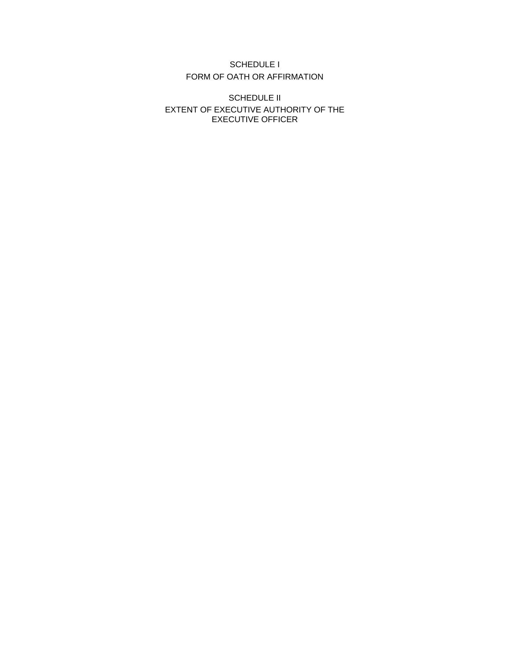## SCHEDULE I FORM OF OATH OR AFFIRMATION

SCHEDULE II EXTENT OF EXECUTIVE AUTHORITY OF THE EXECUTIVE OFFICER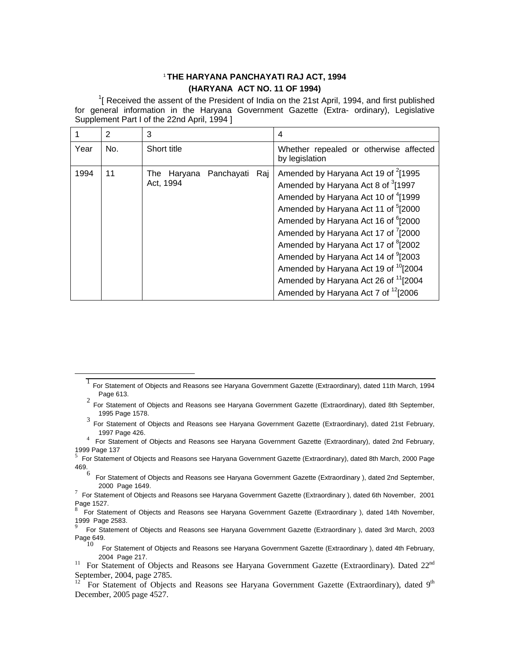## <sup>1</sup>**THE HARYANA PANCHAYATI RAJ ACT, 1994 (HARYANA ACT NO. 11 OF 1994)**

 $1$ [ Received the assent of the President of India on the 21st April, 1994, and first published for general information in the Haryana Government Gazette (Extra- ordinary), Legislative Supplement Part I of the 22nd April, 1994 ]

|      | 2   | 3                                             | 4                                                                                                                                                                                                                                                                                                                                                                                                                                                                                                                                                                                |
|------|-----|-----------------------------------------------|----------------------------------------------------------------------------------------------------------------------------------------------------------------------------------------------------------------------------------------------------------------------------------------------------------------------------------------------------------------------------------------------------------------------------------------------------------------------------------------------------------------------------------------------------------------------------------|
| Year | No. | Short title                                   | Whether repealed or otherwise affected<br>by legislation                                                                                                                                                                                                                                                                                                                                                                                                                                                                                                                         |
| 1994 | 11  | Raj<br>Panchayati<br>The Haryana<br>Act, 1994 | Amended by Haryana Act 19 of <sup>2</sup> [1995<br>Amended by Haryana Act 8 of <sup>3</sup> [1997]<br>Amended by Haryana Act 10 of <sup>4</sup> [1999<br>Amended by Haryana Act 11 of <sup>5</sup> [2000<br>Amended by Haryana Act 16 of <sup>6</sup> [2000]<br>Amended by Haryana Act 17 of <sup>7</sup> [2000<br>Amended by Haryana Act 17 of <sup>8</sup> [2002<br>Amended by Haryana Act 14 of <sup>9</sup> [2003<br>Amended by Haryana Act 19 of <sup>10</sup> [2004<br>Amended by Haryana Act 26 of <sup>11</sup> [2004<br>Amended by Haryana Act 7 of <sup>12</sup> [2006 |

<sup>3</sup> For Statement of Objects and Reasons see Haryana Government Gazette (Extraordinary), dated 21st February,

- 5 For Statement of Objects and Reasons see Haryana Government Gazette (Extraordinary), dated 8th March, 2000 Page 469.
	- 6 For Statement of Objects and Reasons see Haryana Government Gazette (Extraordinary), dated 2nd September, 2000 Page 1649.

 <sup>1</sup> For Statement of Objects and Reasons see Haryana Government Gazette (Extraordinary), dated 11th March, 1994 Page 613.

<sup>2</sup> For Statement of Objects and Reasons see Haryana Government Gazette (Extraordinary), dated 8th September, 1995 Page 1578.

<sup>1997</sup> Page 426. <sup>4</sup> For Statement of Objects and Reasons see Haryana Government Gazette (Extraordinary), dated 2nd February, 1999 Page 137

<sup>2000</sup> Page 1649.<br><sup>7</sup> For Statement of Objects and Reasons see Haryana Government Gazette (Extraordinary ), dated 6th November, 2001 Page 1527.

<sup>8</sup> For Statement of Objects and Reasons see Haryana Government Gazette (Extraordinary ), dated 14th November, 1999 Page 2583.

<sup>9</sup> For Statement of Objects and Reasons see Haryana Government Gazette (Extraordinary ), dated 3rd March, 2003 Page 649.

For Statement of Objects and Reasons see Haryana Government Gazette (Extraordinary ), dated 4th February,

<sup>2004</sup> Page 217.<br><sup>11</sup> For Statement of Objects and Reasons see Haryana Government Gazette (Extraordinary). Dated 22<sup>nd</sup> September, 2004, page 2785.

<sup>&</sup>lt;sup>12</sup> For Statement of Objects and Reasons see Haryana Government Gazette (Extraordinary), dated 9<sup>th</sup> December, 2005 page 4527.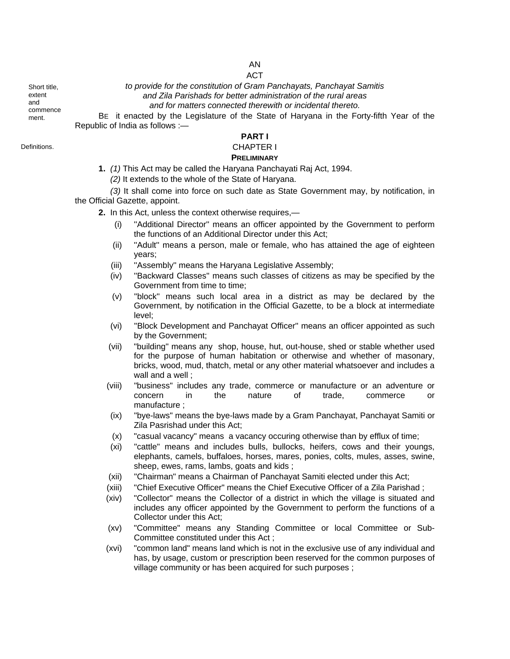# AN

ACT

*to provide for the constitution of Gram Panchayats, Panchayat Samitis and Zila Parishads for better administration of the rural areas and for matters connected therewith or incidental thereto.* 

BE it enacted by the Legislature of the State of Haryana in the Forty-fifth Year of the Republic of India as follows :—

**PART I** 

Definitions. CHAPTER I

# **PRELIMINARY**

- **1.** *(1)* This Act may be called the Haryana Panchayati Raj Act, 1994.
	- *(2)* It extends to the whole of the State of Haryana.

*(3)* It shall come into force on such date as State Government may, by notification, in the Official Gazette, appoint.

- **2.** In this Act, unless the context otherwise requires,—
	- (i) ''Additional Director'' means an officer appointed by the Government to perform the functions of an Additional Director under this Act;
	- (ii) ''Adult'' means a person, male or female, who has attained the age of eighteen years;
	- (iii) ''Assembly'' means the Haryana Legislative Assembly;
	- (iv) ''Backward Classes'' means such classes of citizens as may be specified by the Government from time to time;
	- (v) ''block'' means such local area in a district as may be declared by the Government, by notification in the Official Gazette, to be a block at intermediate level;
	- (vi) ''Block Development and Panchayat Officer'' means an officer appointed as such by the Government;
	- (vii) "building" means any shop, house, hut, out-house, shed or stable whether used for the purpose of human habitation or otherwise and whether of masonary, bricks, wood, mud, thatch, metal or any other material whatsoever and includes a wall and a well ;
	- (viii) "business" includes any trade, commerce or manufacture or an adventure or concern in the nature of trade, commerce or manufacture ;
	- (ix) "bye-laws" means the bye-laws made by a Gram Panchayat, Panchayat Samiti or Zila Pasrishad under this Act;
	- (x) "casual vacancy" means a vacancy occuring otherwise than by efflux of time;
	- (xi) "cattle" means and includes bulls, bullocks, heifers, cows and their youngs, elephants, camels, buffaloes, horses, mares, ponies, colts, mules, asses, swine, sheep, ewes, rams, lambs, goats and kids ;
	- (xii) "Chairman" means a Chairman of Panchayat Samiti elected under this Act;
	- (xiii) "Chief Executive Officer" means the Chief Executive Officer of a Zila Parishad ;
	- (xiv) "Collector" means the Collector of a district in which the village is situated and includes any officer appointed by the Government to perform the functions of a Collector under this Act;
	- (xv) "Committee" means any Standing Committee or local Committee or Sub-Committee constituted under this Act ;
	- (xvi) "common land" means land which is not in the exclusive use of any individual and has, by usage, custom or prescription been reserved for the common purposes of village community or has been acquired for such purposes ;

Short title, extent and commence ment.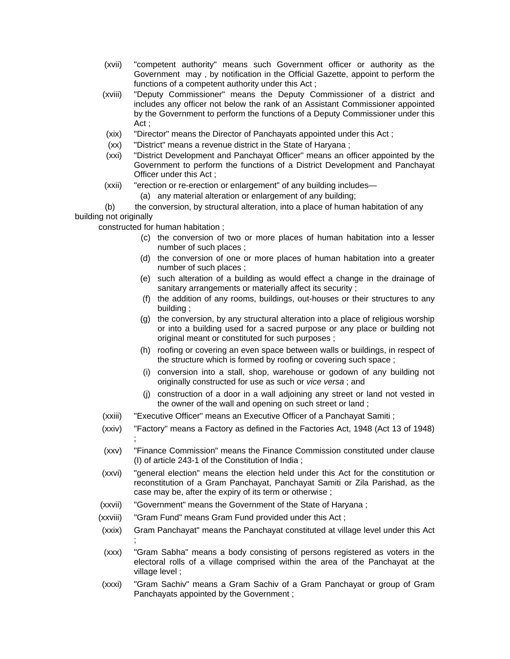- (xvii) "competent authority" means such Government officer or authority as the Government may , by notification in the Official Gazette, appoint to perform the functions of a competent authority under this Act ;
- (xviii) "Deputy Commissioner" means the Deputy Commissioner of a district and includes any officer not below the rank of an Assistant Commissioner appointed by the Government to perform the functions of a Deputy Commissioner under this Act ;
- (xix) "Director" means the Director of Panchayats appointed under this Act ;
- (xx) "District" means a revenue district in the State of Haryana ;
- (xxi) "District Development and Panchayat Officer" means an officer appointed by the Government to perform the functions of a District Development and Panchayat Officer under this Act ;
- (xxii) "erection or re-erection or enlargement" of any building includes—
	- (a) any material alteration or enlargement of any building;

 (b) the conversion, by structural alteration, into a place of human habitation of any building not originally

constructed for human habitation ;

- (c) the conversion of two or more places of human habitation into a lesser number of such places ;
- (d) the conversion of one or more places of human habitation into a greater number of such places ;
- (e) such alteration of a building as would effect a change in the drainage of sanitary arrangements or materially affect its security ;
- (f) the addition of any rooms, buildings, out-houses or their structures to any building ;
- (g) the conversion, by any structural alteration into a place of religious worship or into a building used for a sacred purpose or any place or building not original meant or constituted for such purposes ;
- (h) roofing or covering an even space between walls or buildings, in respect of the structure which is formed by roofing or covering such space ;
- (i) conversion into a stall, shop, warehouse or godown of any building not originally constructed for use as such or *vice versa* ; and
- (j) construction of a door in a wall adjoining any street or land not vested in the owner of the wall and opening on such street or land ;
- (xxiii) "Executive Officer" means an Executive Officer of a Panchayat Samiti ;
- (xxiv) "Factory" means a Factory as defined in the Factories Act, 1948 (Act 13 of 1948) ;
- (xxv) "Finance Commission" means the Finance Commission constituted under clause (I) of article 243-1 of the Constitution of India ;
- (xxvi) "general election" means the election held under this Act for the constitution or reconstitution of a Gram Panchayat, Panchayat Samiti or Zila Parishad, as the case may be, after the expiry of its term or otherwise ;
- (xxvii) "Government" means the Government of the State of Haryana ;
- (xxviii) "Gram Fund" means Gram Fund provided under this Act ;
- (xxix) Gram Panchayat" means the Panchayat constituted at village level under this Act ;
- (xxx) "Gram Sabha" means a body consisting of persons registered as voters in the electoral rolls of a village comprised within the area of the Panchayat at the village level ;
- (xxxi) "Gram Sachiv" means a Gram Sachiv of a Gram Panchayat or group of Gram Panchayats appointed by the Government ;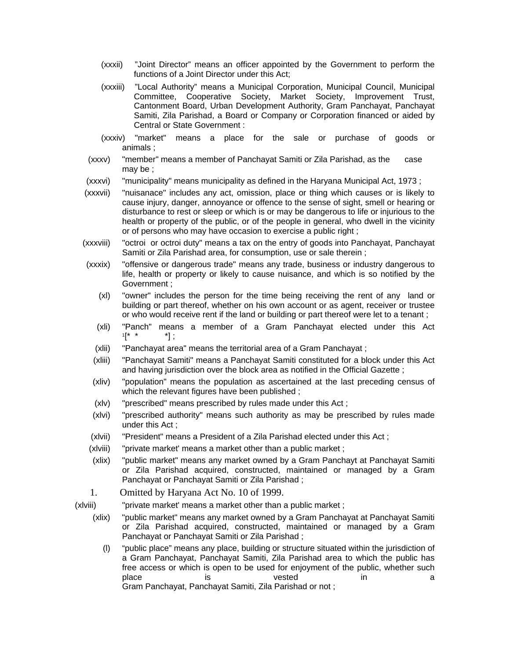- (xxxii) "Joint Director" means an officer appointed by the Government to perform the functions of a Joint Director under this Act;
- (xxxiii) "Local Authority" means a Municipal Corporation, Municipal Council, Municipal Committee, Cooperative Society, Market Society, Improvement Trust, Cantonment Board, Urban Development Authority, Gram Panchayat, Panchayat Samiti, Zila Parishad, a Board or Company or Corporation financed or aided by Central or State Government :
- (xxxiv) "market" means a place for the sale or purchase of goods or animals ;
- (xxxv) "member" means a member of Panchayat Samiti or Zila Parishad, as the case may be ;
- (xxxvi) "municipality" means municipality as defined in the Haryana Municipal Act, 1973 ;
- (xxxvii) "nuisanace" includes any act, omission, place or thing which causes or is likely to cause injury, danger, annoyance or offence to the sense of sight, smell or hearing or disturbance to rest or sleep or which is or may be dangerous to life or injurious to the health or property of the public, or of the people in general, who dwell in the vicinity or of persons who may have occasion to exercise a public right ;
- (xxxviii) "octroi or octroi duty" means a tax on the entry of goods into Panchayat, Panchayat Samiti or Zila Parishad area, for consumption, use or sale therein ;
- (xxxix) "offensive or dangerous trade" means any trade, business or industry dangerous to life, health or property or likely to cause nuisance, and which is so notified by the Government ;
	- (xl) "owner" includes the person for the time being receiving the rent of any land or building or part thereof, whether on his own account or as agent, receiver or trustee or who would receive rent if the land or building or part thereof were let to a tenant ;
	- (xli) "Panch" means a member of a Gram Panchayat elected under this Act  $1[^* * 1]$  ;
	- (xlii) "Panchayat area" means the territorial area of a Gram Panchayat ;
	- (xliii) "Panchayat Samiti" means a Panchayat Samiti constituted for a block under this Act and having jurisdiction over the block area as notified in the Official Gazette ;
	- (xliv) "population" means the population as ascertained at the last preceding census of which the relevant figures have been published ;
	- (xlv) "prescribed" means prescribed by rules made under this Act ;
	- (xlvi) "prescribed authority" means such authority as may be prescribed by rules made under this Act ;
- (xlvii) "President" means a President of a Zila Parishad elected under this Act ;
- (xlviii) "private market' means a market other than a public market ;
- (xlix) "public market" means any market owned by a Gram Panchayt at Panchayat Samiti or Zila Parishad acquired, constructed, maintained or managed by a Gram Panchayat or Panchayat Samiti or Zila Parishad ;
- 1. Omitted by Haryana Act No. 10 of 1999.
- (xlviii) "private market' means a market other than a public market ;
	- (xlix) "public market" means any market owned by a Gram Panchayat at Panchayat Samiti or Zila Parishad acquired, constructed, maintained or managed by a Gram Panchayat or Panchayat Samiti or Zila Parishad ;
		- (l) "public place" means any place, building or structure situated within the jurisdiction of a Gram Panchayat, Panchayat Samiti, Zila Parishad area to which the public has free access or which is open to be used for enjoyment of the public, whether such place is vested in a Gram Panchayat, Panchayat Samiti, Zila Parishad or not ;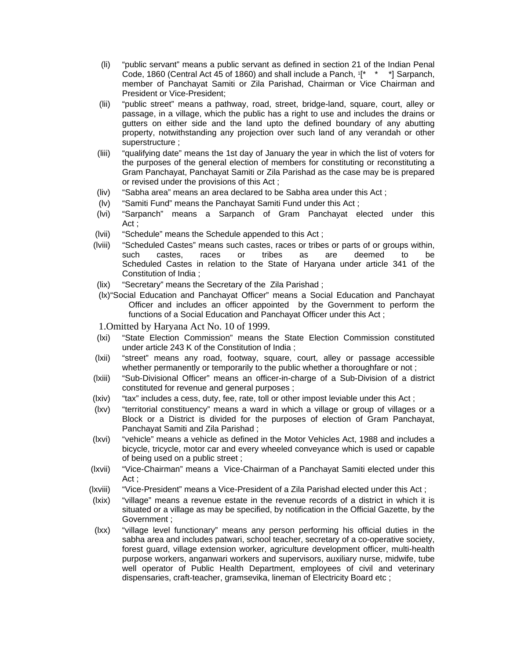- (li) "public servant" means a public servant as defined in section 21 of the Indian Penal Code, 1860 (Central Act 45 of 1860) and shall include a Panch,  $[1 \times 1]$  Sarpanch, member of Panchayat Samiti or Zila Parishad, Chairman or Vice Chairman and President or Vice-President;
- (lii) "public street" means a pathway, road, street, bridge-land, square, court, alley or passage, in a village, which the public has a right to use and includes the drains or gutters on either side and the land upto the defined boundary of any abutting property, notwithstanding any projection over such land of any verandah or other superstructure ;
- (liii) "qualifying date" means the 1st day of January the year in which the list of voters for the purposes of the general election of members for constituting or reconstituting a Gram Panchayat, Panchayat Samiti or Zila Parishad as the case may be is prepared or revised under the provisions of this Act ;
- (liv) "Sabha area" means an area declared to be Sabha area under this Act ;
- (lv) "Samiti Fund" means the Panchayat Samiti Fund under this Act ;
- (lvi) "Sarpanch" means a Sarpanch of Gram Panchayat elected under this Act ;
- (lvii) "Schedule" means the Schedule appended to this Act ;
- (lviii) "Scheduled Castes" means such castes, races or tribes or parts of or groups within, such castes, races or tribes as are deemed to be Scheduled Castes in relation to the State of Haryana under article 341 of the Constitution of India ;
- (lix) "Secretary" means the Secretary of the Zila Parishad ;
- (lx) "Social Education and Panchayat Officer" means a Social Education and Panchayat Officer and includes an officer appointed by the Government to perform the functions of a Social Education and Panchayat Officer under this Act ;

1.Omitted by Haryana Act No. 10 of 1999.

- (lxi) "State Election Commission" means the State Election Commission constituted under article 243 K of the Constitution of India ;
- (lxii) "street" means any road, footway, square, court, alley or passage accessible whether permanently or temporarily to the public whether a thoroughfare or not;
- (lxiii) "Sub-Divisional Officer" means an officer-in-charge of a Sub-Division of a district constituted for revenue and general purposes ;
- (lxiv) "tax" includes a cess, duty, fee, rate, toll or other impost leviable under this Act ;
- (lxv) "territorial constituency" means a ward in which a village or group of villages or a Block or a District is divided for the purposes of election of Gram Panchayat, Panchayat Samiti and Zila Parishad ;
- (lxvi) "vehicle" means a vehicle as defined in the Motor Vehicles Act, 1988 and includes a bicycle, tricycle, motor car and every wheeled conveyance which is used or capable of being used on a public street ;
- (lxvii) "Vice-Chairman" means a Vice-Chairman of a Panchayat Samiti elected under this Act ;
- (lxviii) "Vice-President" means a Vice-President of a Zila Parishad elected under this Act ;
- (lxix) "village" means a revenue estate in the revenue records of a district in which it is situated or a village as may be specified, by notification in the Official Gazette, by the Government ;
- (lxx) "village level functionary" means any person performing his official duties in the sabha area and includes patwari, school teacher, secretary of a co-operative society, forest guard, village extension worker, agriculture development officer, multi-health purpose workers, anganwari workers and supervisors, auxiliary nurse, midwife, tube well operator of Public Health Department, employees of civil and veterinary dispensaries, craft-teacher, gramsevika, lineman of Electricity Board etc ;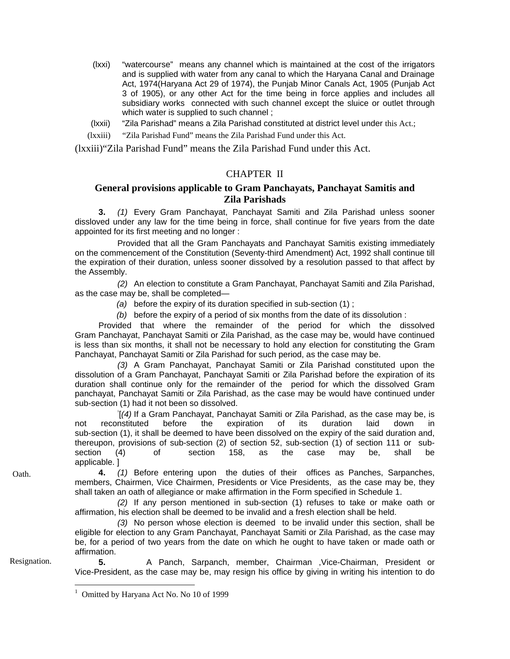- (lxxi) "watercourse" means any channel which is maintained at the cost of the irrigators and is supplied with water from any canal to which the Haryana Canal and Drainage Act, 1974(Haryana Act 29 of 1974), the Punjab Minor Canals Act, 1905 (Punjab Act 3 of 1905), or any other Act for the time being in force applies and includes all subsidiary works connected with such channel except the sluice or outlet through which water is supplied to such channel;
- (lxxii) "Zila Parishad" means a Zila Parishad constituted at district level under this Act.;
- (lxxiii) "Zila Parishad Fund" means the Zila Parishad Fund under this Act.

(lxxiii)"Zila Parishad Fund" means the Zila Parishad Fund under this Act.

## CHAPTER II

## **General provisions applicable to Gram Panchayats, Panchayat Samitis and Zila Parishads**

**3.** *(1)* Every Gram Panchayat, Panchayat Samiti and Zila Parishad unless sooner dissloved under any law for the time being in force, shall continue for five years from the date appointed for its first meeting and no longer :

Provided that all the Gram Panchayats and Panchayat Samitis existing immediately on the commencement of the Constitution (Seventy-third Amendment) Act, 1992 shall continue till the expiration of their duration, unless sooner dissolved by a resolution passed to that affect by the Assembly.

*(2)* An election to constitute a Gram Panchayat, Panchayat Samiti and Zila Parishad, as the case may be, shall be completed—

*(a)* before the expiry of its duration specified in sub-section (1) ;

 *(b)* before the expiry of a period of six months from the date of its dissolution :

Provided that where the remainder of the period for which the dissolved Gram Panchayat, Panchayat Samiti or Zila Parishad, as the case may be, would have continued is less than six months, it shall not be necessary to hold any election for constituting the Gram Panchayat, Panchayat Samiti or Zila Parishad for such period, as the case may be.

*(3)* A Gram Panchayat, Panchayat Samiti or Zila Parishad constituted upon the dissolution of a Gram Panchayat, Panchayat Samiti or Zila Parishad before the expiration of its duration shall continue only for the remainder of the period for which the dissolved Gram panchayat, Panchayat Samiti or Zila Parishad, as the case may be would have continued under sub-section (1) had it not been so dissolved.

[*(4)* If a Gram Panchayat, Panchayat Samiti or Zila Parishad, as the case may be, is not reconstituted before the expiration of its duration laid down in sub-section (1), it shall be deemed to have been dissolved on the expiry of the said duration and, thereupon, provisions of sub-section (2) of section 52, sub-section (1) of section 111 or subsection (4) of section 158, as the case may be, shall be applicable. ]

Oath. **4.** *(1)* Before entering upon the duties of their offices as Panches, Sarpanches, members, Chairmen, Vice Chairmen, Presidents or Vice Presidents, as the case may be, they shall taken an oath of allegiance or make affirmation in the Form specified in Schedule 1.

> *(2)* If any person mentioned in sub-section (1) refuses to take or make oath or affirmation, his election shall be deemed to be invalid and a fresh election shall be held.

> *(3)* No person whose election is deemed to be invalid under this section, shall be eligible for election to any Gram Panchayat, Panchayat Samiti or Zila Parishad, as the case may be, for a period of two years from the date on which he ought to have taken or made oath or affirmation.

 $\overline{a}$ 

Resignation. **5.** A Panch, Sarpanch, member, Chairman ,Vice-Chairman, President or Vice-President, as the case may be, may resign his office by giving in writing his intention to do

<sup>1</sup> Omitted by Haryana Act No. No 10 of 1999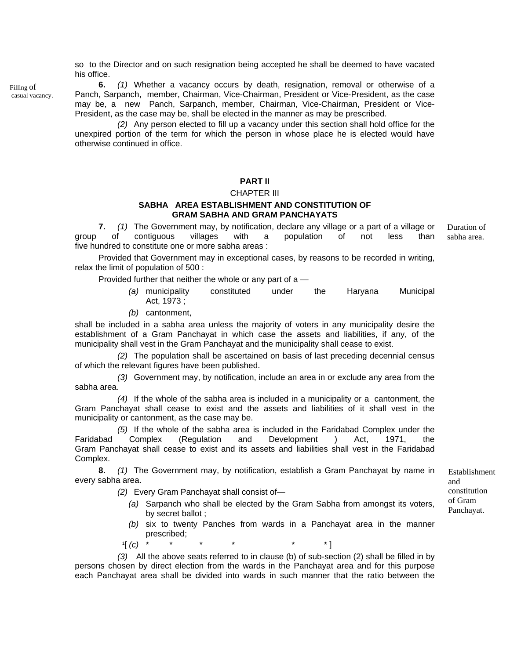so to the Director and on such resignation being accepted he shall be deemed to have vacated his office.

**6.** *(1)* Whether a vacancy occurs by death, resignation, removal or otherwise of a Panch, Sarpanch, member, Chairman, Vice-Chairman, President or Vice-President, as the case may be, a new Panch, Sarpanch, member, Chairman, Vice-Chairman, President or Vice-President, as the case may be, shall be elected in the manner as may be prescribed.

*(2)* Any person elected to fill up a vacancy under this section shall hold office for the unexpired portion of the term for which the person in whose place he is elected would have otherwise continued in office.

#### **PART II**

#### CHAPTER III

#### **SABHA AREA ESTABLISHMENT AND CONSTITUTION OF GRAM SABHA AND GRAM PANCHAYATS**

**7.** *(1)* The Government may, by notification, declare any village or a part of a village or group of contiguous villages with a population of not less than five hundred to constitute one or more sabha areas : Duration of sabha area.

Provided that Government may in exceptional cases, by reasons to be recorded in writing, relax the limit of population of 500 :

Provided further that neither the whole or any part of  $a$  -

- *(a)* municipality constituted under the Haryana Municipal Act, 1973 ;
- *(b)* cantonment,

shall be included in a sabha area unless the majority of voters in any municipality desire the establishment of a Gram Panchayat in which case the assets and liabilities, if any, of the municipality shall vest in the Gram Panchayat and the municipality shall cease to exist.

*(2)* The population shall be ascertained on basis of last preceding decennial census of which the relevant figures have been published.

*(3)* Government may, by notification, include an area in or exclude any area from the sabha area.

*(4)* If the whole of the sabha area is included in a municipality or a cantonment, the Gram Panchayat shall cease to exist and the assets and liabilities of it shall vest in the municipality or cantonment, as the case may be.

*(5)* If the whole of the sabha area is included in the Faridabad Complex under the Faridabad Complex (Regulation and Development ) Act, 1971, the Gram Panchayat shall cease to exist and its assets and liabilities shall vest in the Faridabad Complex.

**8.** *(1)* The Government may, by notification, establish a Gram Panchayat by name in every sabha area.

*(2)* Every Gram Panchayat shall consist of—

- *(a)* Sarpanch who shall be elected by the Gram Sabha from amongst its voters, by secret ballot ;
- *(b)* six to twenty Panches from wards in a Panchayat area in the manner prescribed;<br>
<sup>1</sup>[ *(c)* \* \* \* \* \* \* \* \* ]
- 

*(3)* All the above seats referred to in clause (b) of sub-section (2) shall be filled in by persons chosen by direct election from the wards in the Panchayat area and for this purpose each Panchayat area shall be divided into wards in such manner that the ratio between the

Establishment and constitution of Gram Panchayat.

Filling of casual vacancy.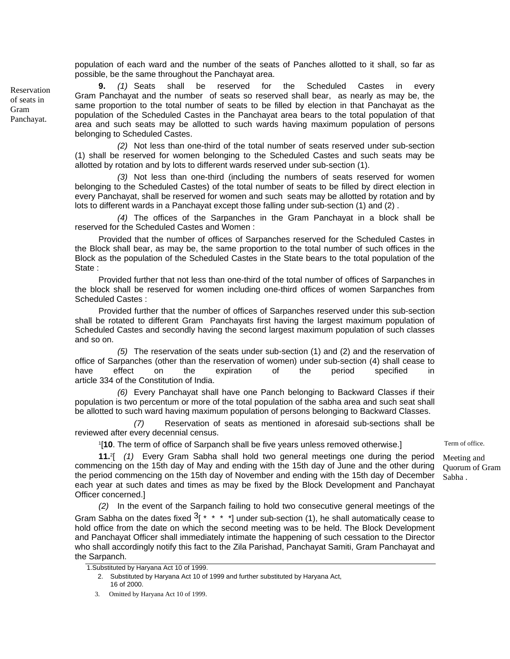population of each ward and the number of the seats of Panches allotted to it shall, so far as possible, be the same throughout the Panchayat area.

**9.** *(1)* Seats shall be reserved for the Scheduled Castes in every Gram Panchayat and the number of seats so reserved shall bear, as nearly as may be, the same proportion to the total number of seats to be filled by election in that Panchayat as the population of the Scheduled Castes in the Panchayat area bears to the total population of that area and such seats may be allotted to such wards having maximum population of persons belonging to Scheduled Castes.

*(2)* Not less than one-third of the total number of seats reserved under sub-section (1) shall be reserved for women belonging to the Scheduled Castes and such seats may be allotted by rotation and by lots to different wards reserved under sub-section (1).

*(3)* Not less than one-third (including the numbers of seats reserved for women belonging to the Scheduled Castes) of the total number of seats to be filled by direct election in every Panchayat, shall be reserved for women and such seats may be allotted by rotation and by lots to different wards in a Panchayat except those falling under sub-section (1) and (2) .

*(4)* The offices of the Sarpanches in the Gram Panchayat in a block shall be reserved for the Scheduled Castes and Women :

Provided that the number of offices of Sarpanches reserved for the Scheduled Castes in the Block shall bear, as may be, the same proportion to the total number of such offices in the Block as the population of the Scheduled Castes in the State bears to the total population of the State :

Provided further that not less than one-third of the total number of offices of Sarpanches in the block shall be reserved for women including one-third offices of women Sarpanches from Scheduled Castes :

Provided further that the number of offices of Sarpanches reserved under this sub-section shall be rotated to different Gram Panchayats first having the largest maximum population of Scheduled Castes and secondly having the second largest maximum population of such classes and so on.

 *(5)* The reservation of the seats under sub-section (1) and (2) and the reservation of office of Sarpanches (other than the reservation of women) under sub-section (4) shall cease to have effect on the expiration of the period specified in article 334 of the Constitution of India.

*(6)* Every Panchayat shall have one Panch belonging to Backward Classes if their population is two percentum or more of the total population of the sabha area and such seat shall be allotted to such ward having maximum population of persons belonging to Backward Classes.

 *(7)* Reservation of seats as mentioned in aforesaid sub-sections shall be reviewed after every decennial census.

1[**10**. The term of office of Sarpanch shall be five years unless removed otherwise.]

**11.**2[ *(1)* Every Gram Sabha shall hold two general meetings one during the period commencing on the 15th day of May and ending with the 15th day of June and the other during the period commencing on the 15th day of November and ending with the 15th day of December each year at such dates and times as may be fixed by the Block Development and Panchayat Officer concerned.]

*(2)* In the event of the Sarpanch failing to hold two consecutive general meetings of the Gram Sabha on the dates fixed  $3$ [  $*$   $*$   $*$   $*$ ] under sub-section (1), he shall automatically cease to hold office from the date on which the second meeting was to be held. The Block Development and Panchayat Officer shall immediately intimate the happening of such cessation to the Director who shall accordingly notify this fact to the Zila Parishad, Panchayat Samiti, Gram Panchayat and the Sarpanch.

Reservation of seats in Gram Panchayat.

Term of office.

Meeting and Quorum of Gram Sabha .

<sup>1.</sup>Substituted by Haryana Act 10 of 1999.

<sup>2.</sup> Substituted by Haryana Act 10 of 1999 and further substituted by Haryana Act, 16 of 2000.

 <sup>3.</sup> Omitted by Haryana Act 10 of 1999.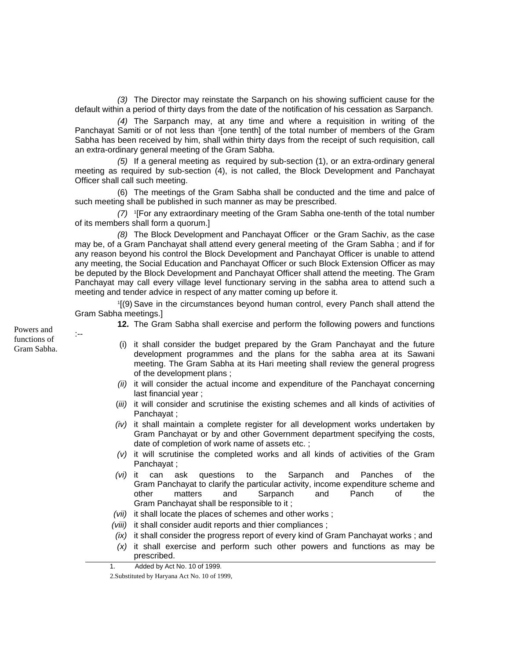*(3)* The Director may reinstate the Sarpanch on his showing sufficient cause for the default within a period of thirty days from the date of the notification of his cessation as Sarpanch.

*(4)* The Sarpanch may, at any time and where a requisition in writing of the Panchayat Samiti or of not less than '[one tenth] of the total number of members of the Gram Sabha has been received by him, shall within thirty days from the receipt of such requisition, call an extra-ordinary general meeting of the Gram Sabha.

*(5)* If a general meeting as required by sub-section (1), or an extra-ordinary general meeting as required by sub-section (4), is not called, the Block Development and Panchayat Officer shall call such meeting.

(6) The meetings of the Gram Sabha shall be conducted and the time and palce of such meeting shall be published in such manner as may be prescribed.

*(7)* 1[For any extraordinary meeting of the Gram Sabha one-tenth of the total number of its members shall form a quorum.]

*(8)* The Block Development and Panchayat Officer or the Gram Sachiv, as the case may be, of a Gram Panchayat shall attend every general meeting of the Gram Sabha ; and if for any reason beyond his control the Block Development and Panchayat Officer is unable to attend any meeting, the Social Education and Panchayat Officer or such Block Extension Officer as may be deputed by the Block Development and Panchayat Officer shall attend the meeting. The Gram Panchayat may call every village level functionary serving in the sabha area to attend such a meeting and tender advice in respect of any matter coming up before it.

 1[(9) Save in the circumstances beyond human control, every Panch shall attend the Gram Sabha meetings.]

**12.** The Gram Sabha shall exercise and perform the following powers and functions

- Gram Sabha. (i) it shall consider the budget prepared by the Gram Panchayat and the future development programmes and the plans for the sabha area at its Sawani meeting. The Gram Sabha at its Hari meeting shall review the general progress of the development plans ;
	- *(ii)* it will consider the actual income and expenditure of the Panchayat concerning last financial year ;
	- (*iii)* it will consider and scrutinise the existing schemes and all kinds of activities of Panchayat ;
	- *(iv)* it shall maintain a complete register for all development works undertaken by Gram Panchayat or by and other Government department specifying the costs, date of completion of work name of assets etc. ;
	- *(v)* it will scrutinise the completed works and all kinds of activities of the Gram Panchayat ;
	- *(vi)* it can ask questions to the Sarpanch and Panches of the Gram Panchayat to clarify the particular activity, income expenditure scheme and other matters and Sarpanch and Panch of the Gram Panchayat shall be responsible to it ;
	- *(vii)* it shall locate the places of schemes and other works ;
	- *(viii)* it shall consider audit reports and thier compliances ;
	- *(ix)* it shall consider the progress report of every kind of Gram Panchayat works ; and *(x)* it shall exercise and perform such other powers and functions as may be prescribed.

Powers and  $\qquad \qquad \cdot \qquad$ functions of

 <sup>1.</sup> Added by Act No. 10 of 1999.

 <sup>2.</sup>Substituted by Haryana Act No. 10 of 1999,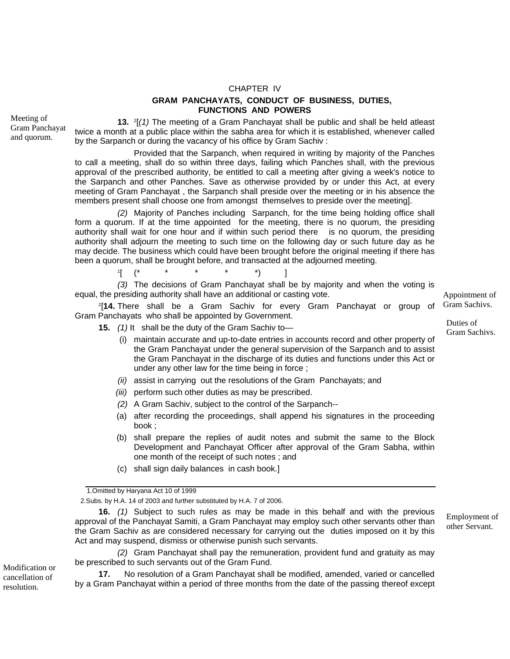## CHAPTER IV **GRAM PANCHAYATS, CONDUCT OF BUSINESS, DUTIES, FUNCTIONS AND POWERS**

**13.** 2[*(1)* The meeting of a Gram Panchayat shall be public and shall be held atleast twice a month at a public place within the sabha area for which it is established, whenever called by the Sarpanch or during the vacancy of his office by Gram Sachiv :

Provided that the Sarpanch, when required in writing by majority of the Panches to call a meeting, shall do so within three days, failing which Panches shall, with the previous approval of the prescribed authority, be entitled to call a meeting after giving a week's notice to the Sarpanch and other Panches. Save as otherwise provided by or under this Act, at every meeting of Gram Panchayat , the Sarpanch shall preside over the meeting or in his absence the members present shall choose one from amongst themselves to preside over the meeting].

*(2)* Majority of Panches including Sarpanch, for the time being holding office shall form a quorum. If at the time appointed for the meeting, there is no quorum, the presiding authority shall wait for one hour and if within such period there is no quorum, the presiding authority shall adjourn the meeting to such time on the following day or such future day as he may decide. The business which could have been brought before the original meeting if there has been a quorum, shall be brought before, and transacted at the adjourned meeting.

1[ (\* \* \* \* \*) ] *(3)* The decisions of Gram Panchayat shall be by majority and when the voting is equal, the presiding authority shall have an additional or casting vote.

2[**14.** There shall be a Gram Sachiv for every Gram Panchayat or group of Gram Panchayats who shall be appointed by Government.

15. (1) It shall be the duty of the Gram Sachiv to—<br>Gram Sachivs.

- (i) maintain accurate and up-to-date entries in accounts record and other property of the Gram Panchayat under the general supervision of the Sarpanch and to assist the Gram Panchayat in the discharge of its duties and functions under this Act or under any other law for the time being in force ;
- *(ii)* assist in carrying out the resolutions of the Gram Panchayats; and
- *(iii)* perform such other duties as may be prescribed.
- *(2)* A Gram Sachiv, subject to the control of the Sarpanch--
- (a) after recording the proceedings, shall append his signatures in the proceeding book ;
- (b) shall prepare the replies of audit notes and submit the same to the Block Development and Panchayat Officer after approval of the Gram Sabha, within one month of the receipt of such notes ; and
- (c) shall sign daily balances in cash book.]

2.Subs. by H.A. 14 of 2003 and further substituted by H.A. 7 of 2006.

**16.** *(1)* Subject to such rules as may be made in this behalf and with the previous approval of the Panchayat Samiti, a Gram Panchayat may employ such other servants other than the Gram Sachiv as are considered necessary for carrying out the duties imposed on it by this Act and may suspend, dismiss or otherwise punish such servants.

*(2)* Gram Panchayat shall pay the remuneration, provident fund and gratuity as may be prescribed to such servants out of the Gram Fund.<br>**17.** No resolution of a Gram Panchavat shal

**17.** No resolution of a Gram Panchayat shall be modified, amended, varied or cancelled by a Gram Panchayat within a period of three months from the date of the passing thereof except

Appointment of Gram Sachivs.

Duties of

Employment of other Servant.

Meeting of Gram Panchayat and quorum.

cancellation of resolution.

<sup>1.</sup>Omitted by Haryana Act 10 of 1999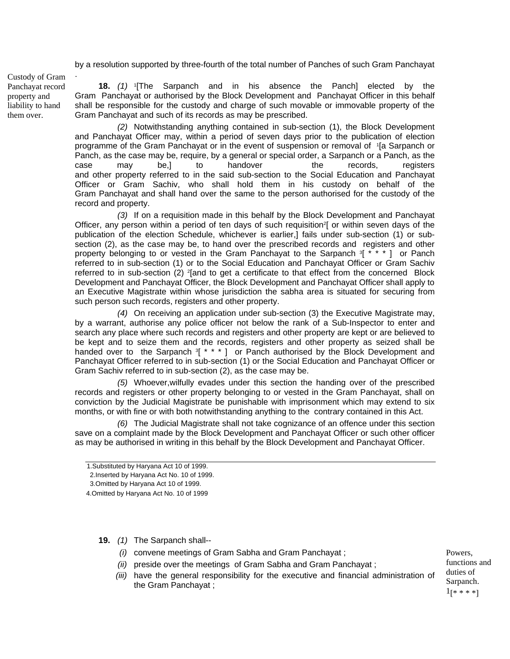by a resolution supported by three-fourth of the total number of Panches of such Gram Panchayat

Custody of Gram Panchayat record property and liability to hand them over.

**18.** *(1)* 1[The Sarpanch and in his absence the Panch] elected by the Gram Panchayat or authorised by the Block Development and Panchayat Officer in this behalf shall be responsible for the custody and charge of such movable or immovable property of the Gram Panchayat and such of its records as may be prescribed.

*(2)* Notwithstanding anything contained in sub-section (1), the Block Development and Panchayat Officer may, within a period of seven days prior to the publication of election programme of the Gram Panchayat or in the event of suspension or removal of 1[a Sarpanch or Panch, as the case may be, require, by a general or special order, a Sarpanch or a Panch, as the case may be,] to handover the records, registers and other property referred to in the said sub-section to the Social Education and Panchayat Officer or Gram Sachiv, who shall hold them in his custody on behalf of the Gram Panchayat and shall hand over the same to the person authorised for the custody of the record and property.

*(3)* If on a requisition made in this behalf by the Block Development and Panchayat Officer, any person within a period of ten days of such requisition<sup>2</sup> or within seven days of the publication of the election Schedule, whichever is earlier,] fails under sub-section (1) or subsection (2), as the case may be, to hand over the prescribed records and registers and other property belonging to or vested in the Gram Panchayat to the Sarpanch  $\frac{3}{1}$  \* \* 1 or Panch referred to in sub-section (1) or to the Social Education and Panchayat Officer or Gram Sachiv referred to in sub-section  $(2)$  <sup>2</sup>[and to get a certificate to that effect from the concerned Block Development and Panchayat Officer, the Block Development and Panchayat Officer shall apply to an Executive Magistrate within whose jurisdiction the sabha area is situated for securing from such person such records, registers and other property.

*(4)* On receiving an application under sub-section (3) the Executive Magistrate may, by a warrant, authorise any police officer not below the rank of a Sub-Inspector to enter and search any place where such records and registers and other property are kept or are believed to be kept and to seize them and the records, registers and other property as seized shall be handed over to the Sarpanch  $3$ [  $*$   $*$   $*$  ] or Panch authorised by the Block Development and Panchayat Officer referred to in sub-section (1) or the Social Education and Panchayat Officer or Gram Sachiv referred to in sub-section (2), as the case may be.

 *(5)* Whoever,wilfully evades under this section the handing over of the prescribed records and registers or other property belonging to or vested in the Gram Panchayat, shall on conviction by the Judicial Magistrate be punishable with imprisonment which may extend to six months, or with fine or with both notwithstanding anything to the contrary contained in this Act.

*(6)* The Judicial Magistrate shall not take cognizance of an offence under this section save on a complaint made by the Block Development and Panchayat Officer or such other officer as may be authorised in writing in this behalf by the Block Development and Panchayat Officer.

- **19.** *(1)* The Sarpanch shall--
	- *(i)* convene meetings of Gram Sabha and Gram Panchayat ;
	- *(ii)* preside over the meetings of Gram Sabha and Gram Panchayat ;
	- *(iii)* have the general responsibility for the executive and financial administration of the Gram Panchayat ;

Powers, functions and duties of Sarpanch.  $1_{8}$  \* \* \* 1

<sup>1.</sup>Substituted by Haryana Act 10 of 1999.

<sup>2.</sup>Inserted by Haryana Act No. 10 of 1999.

<sup>3.</sup>Omitted by Haryana Act 10 of 1999.

<sup>4.</sup>Omitted by Haryana Act No. 10 of 1999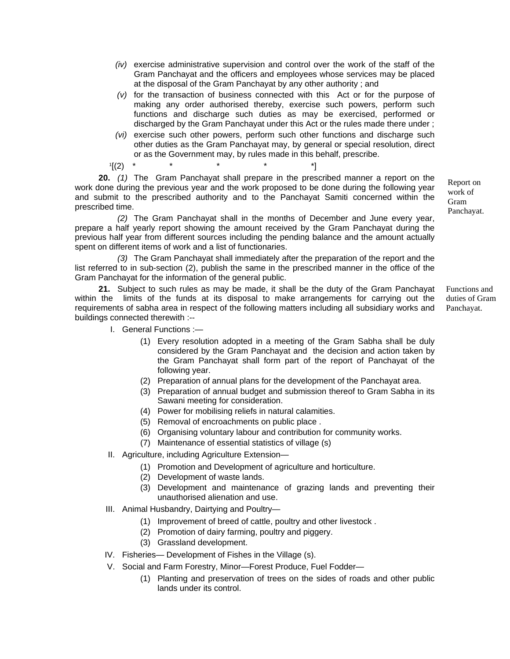- *(iv)* exercise administrative supervision and control over the work of the staff of the Gram Panchayat and the officers and employees whose services may be placed at the disposal of the Gram Panchayat by any other authority ; and
- *(v)* for the transaction of business connected with this Act or for the purpose of making any order authorised thereby, exercise such powers, perform such functions and discharge such duties as may be exercised, performed or discharged by the Gram Panchayat under this Act or the rules made there under ;
- *(vi)* exercise such other powers, perform such other functions and discharge such other duties as the Gram Panchayat may, by general or special resolution, direct or as the Government may, by rules made in this behalf, prescribe.

 $\binom{1}{2}$  \*

**20.** *(1)* The Gram Panchayat shall prepare in the prescribed manner a report on the work done during the previous year and the work proposed to be done during the following year and submit to the prescribed authority and to the Panchayat Samiti concerned within the prescribed time.

Panchayat. *(2)* The Gram Panchayat shall in the months of December and June every year, prepare a half yearly report showing the amount received by the Gram Panchayat during the previous half year from different sources including the pending balance and the amount actually spent on different items of work and a list of functionaries.

*(3)* The Gram Panchayat shall immediately after the preparation of the report and the list referred to in sub-section (2), publish the same in the prescribed manner in the office of the Gram Panchayat for the information of the general public.

Functions and duties of Gram Panchayat. **21.** Subject to such rules as may be made, it shall be the duty of the Gram Panchayat within the limits of the funds at its disposal to make arrangements for carrying out the requirements of sabha area in respect of the following matters including all subsidiary works and buildings connected therewith :--

I. General Functions :—

- (1) Every resolution adopted in a meeting of the Gram Sabha shall be duly considered by the Gram Panchayat and the decision and action taken by the Gram Panchayat shall form part of the report of Panchayat of the following year.
- (2) Preparation of annual plans for the development of the Panchayat area.
- (3) Preparation of annual budget and submission thereof to Gram Sabha in its Sawani meeting for consideration.
- (4) Power for mobilising reliefs in natural calamities.
- (5) Removal of encroachments on public place .
- (6) Organising voluntary labour and contribution for community works.
- (7) Maintenance of essential statistics of village (s)
- II. Agriculture, including Agriculture Extension—
	- (1) Promotion and Development of agriculture and horticulture.
	- (2) Development of waste lands.
	- (3) Development and maintenance of grazing lands and preventing their unauthorised alienation and use.
- III. Animal Husbandry, Dairtying and Poultry—
	- (1) Improvement of breed of cattle, poultry and other livestock .
	- (2) Promotion of dairy farming, poultry and piggery.
	- (3) Grassland development.
- IV. Fisheries— Development of Fishes in the Village (s).
- V. Social and Farm Forestry, Minor—Forest Produce, Fuel Fodder—
	- (1) Planting and preservation of trees on the sides of roads and other public lands under its control.

Report on work of Gram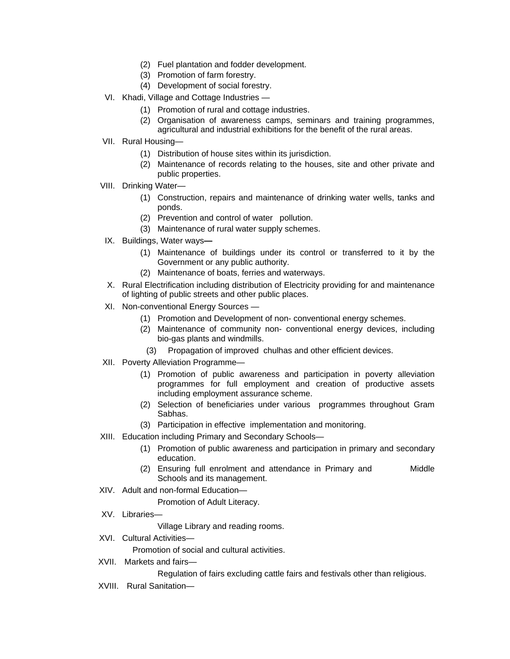- (2) Fuel plantation and fodder development.
- (3) Promotion of farm forestry.
- (4) Development of social forestry.
- VI. Khadi, Village and Cottage Industries
	- (1) Promotion of rural and cottage industries.
	- (2) Organisation of awareness camps, seminars and training programmes, agricultural and industrial exhibitions for the benefit of the rural areas.
- VII. Rural Housing—
	- (1) Distribution of house sites within its jurisdiction.
	- (2) Maintenance of records relating to the houses, site and other private and public properties.
- VIII. Drinking Water—
	- (1) Construction, repairs and maintenance of drinking water wells, tanks and ponds.
	- (2) Prevention and control of water pollution.
	- (3) Maintenance of rural water supply schemes.
- IX. Buildings, Water ways
	- (1) Maintenance of buildings under its control or transferred to it by the Government or any public authority.
	- (2) Maintenance of boats, ferries and waterways.
- X. Rural Electrification including distribution of Electricity providing for and maintenance of lighting of public streets and other public places.
- XI. Non-conventional Energy Sources
	- (1) Promotion and Development of non- conventional energy schemes.
	- (2) Maintenance of community non- conventional energy devices, including bio-gas plants and windmills.
		- (3) Propagation of improved chulhas and other efficient devices.
- XII. Poverty Alleviation Programme—
	- (1) Promotion of public awareness and participation in poverty alleviation programmes for full employment and creation of productive assets including employment assurance scheme.
	- (2) Selection of beneficiaries under various programmes throughout Gram Sabhas.
	- (3) Participation in effective implementation and monitoring.
- XIII. Education including Primary and Secondary Schools—
	- (1) Promotion of public awareness and participation in primary and secondary education.
	- (2) Ensuring full enrolment and attendance in Primary and Middle Schools and its management.
- XIV. Adult and non-formal Education—

Promotion of Adult Literacy.

XV. Libraries—

Village Library and reading rooms.

XVI. Cultural Activities—

Promotion of social and cultural activities.

XVII. Markets and fairs—

Regulation of fairs excluding cattle fairs and festivals other than religious.

XVIII. Rural Sanitation—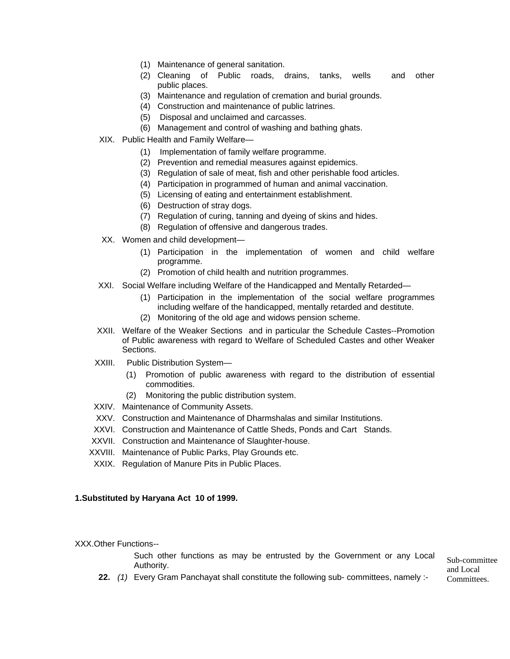- (1) Maintenance of general sanitation.
- (2) Cleaning of Public roads, drains, tanks, wells and other public places.
- (3) Maintenance and regulation of cremation and burial grounds.
- (4) Construction and maintenance of public latrines.
- (5) Disposal and unclaimed and carcasses.
- (6) Management and control of washing and bathing ghats.
- XIX. Public Health and Family Welfare—
	- (1) Implementation of family welfare programme.
	- (2) Prevention and remedial measures against epidemics.
	- (3) Regulation of sale of meat, fish and other perishable food articles.
	- (4) Participation in programmed of human and animal vaccination.
	- (5) Licensing of eating and entertainment establishment.
	- (6) Destruction of stray dogs.
	- (7) Regulation of curing, tanning and dyeing of skins and hides.
	- (8) Regulation of offensive and dangerous trades.
- XX. Women and child development—
	- (1) Participation in the implementation of women and child welfare programme.
	- (2) Promotion of child health and nutrition programmes.
- XXI. Social Welfare including Welfare of the Handicapped and Mentally Retarded—
	- (1) Participation in the implementation of the social welfare programmes including welfare of the handicapped, mentally retarded and destitute.
	- (2) Monitoring of the old age and widows pension scheme.
- XXII. Welfare of the Weaker Sections and in particular the Schedule Castes--Promotion of Public awareness with regard to Welfare of Scheduled Castes and other Weaker Sections.
- XXIII. Public Distribution System—
	- (1) Promotion of public awareness with regard to the distribution of essential commodities.
	- (2) Monitoring the public distribution system.
- XXIV. Maintenance of Community Assets.
- XXV. Construction and Maintenance of Dharmshalas and similar Institutions.
- XXVI. Construction and Maintenance of Cattle Sheds, Ponds and Cart Stands.
- XXVII. Construction and Maintenance of Slaughter-house.
- XXVIII. Maintenance of Public Parks, Play Grounds etc.
- XXIX. Regulation of Manure Pits in Public Places.

#### **1.Substituted by Haryana Act 10 of 1999.**

XXX.Other Functions--

Such other functions as may be entrusted by the Government or any Local  $\frac{\text{Sub-commite}}{\text{Sub-commite}}$ 

and Local

**22.** (1) Every Gram Panchayat shall constitute the following sub- committees, namely :- Committees.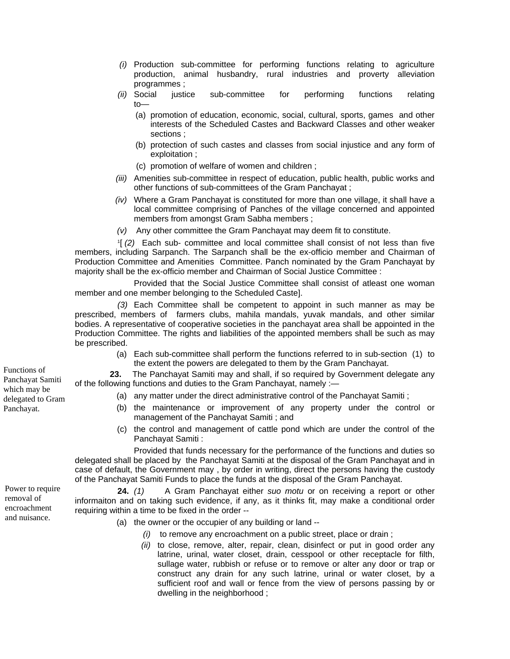- *(i)* Production sub-committee for performing functions relating to agriculture production, animal husbandry, rural industries and proverty alleviation programmes ;
- *(ii)* Social justice sub-committee for performing functions relating  $to$ —
	- (a) promotion of education, economic, social, cultural, sports, games and other interests of the Scheduled Castes and Backward Classes and other weaker sections ;
	- (b) protection of such castes and classes from social injustice and any form of exploitation ;
	- (c) promotion of welfare of women and children ;
- *(iii)* Amenities sub-committee in respect of education, public health, public works and other functions of sub-committees of the Gram Panchayat ;
- *(iv)* Where a Gram Panchayat is constituted for more than one village, it shall have a local committee comprising of Panches of the village concerned and appointed members from amongst Gram Sabha members ;
- *(v)* Any other committee the Gram Panchayat may deem fit to constitute.

 1[ *(2)* Each sub- committee and local committee shall consist of not less than five members, including Sarpanch. The Sarpanch shall be the ex-officio member and Chairman of Production Committee and Amenities Committee. Panch nominated by the Gram Panchayat by majority shall be the ex-officio member and Chairman of Social Justice Committee :

Provided that the Social Justice Committee shall consist of atleast one woman member and one member belonging to the Scheduled Caste].

*(3)* Each Committee shall be competent to appoint in such manner as may be prescribed, members of farmers clubs, mahila mandals, yuvak mandals, and other similar bodies. A representative of cooperative societies in the panchayat area shall be appointed in the Production Committee. The rights and liabilities of the appointed members shall be such as may be prescribed.

(a) Each sub-committee shall perform the functions referred to in sub-section (1) to the extent the powers are delegated to them by the Gram Panchayat.

 **23.** The Panchayat Samiti may and shall, if so required by Government delegate any of the following functions and duties to the Gram Panchayat, namely :—

- (a) any matter under the direct administrative control of the Panchayat Samiti ;
- (b) the maintenance or improvement of any property under the control or management of the Panchayat Samiti ; and
- (c) the control and management of cattle pond which are under the control of the Panchayat Samiti :

Provided that funds necessary for the performance of the functions and duties so delegated shall be placed by the Panchayat Samiti at the disposal of the Gram Panchayat and in case of default, the Government may , by order in writing, direct the persons having the custody of the Panchayat Samiti Funds to place the funds at the disposal of the Gram Panchayat.

 **24.** *(1)* A Gram Panchayat either *suo motu* or on receiving a report or other informaiton and on taking such evidence, if any, as it thinks fit, may make a conditional order requiring within a time to be fixed in the order --

- (a) the owner or the occupier of any building or land --
	- *(i)* to remove any encroachment on a public street, place or drain ;
	- *(ii)* to close, remove, alter, repair, clean, disinfect or put in good order any latrine, urinal, water closet, drain, cesspool or other receptacle for filth, sullage water, rubbish or refuse or to remove or alter any door or trap or construct any drain for any such latrine, urinal or water closet, by a sufficient roof and wall or fence from the view of persons passing by or dwelling in the neighborhood ;

Functions of Panchayat Samiti which may be delegated to Gram Panchayat.

Power to require removal of encroachment and nuisance.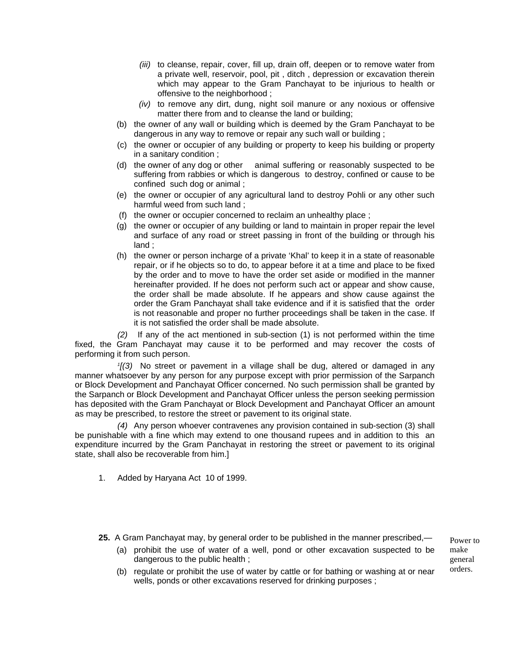- *(iii)* to cleanse, repair, cover, fill up, drain off, deepen or to remove water from a private well, reservoir, pool, pit , ditch , depression or excavation therein which may appear to the Gram Panchayat to be injurious to health or offensive to the neighborhood ;
- *(iv)* to remove any dirt, dung, night soil manure or any noxious or offensive matter there from and to cleanse the land or building;
- (b) the owner of any wall or building which is deemed by the Gram Panchayat to be dangerous in any way to remove or repair any such wall or building ;
- (c) the owner or occupier of any building or property to keep his building or property in a sanitary condition ;
- (d) the owner of any dog or other animal suffering or reasonably suspected to be suffering from rabbies or which is dangerous to destroy, confined or cause to be confined such dog or animal ;
- (e) the owner or occupier of any agricultural land to destroy Pohli or any other such harmful weed from such land ;
- (f) the owner or occupier concerned to reclaim an unhealthy place ;
- (g) the owner or occupier of any building or land to maintain in proper repair the level and surface of any road or street passing in front of the building or through his land ;
- (h) the owner or person incharge of a private 'Khal' to keep it in a state of reasonable repair, or if he objects so to do, to appear before it at a time and place to be fixed by the order and to move to have the order set aside or modified in the manner hereinafter provided. If he does not perform such act or appear and show cause, the order shall be made absolute. If he appears and show cause against the order the Gram Panchayat shall take evidence and if it is satisfied that the order is not reasonable and proper no further proceedings shall be taken in the case. If it is not satisfied the order shall be made absolute.

*(2)* If any of the act mentioned in sub-section (1) is not performed within the time fixed, the Gram Panchayat may cause it to be performed and may recover the costs of performing it from such person.

*1[(3)* No street or pavement in a village shall be dug, altered or damaged in any manner whatsoever by any person for any purpose except with prior permission of the Sarpanch or Block Development and Panchayat Officer concerned. No such permission shall be granted by the Sarpanch or Block Development and Panchayat Officer unless the person seeking permission has deposited with the Gram Panchayat or Block Development and Panchayat Officer an amount as may be prescribed, to restore the street or pavement to its original state.

*(4)* Any person whoever contravenes any provision contained in sub-section (3) shall be punishable with a fine which may extend to one thousand rupees and in addition to this an expenditure incurred by the Gram Panchayat in restoring the street or pavement to its original state, shall also be recoverable from him.]

- 1. Added by Haryana Act 10 of 1999.
- **25.** A Gram Panchayat may, by general order to be published in the manner prescribed,—
	- (a) prohibit the use of water of a well, pond or other excavation suspected to be dangerous to the public health ;

Power to make general orders.

(b) regulate or prohibit the use of water by cattle or for bathing or washing at or near wells, ponds or other excavations reserved for drinking purposes ;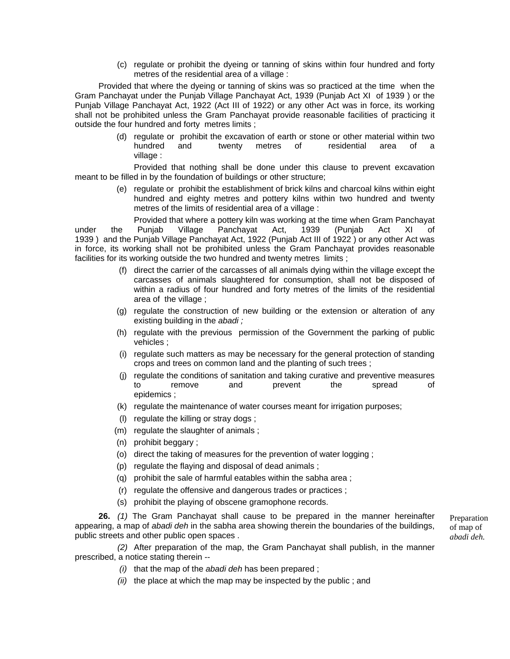(c) regulate or prohibit the dyeing or tanning of skins within four hundred and forty metres of the residential area of a village :

Provided that where the dyeing or tanning of skins was so practiced at the time when the Gram Panchayat under the Punjab Village Panchayat Act, 1939 (Punjab Act XI of 1939 ) or the Punjab Village Panchayat Act, 1922 (Act III of 1922) or any other Act was in force, its working shall not be prohibited unless the Gram Panchayat provide reasonable facilities of practicing it outside the four hundred and forty metres limits ;

> (d) regulate or prohibit the excavation of earth or stone or other material within two hundred and twenty metres of residential area of a village :

Provided that nothing shall be done under this clause to prevent excavation meant to be filled in by the foundation of buildings or other structure;

> (e) regulate or prohibit the establishment of brick kilns and charcoal kilns within eight hundred and eighty metres and pottery kilns within two hundred and twenty metres of the limits of residential area of a village :

Provided that where a pottery kiln was working at the time when Gram Panchayat under the Punjab Village Panchayat Act, 1939 (Punjab Act XI of 1939 ) and the Punjab Village Panchayat Act, 1922 (Punjab Act III of 1922 ) or any other Act was in force, its working shall not be prohibited unless the Gram Panchayat provides reasonable facilities for its working outside the two hundred and twenty metres limits ;

- (f) direct the carrier of the carcasses of all animals dying within the village except the carcasses of animals slaughtered for consumption, shall not be disposed of within a radius of four hundred and forty metres of the limits of the residential area of the village ;
- (g) regulate the construction of new building or the extension or alteration of any existing building in the *abadi ;*
- (h) regulate with the previous permission of the Government the parking of public vehicles ;
- (i) regulate such matters as may be necessary for the general protection of standing crops and trees on common land and the planting of such trees ;
- (j) regulate the conditions of sanitation and taking curative and preventive measures to remove and prevent the spread of epidemics ;
- (k) regulate the maintenance of water courses meant for irrigation purposes;
- (l) regulate the killing or stray dogs ;
- (m) regulate the slaughter of animals ;
- (n) prohibit beggary ;
- (o) direct the taking of measures for the prevention of water logging ;
- (p) regulate the flaying and disposal of dead animals ;
- (q) prohibit the sale of harmful eatables within the sabha area ;
- (r) regulate the offensive and dangerous trades or practices ;
- (s) prohibit the playing of obscene gramophone records.

**26.** *(1)* The Gram Panchayat shall cause to be prepared in the manner hereinafter appearing, a map of *abadi deh* in the sabha area showing therein the boundaries of the buildings, public streets and other public open spaces .

*(2)* After preparation of the map, the Gram Panchayat shall publish, in the manner prescribed, a notice stating therein --

- *(i)* that the map of the *abadi deh* has been prepared ;
- *(ii)* the place at which the map may be inspected by the public ; and

Preparation of map of *abadi deh.*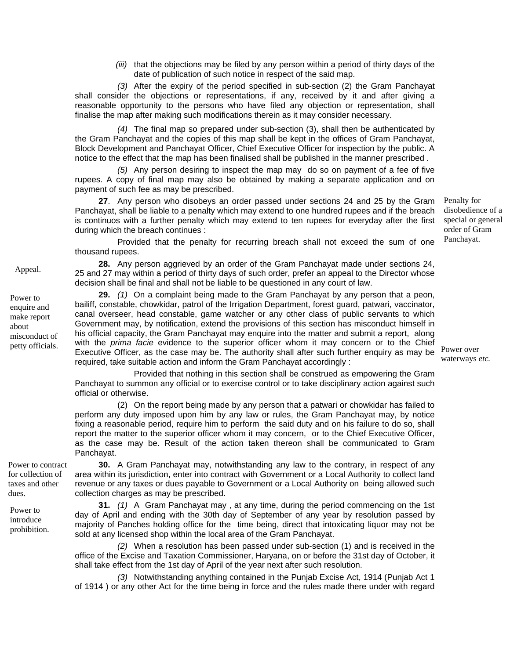*(iii)* that the objections may be filed by any person within a period of thirty days of the date of publication of such notice in respect of the said map.

*(3)* After the expiry of the period specified in sub-section (2) the Gram Panchayat shall consider the objections or representations, if any, received by it and after giving a reasonable opportunity to the persons who have filed any objection or representation, shall finalise the map after making such modifications therein as it may consider necessary.

*(4)* The final map so prepared under sub-section (3), shall then be authenticated by the Gram Panchayat and the copies of this map shall be kept in the offices of Gram Panchayat, Block Development and Panchayat Officer, Chief Executive Officer for inspection by the public. A notice to the effect that the map has been finalised shall be published in the manner prescribed .

*(5)* Any person desiring to inspect the map may do so on payment of a fee of five rupees. A copy of final map may also be obtained by making a separate application and on payment of such fee as may be prescribed.

**27**. Any person who disobeys an order passed under sections 24 and 25 by the Gram Panchayat, shall be liable to a penalty which may extend to one hundred rupees and if the breach is continuos with a further penalty which may extend to ten rupees for everyday after the first during which the breach continues :

Provided that the penalty for recurring breach shall not exceed the sum of one thousand rupees.

**28.** Any person aggrieved by an order of the Gram Panchayat made under sections 24, 25 and 27 may within a period of thirty days of such order, prefer an appeal to the Director whose decision shall be final and shall not be liable to be questioned in any court of law.

**29.** *(1)* On a complaint being made to the Gram Panchayat by any person that a peon, bailiff, constable, chowkidar, patrol of the Irrigation Department, forest guard, patwari, vaccinator, canal overseer, head constable, game watcher or any other class of public servants to which Government may, by notification, extend the provisions of this section has misconduct himself in his official capacity, the Gram Panchayat may enquire into the matter and submit a report, along with the *prima facie* evidence to the superior officer whom it may concern or to the Chief Executive Officer, as the case may be. The authority shall after such further enquiry as may be required, take suitable action and inform the Gram Panchayat accordingly :

Provided that nothing in this section shall be construed as empowering the Gram Panchayat to summon any official or to exercise control or to take disciplinary action against such official or otherwise.

(2) On the report being made by any person that a patwari or chowkidar has failed to perform any duty imposed upon him by any law or rules, the Gram Panchayat may, by notice fixing a reasonable period, require him to perform the said duty and on his failure to do so, shall report the matter to the superior officer whom it may concern, or to the Chief Executive Officer, as the case may be. Result of the action taken thereon shall be communicated to Gram Panchayat.

Power to contract for collection of taxes and other dues.

Power to introduce prohibition.

Appeal.

Power to enquire and make report about

misconduct of petty officials.

> **30.** A Gram Panchayat may, notwithstanding any law to the contrary, in respect of any area within its jurisdiction, enter into contract with Government or a Local Authority to collect land revenue or any taxes or dues payable to Government or a Local Authority on being allowed such collection charges as may be prescribed.

> **31.** *(1)* A Gram Panchayat may , at any time, during the period commencing on the 1st day of April and ending with the 30th day of September of any year by resolution passed by majority of Panches holding office for the time being, direct that intoxicating liquor may not be sold at any licensed shop within the local area of the Gram Panchayat.

> *(2)* When a resolution has been passed under sub-section (1) and is received in the office of the Excise and Taxation Commissioner, Haryana, on or before the 31st day of October, it shall take effect from the 1st day of April of the year next after such resolution.

> *(3)* Notwithstanding anything contained in the Punjab Excise Act, 1914 (Punjab Act 1 of 1914 ) or any other Act for the time being in force and the rules made there under with regard

Penalty for disobedience of a special or general order of Gram Panchayat.

Power over waterways *etc.*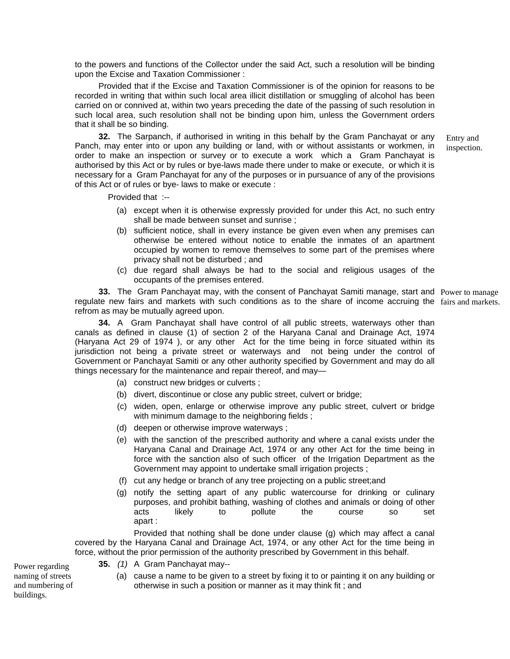to the powers and functions of the Collector under the said Act, such a resolution will be binding upon the Excise and Taxation Commissioner :

Provided that if the Excise and Taxation Commissioner is of the opinion for reasons to be recorded in writing that within such local area illicit distillation or smuggling of alcohol has been carried on or connived at, within two years preceding the date of the passing of such resolution in such local area, such resolution shall not be binding upon him, unless the Government orders that it shall be so binding.

Entry and inspection. **32.** The Sarpanch, if authorised in writing in this behalf by the Gram Panchayat or any Panch, may enter into or upon any building or land, with or without assistants or workmen, in order to make an inspection or survey or to execute a work which a Gram Panchayat is authorised by this Act or by rules or bye-laws made there under to make or execute, or which it is necessary for a Gram Panchayat for any of the purposes or in pursuance of any of the provisions of this Act or of rules or bye- laws to make or execute :

Provided that :--

- (a) except when it is otherwise expressly provided for under this Act, no such entry shall be made between sunset and sunrise ;
- (b) sufficient notice, shall in every instance be given even when any premises can otherwise be entered without notice to enable the inmates of an apartment occupied by women to remove themselves to some part of the premises where privacy shall not be disturbed ; and
- (c) due regard shall always be had to the social and religious usages of the occupants of the premises entered.

**33.** The Gram Panchayat may, with the consent of Panchayat Samiti manage, start and Power to manage regulate new fairs and markets with such conditions as to the share of income accruing the fairs and markets. refrom as may be mutually agreed upon.

**34.** A Gram Panchayat shall have control of all public streets, waterways other than canals as defined in clause (1) of section 2 of the Haryana Canal and Drainage Act, 1974 (Haryana Act 29 of 1974 ), or any other Act for the time being in force situated within its jurisdiction not being a private street or waterways and not being under the control of Government or Panchayat Samiti or any other authority specified by Government and may do all things necessary for the maintenance and repair thereof, and may—

- (a) construct new bridges or culverts ;
- (b) divert, discontinue or close any public street, culvert or bridge;
- (c) widen, open, enlarge or otherwise improve any public street, culvert or bridge with minimum damage to the neighboring fields;
- (d) deepen or otherwise improve waterways ;
- (e) with the sanction of the prescribed authority and where a canal exists under the Haryana Canal and Drainage Act, 1974 or any other Act for the time being in force with the sanction also of such officer of the Irrigation Department as the Government may appoint to undertake small irrigation projects ;
- (f) cut any hedge or branch of any tree projecting on a public street;and
- (g) notify the setting apart of any public watercourse for drinking or culinary purposes, and prohibit bathing, washing of clothes and animals or doing of other acts likely to pollute the course so set apart :

Provided that nothing shall be done under clause (g) which may affect a canal covered by the Haryana Canal and Drainage Act, 1974, or any other Act for the time being in force, without the prior permission of the authority prescribed by Government in this behalf.

**35.** *(1)* A Gram Panchayat may--

Power regarding naming of streets and numbering of buildings.

(a) cause a name to be given to a street by fixing it to or painting it on any building or otherwise in such a position or manner as it may think fit ; and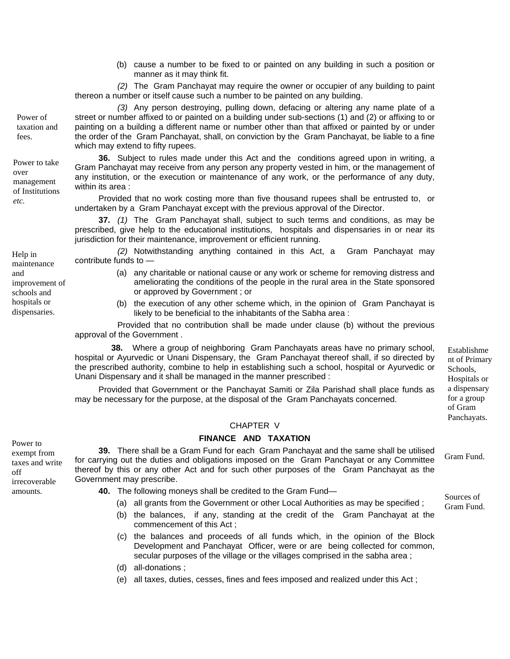(b) cause a number to be fixed to or painted on any building in such a position or manner as it may think fit.

 *(2)* The Gram Panchayat may require the owner or occupier of any building to paint thereon a number or itself cause such a number to be painted on any building.

*(3)* Any person destroying, pulling down, defacing or altering any name plate of a street or number affixed to or painted on a building under sub-sections (1) and (2) or affixing to or painting on a building a different name or number other than that affixed or painted by or under the order of the Gram Panchayat, shall, on conviction by the Gram Panchayat, be liable to a fine which may extend to fifty rupees.

**36.** Subject to rules made under this Act and the conditions agreed upon in writing, a Gram Panchayat may receive from any person any property vested in him, or the management of any institution, or the execution or maintenance of any work, or the performance of any duty, within its area :

*etc.* Provided that no work costing more than five thousand rupees shall be entrusted to, or undertaken by a Gram Panchayat except with the previous approval of the Director.

> **37.** *(1)* The Gram Panchayat shall, subject to such terms and conditions, as may be prescribed, give help to the educational institutions, hospitals and dispensaries in or near its jurisdiction for their maintenance, improvement or efficient running.

*(2)* Notwithstanding anything contained in this Act, a Gram Panchayat may  $\text{Help in}$   $(2)$  NOW

- (a) any charitable or national cause or any work or scheme for removing distress and ameliorating the conditions of the people in the rural area in the State sponsored or approved by Government ; or
- (b) the execution of any other scheme which, in the opinion of Gram Panchayat is likely to be beneficial to the inhabitants of the Sabha area :

Provided that no contribution shall be made under clause (b) without the previous approval of the Government .

**38.** Where a group of neighboring Gram Panchayats areas have no primary school, hospital or Ayurvedic or Unani Dispensary, the Gram Panchayat thereof shall, if so directed by the prescribed authority, combine to help in establishing such a school, hospital or Ayurvedic or Unani Dispensary and it shall be managed in the manner prescribed :

Provided that Government or the Panchayat Samiti or Zila Parishad shall place funds as may be necessary for the purpose, at the disposal of the Gram Panchayats concerned.

#### CHAPTER V

# Power to **FINANCE AND TAXATION**

**39.** There shall be a Gram Fund for each Gram Panchayat and the same shall be utilised for carrying out the duties and obligations imposed on the Gram Panchayat or any Committee thereof by this or any other Act and for such other purposes of the Gram Panchayat as the Government may prescribe.

- **40.** The following moneys shall be credited to the Gram Fund—
	- (a) all grants from the Government or other Local Authorities as may be specified ;
	- (b) the balances, if any, standing at the credit of the Gram Panchayat at the commencement of this Act ;
	- (c) the balances and proceeds of all funds which, in the opinion of the Block Development and Panchayat Officer, were or are being collected for common, secular purposes of the village or the villages comprised in the sabha area ;
	- (d) all-donations ;
	- (e) all taxes, duties, cesses, fines and fees imposed and realized under this Act ;

taxation and fees.

Power of

Power to take over management of Institutions

and improvement of schools and hospitals or dispensaries.

maintenance

exempt from taxes and write off irrecoverable amounts.

Sources of Gram Fund.

Gram Fund.

Establishme nt of Primary Schools, Hospitals or a dispensary for a group of Gram Panchayats.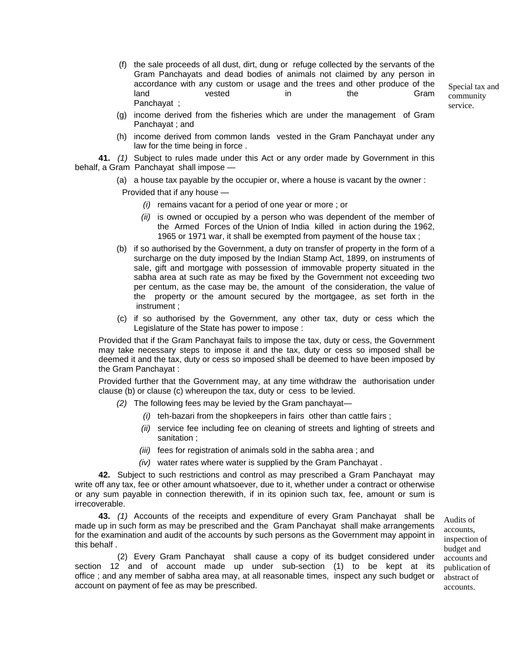(f) the sale proceeds of all dust, dirt, dung or refuge collected by the servants of the Gram Panchayats and dead bodies of animals not claimed by any person in accordance with any custom or usage and the trees and other produce of the land vested in the Gram Panchayat ;

Special tax and community service.

- (g) income derived from the fisheries which are under the management of Gram Panchayat ; and
- (h) income derived from common lands vested in the Gram Panchayat under any law for the time being in force .

**41.** *(1)* Subject to rules made under this Act or any order made by Government in this behalf, a Gram Panchayat shall impose —

(a) a house tax payable by the occupier or, where a house is vacant by the owner :

Provided that if any house —

- *(i)* remains vacant for a period of one year or more ; or
- *(ii)* is owned or occupied by a person who was dependent of the member of the Armed Forces of the Union of India killed in action during the 1962, 1965 or 1971 war, it shall be exempted from payment of the house tax ;
- (b) if so authorised by the Government, a duty on transfer of property in the form of a surcharge on the duty imposed by the Indian Stamp Act, 1899, on instruments of sale, gift and mortgage with possession of immovable property situated in the sabha area at such rate as may be fixed by the Government not exceeding two per centum, as the case may be, the amount of the consideration, the value of the property or the amount secured by the mortgagee, as set forth in the instrument ;
- (c) if so authorised by the Government, any other tax, duty or cess which the Legislature of the State has power to impose :

Provided that if the Gram Panchayat fails to impose the tax, duty or cess, the Government may take necessary steps to impose it and the tax, duty or cess so imposed shall be deemed it and the tax, duty or cess so imposed shall be deemed to have been imposed by the Gram Panchayat :

Provided further that the Government may, at any time withdraw the authorisation under clause (b) or clause (c) whereupon the tax, duty or cess to be levied.

- *(2)* The following fees may be levied by the Gram panchayat—
	- *(i)* teh-bazari from the shopkeepers in fairs other than cattle fairs ;
	- *(ii)* service fee including fee on cleaning of streets and lighting of streets and sanitation ;
	- *(iii)* fees for registration of animals sold in the sabha area ; and
	- *(iv)* water rates where water is supplied by the Gram Panchayat .

**42.** Subject to such restrictions and control as may prescribed a Gram Panchayat may write off any tax, fee or other amount whatsoever, due to it, whether under a contract or otherwise or any sum payable in connection therewith, if in its opinion such tax, fee, amount or sum is irrecoverable.

**43.** *(1)* Accounts of the receipts and expenditure of every Gram Panchayat shall be made up in such form as may be prescribed and the Gram Panchayat shall make arrangements for the examination and audit of the accounts by such persons as the Government may appoint in this behalf .

(2) Every Gram Panchayat shall cause a copy of its budget considered under section 12 and of account made up under sub-section (1) to be kept at its office ; and any member of sabha area may, at all reasonable times, inspect any such budget or account on payment of fee as may be prescribed.

Audits of accounts, inspection of budget and accounts and publication of abstract of accounts.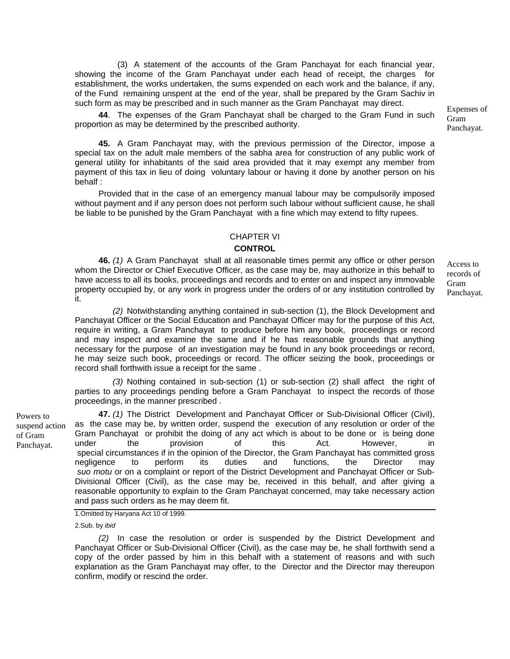(3) A statement of the accounts of the Gram Panchayat for each financial year, showing the income of the Gram Panchayat under each head of receipt, the charges for establishment, the works undertaken, the sums expended on each work and the balance, if any, of the Fund remaining unspent at the end of the year, shall be prepared by the Gram Sachiv in such form as may be prescribed and in such manner as the Gram Panchayat may direct.<br>Expenses of

**44**. The expenses of the Gram Panchayat shall be charged to the Gram Fund in such proportion as may be determined by the prescribed authority.

**45.** A Gram Panchayat may, with the previous permission of the Director, impose a special tax on the adult male members of the sabha area for construction of any public work of general utility for inhabitants of the said area provided that it may exempt any member from payment of this tax in lieu of doing voluntary labour or having it done by another person on his behalf :

Provided that in the case of an emergency manual labour may be compulsorily imposed without payment and if any person does not perform such labour without sufficient cause, he shall be liable to be punished by the Gram Panchayat with a fine which may extend to fifty rupees.

#### CHAPTER VI

#### **CONTROL**

**46.** *(1)* A Gram Panchayat shall at all reasonable times permit any office or other person whom the Director or Chief Executive Officer, as the case may be, may authorize in this behalf to have access to all its books, proceedings and records and to enter on and inspect any immovable property occupied by, or any work in progress under the orders of or any institution controlled by it.

*(2)* Notwithstanding anything contained in sub-section (1), the Block Development and Panchayat Officer or the Social Education and Panchayat Officer may for the purpose of this Act, require in writing, a Gram Panchayat to produce before him any book, proceedings or record and may inspect and examine the same and if he has reasonable grounds that anything necessary for the purpose of an investigation may be found in any book proceedings or record, he may seize such book, proceedings or record. The officer seizing the book, proceedings or record shall forthwith issue a receipt for the same .

 *(3)* Nothing contained in sub-section (1) or sub-section (2) shall affect the right of parties to any proceedings pending before a Gram Panchayat to inspect the records of those proceedings, in the manner prescribed .

Powers to suspend action of Gram Panchayat. **47.** *(1)* The District Development and Panchayat Officer or Sub-Divisional Officer (Civil), as the case may be, by written order, suspend the execution of any resolution or order of the Gram Panchayat or prohibit the doing of any act which is about to be done or is being done under the provision of this Act. However, in special circumstances if in the opinion of the Director, the Gram Panchayat has committed gross negligence to perform its duties and functions, the Director may *suo motu* or on a complaint or report of the District Development and Panchayat Officer or Sub-Divisional Officer (Civil), as the case may be, received in this behalf, and after giving a reasonable opportunity to explain to the Gram Panchayat concerned, may take necessary action and pass such orders as he may deem fit.

1.Omitted by Haryana Act 10 of 1999.

2.Sub. by *ibid*

*(2)* In case the resolution or order is suspended by the District Development and Panchayat Officer or Sub-Divisional Officer (Civil), as the case may be, he shall forthwith send a copy of the order passed by him in this behalf with a statement of reasons and with such explanation as the Gram Panchayat may offer, to the Director and the Director may thereupon confirm, modify or rescind the order.

Access to records of Gram Panchayat.

Gram Panchayat.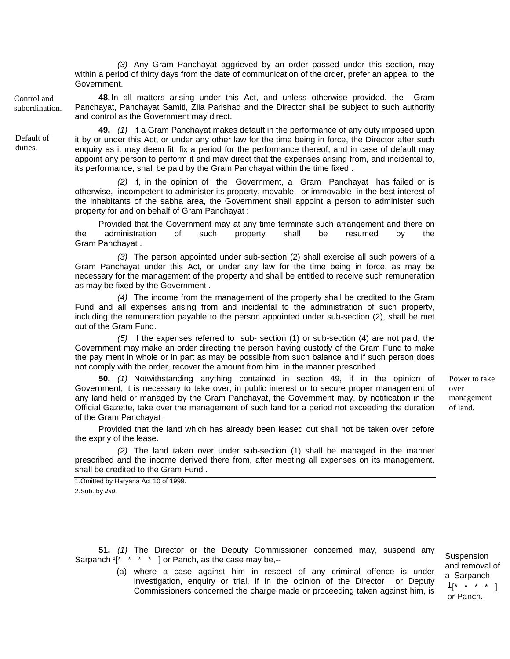*(3)* Any Gram Panchayat aggrieved by an order passed under this section, may within a period of thirty days from the date of communication of the order, prefer an appeal to the Government.

Control and subordination. **48.**In all matters arising under this Act, and unless otherwise provided, the Gram Panchayat, Panchayat Samiti, Zila Parishad and the Director shall be subject to such authority and control as the Government may direct.

> **49.** *(1)* If a Gram Panchayat makes default in the performance of any duty imposed upon it by or under this Act, or under any other law for the time being in force, the Director after such enquiry as it may deem fit, fix a period for the performance thereof, and in case of default may appoint any person to perform it and may direct that the expenses arising from, and incidental to, its performance, shall be paid by the Gram Panchayat within the time fixed .

> *(2)* If, in the opinion of the Government, a Gram Panchayat has failed or is otherwise, incompetent to administer its property, movable, or immovable in the best interest of the inhabitants of the sabha area, the Government shall appoint a person to administer such property for and on behalf of Gram Panchayat :

> Provided that the Government may at any time terminate such arrangement and there on the administration of such property shall be resumed by the Gram Panchayat .

> *(3)* The person appointed under sub-section (2) shall exercise all such powers of a Gram Panchayat under this Act, or under any law for the time being in force, as may be necessary for the management of the property and shall be entitled to receive such remuneration as may be fixed by the Government .

> *(4)* The income from the management of the property shall be credited to the Gram Fund and all expenses arising from and incidental to the administration of such property, including the remuneration payable to the person appointed under sub-section (2), shall be met out of the Gram Fund.

> *(5)* If the expenses referred to sub- section (1) or sub-section (4) are not paid, the Government may make an order directing the person having custody of the Gram Fund to make the pay ment in whole or in part as may be possible from such balance and if such person does not comply with the order, recover the amount from him, in the manner prescribed .

**50.** *(1)* Notwithstanding anything contained in section 49, if in the opinion of Government, it is necessary to take over, in public interest or to secure proper management of any land held or managed by the Gram Panchayat, the Government may, by notification in the Official Gazette, take over the management of such land for a period not exceeding the duration of the Gram Panchayat :

Provided that the land which has already been leased out shall not be taken over before the expriy of the lease.

*(2)* The land taken over under sub-section (1) shall be managed in the manner prescribed and the income derived there from, after meeting all expenses on its management, shall be credited to the Gram Fund .

1.Omitted by Haryana Act 10 of 1999. 2.Sub. by *ibid.*

**51.** *(1)* The Director or the Deputy Commissioner concerned may, suspend any Sarpanch  $1^*$  \* \* \* 1 or Panch, as the case may be,--

> (a) where a case against him in respect of any criminal offence is under investigation, enquiry or trial, if in the opinion of the Director or Deputy Commissioners concerned the charge made or proceeding taken against him, is

over management of land.

Power to take

**Suspension** and removal of a Sarpanch  $1$ [\* \* \* \* ] or Panch.

Default of duties.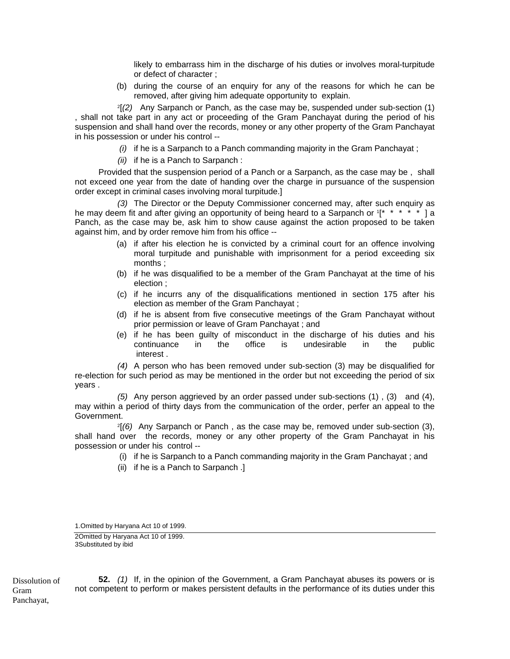likely to embarrass him in the discharge of his duties or involves moral-turpitude or defect of character ;

(b) during the course of an enquiry for any of the reasons for which he can be removed, after giving him adequate opportunity to explain.

2[*(2)* Any Sarpanch or Panch, as the case may be, suspended under sub-section (1) , shall not take part in any act or proceeding of the Gram Panchayat during the period of his suspension and shall hand over the records, money or any other property of the Gram Panchayat in his possession or under his control --

- *(i)* if he is a Sarpanch to a Panch commanding majority in the Gram Panchayat ;
- *(ii)* if he is a Panch to Sarpanch :

Provided that the suspension period of a Panch or a Sarpanch, as the case may be , shall not exceed one year from the date of handing over the charge in pursuance of the suspension order except in criminal cases involving moral turpitude.]

*(3)* The Director or the Deputy Commissioner concerned may, after such enquiry as he may deem fit and after giving an opportunity of being heard to a Sarpanch or  $1^*$  \* \* \* \* ] a Panch, as the case may be, ask him to show cause against the action proposed to be taken against him, and by order remove him from his office --

- (a) if after his election he is convicted by a criminal court for an offence involving moral turpitude and punishable with imprisonment for a period exceeding six months ;
- (b) if he was disqualified to be a member of the Gram Panchayat at the time of his election ;
- (c) if he incurrs any of the disqualifications mentioned in section 175 after his election as member of the Gram Panchayat ;
- (d) if he is absent from five consecutive meetings of the Gram Panchayat without prior permission or leave of Gram Panchayat ; and
- (e) if he has been guilty of misconduct in the discharge of his duties and his continuance in the office is undesirable in the public interest .

*(4)* A person who has been removed under sub-section (3) may be disqualified for re-election for such period as may be mentioned in the order but not exceeding the period of six years .

 *(5)* Any person aggrieved by an order passed under sub-sections (1) , (3) and (4), may within a period of thirty days from the communication of the order, perfer an appeal to the Government.

 2[*(6)* Any Sarpanch or Panch , as the case may be, removed under sub-section (3), shall hand over the records, money or any other property of the Gram Panchayat in his possession or under his control --

- (i) if he is Sarpanch to a Panch commanding majority in the Gram Panchayat ; and
- (ii) if he is a Panch to Sarpanch .]

1.Omitted by Haryana Act 10 of 1999.

2Omitted by Haryana Act 10 of 1999. 3Substituted by ibid

Dissolution of Gram Panchayat,

**52.** *(1)* If, in the opinion of the Government, a Gram Panchayat abuses its powers or is not competent to perform or makes persistent defaults in the performance of its duties under this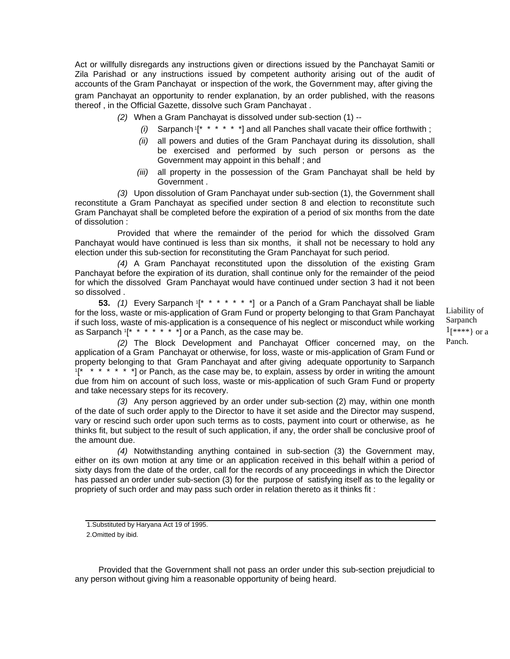Act or willfully disregards any instructions given or directions issued by the Panchayat Samiti or Zila Parishad or any instructions issued by competent authority arising out of the audit of accounts of the Gram Panchayat or inspection of the work, the Government may, after giving the gram Panchayat an opportunity to render explanation, by an order published, with the reasons thereof , in the Official Gazette, dissolve such Gram Panchayat .

- *(2)* When a Gram Panchayat is dissolved under sub-section (1) --
	- *(i)* Sarpanch 1[\* \* \* \* \* \*] and all Panches shall vacate their office forthwith ;
	- *(ii)* all powers and duties of the Gram Panchayat during its dissolution, shall be exercised and performed by such person or persons as the Government may appoint in this behalf ; and
	- *(iii)* all property in the possession of the Gram Panchayat shall be held by Government .

*(3)* Upon dissolution of Gram Panchayat under sub-section (1), the Government shall reconstitute a Gram Panchayat as specified under section 8 and election to reconstitute such Gram Panchayat shall be completed before the expiration of a period of six months from the date of dissolution :

Provided that where the remainder of the period for which the dissolved Gram Panchayat would have continued is less than six months, it shall not be necessary to hold any election under this sub-section for reconstituting the Gram Panchayat for such period.

*(4)* A Gram Panchayat reconstituted upon the dissolution of the existing Gram Panchayat before the expiration of its duration, shall continue only for the remainder of the peiod for which the dissolved Gram Panchayat would have continued under section 3 had it not been so dissolved .

**53.** *(1)* Every Sarpanch 1[\* \* \* \* \* \* \*] or a Panch of a Gram Panchayat shall be liable for the loss, waste or mis-application of Gram Fund or property belonging to that Gram Panchayat if such loss, waste of mis-application is a consequence of his neglect or misconduct while working as Sarpanch  $1^*$  \* \* \* \* \* \* 1 or a Panch, as the case may be.

Liability of Sarpanch 1[\*\*\*\*} or a Panch.

*(2)* The Block Development and Panchayat Officer concerned may, on the application of a Gram Panchayat or otherwise, for loss, waste or mis-application of Gram Fund or property belonging to that Gram Panchayat and after giving adequate opportunity to Sarpanch  $1$ <sup>\*</sup> \* \* \* \* \* <sup>\*</sup>] or Panch, as the case may be, to explain, assess by order in writing the amount due from him on account of such loss, waste or mis-application of such Gram Fund or property and take necessary steps for its recovery.

*(3)* Any person aggrieved by an order under sub-section (2) may, within one month of the date of such order apply to the Director to have it set aside and the Director may suspend, vary or rescind such order upon such terms as to costs, payment into court or otherwise, as he thinks fit, but subject to the result of such application, if any, the order shall be conclusive proof of the amount due.

*(4)* Notwithstanding anything contained in sub-section (3) the Government may, either on its own motion at any time or an application received in this behalf within a period of sixty days from the date of the order, call for the records of any proceedings in which the Director has passed an order under sub-section (3) for the purpose of satisfying itself as to the legality or propriety of such order and may pass such order in relation thereto as it thinks fit :

Provided that the Government shall not pass an order under this sub-section prejudicial to any person without giving him a reasonable opportunity of being heard.

<sup>1.</sup>Substituted by Haryana Act 19 of 1995. 2.Omitted by ibid.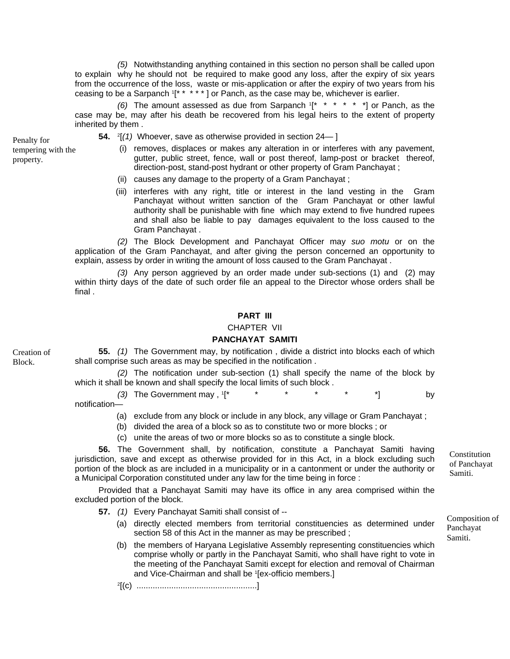*(5)* Notwithstanding anything contained in this section no person shall be called upon to explain why he should not be required to make good any loss, after the expiry of six years from the occurrence of the loss, waste or mis-application or after the expiry of two years from his ceasing to be a Sarpanch  $1^*$  \* \* \* \* ] or Panch, as the case may be, whichever is earlier.

*(6)* The amount assessed as due from Sarpanch 1[\* \* \* \* \* \*] or Panch, as the case may be, may after his death be recovered from his legal heirs to the extent of property inherited by them .

tempering with the property.

**54.** 2[*(1)* Whoever, save as otherwise provided in section 24— ] Penalty for

- (i) removes, displaces or makes any alteration in or interferes with any pavement, gutter, public street, fence, wall or post thereof, lamp-post or bracket thereof, direction-post, stand-post hydrant or other property of Gram Panchayat ;
- (ii) causes any damage to the property of a Gram Panchayat ;
- (iii) interferes with any right, title or interest in the land vesting in the Gram Panchayat without written sanction of the Gram Panchayat or other lawful authority shall be punishable with fine which may extend to five hundred rupees and shall also be liable to pay damages equivalent to the loss caused to the Gram Panchayat .

*(2)* The Block Development and Panchayat Officer may *suo motu* or on the application of the Gram Panchayat, and after giving the person concerned an opportunity to explain, assess by order in writing the amount of loss caused to the Gram Panchayat .

*(3)* Any person aggrieved by an order made under sub-sections (1) and (2) may within thirty days of the date of such order file an appeal to the Director whose orders shall be final .

#### **PART III**

#### CHAPTER VII

#### **PANCHAYAT SAMITI**

Creation of Block.

**55.** *(1)* The Government may, by notification , divide a district into blocks each of which shall comprise such areas as may be specified in the notification .

*(2)* The notification under sub-section (1) shall specify the name of the block by which it shall be known and shall specify the local limits of such block .

(3) The Government may ,  $1^*$   $\cdots$   $\cdots$   $\cdots$   $\cdots$   $\cdots$   $\cdots$   $\cdots$  by notification—

- (a) exclude from any block or include in any block, any village or Gram Panchayat ;
- (b) divided the area of a block so as to constitute two or more blocks ; or
- (c) unite the areas of two or more blocks so as to constitute a single block.

**56.** The Government shall, by notification, constitute a Panchayat Samiti having jurisdiction, save and except as otherwise provided for in this Act, in a block excluding such portion of the block as are included in a municipality or in a cantonment or under the authority or a Municipal Corporation constituted under any law for the time being in force :

Provided that a Panchayat Samiti may have its office in any area comprised within the excluded portion of the block.

**57.** *(1)* Every Panchayat Samiti shall consist of --

- (a) directly elected members from territorial constituencies as determined under section 58 of this Act in the manner as may be prescribed ;
- (b) the members of Haryana Legislative Assembly representing constituencies which comprise wholly or partly in the Panchayat Samiti, who shall have right to vote in the meeting of the Panchayat Samiti except for election and removal of Chairman and Vice-Chairman and shall be 1[ex-officio members.]
- 2[(c) ....................................................]

Constitution of Panchayat Samiti.

Composition of Panchayat Samiti.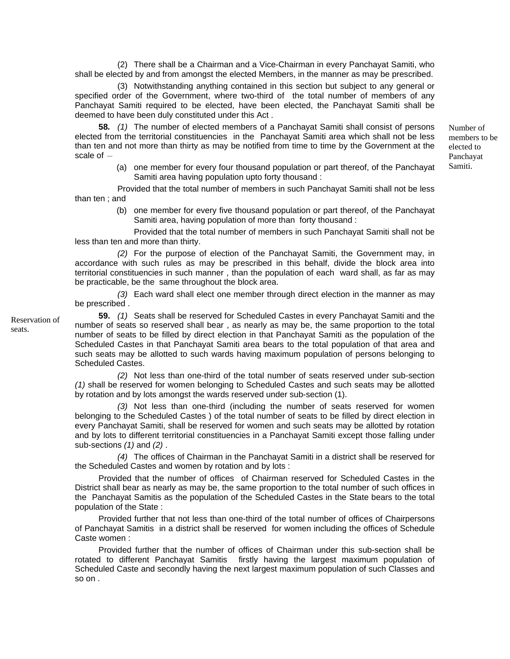(2) There shall be a Chairman and a Vice-Chairman in every Panchayat Samiti, who shall be elected by and from amongst the elected Members, in the manner as may be prescribed.

(3) Notwithstanding anything contained in this section but subject to any general or specified order of the Government, where two-third of the total number of members of any Panchayat Samiti required to be elected, have been elected, the Panchayat Samiti shall be deemed to have been duly constituted under this Act .

**58***. (1)* The number of elected members of a Panchayat Samiti shall consist of persons elected from the territorial constituencies in the Panchayat Samiti area which shall not be less than ten and not more than thirty as may be notified from time to time by the Government at the scale of  $-$ 

> (a) one member for every four thousand population or part thereof, of the Panchayat Samiti area having population upto forty thousand :

Provided that the total number of members in such Panchayat Samiti shall not be less than ten ; and

> (b) one member for every five thousand population or part thereof, of the Panchayat Samiti area, having population of more than forty thousand :

Provided that the total number of members in such Panchayat Samiti shall not be less than ten and more than thirty.

*(2)* For the purpose of election of the Panchayat Samiti, the Government may, in accordance with such rules as may be prescribed in this behalf, divide the block area into territorial constituencies in such manner , than the population of each ward shall, as far as may be practicable, be the same throughout the block area.

*(3)* Each ward shall elect one member through direct election in the manner as may be prescribed .

**59.** *(1)* Seats shall be reserved for Scheduled Castes in every Panchayat Samiti and the number of seats so reserved shall bear , as nearly as may be, the same proportion to the total number of seats to be filled by direct election in that Panchayat Samiti as the population of the Scheduled Castes in that Panchayat Samiti area bears to the total population of that area and such seats may be allotted to such wards having maximum population of persons belonging to Scheduled Castes.

*(2)* Not less than one-third of the total number of seats reserved under sub-section *(1)* shall be reserved for women belonging to Scheduled Castes and such seats may be allotted by rotation and by lots amongst the wards reserved under sub-section (1).

*(3)* Not less than one-third (including the number of seats reserved for women belonging to the Scheduled Castes ) of the total number of seats to be filled by direct election in every Panchayat Samiti, shall be reserved for women and such seats may be allotted by rotation and by lots to different territorial constituencies in a Panchayat Samiti except those falling under sub-sections *(1)* and *(2)* .

*(4)* The offices of Chairman in the Panchayat Samiti in a district shall be reserved for the Scheduled Castes and women by rotation and by lots :

Provided that the number of offices of Chairman reserved for Scheduled Castes in the District shall bear as nearly as may be, the same proportion to the total number of such offices in the Panchayat Samitis as the population of the Scheduled Castes in the State bears to the total population of the State :

Provided further that not less than one-third of the total number of offices of Chairpersons of Panchayat Samitis in a district shall be reserved for women including the offices of Schedule Caste women :

Provided further that the number of offices of Chairman under this sub-section shall be rotated to different Panchayat Samitis firstly having the largest maximum population of Scheduled Caste and secondly having the next largest maximum population of such Classes and so on .

Reservation of seats.

Number of members to be elected to Panchayat Samiti.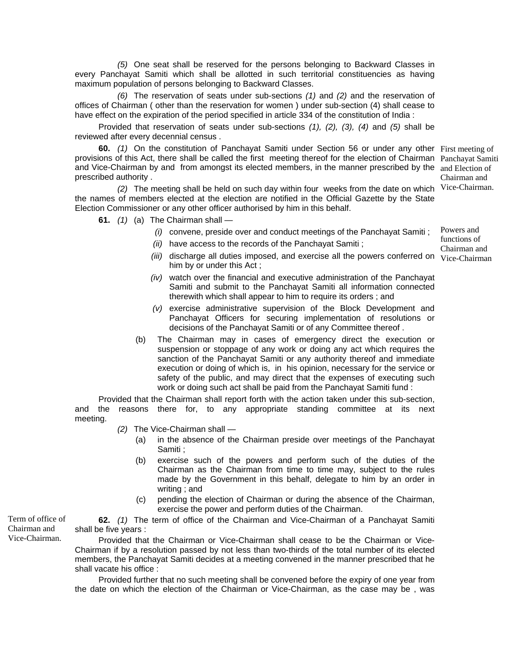*(5)* One seat shall be reserved for the persons belonging to Backward Classes in every Panchayat Samiti which shall be allotted in such territorial constituencies as having maximum population of persons belonging to Backward Classes.

*(6)* The reservation of seats under sub-sections *(1)* and *(2)* and the reservation of offices of Chairman ( other than the reservation for women ) under sub-section (4) shall cease to have effect on the expiration of the period specified in article 334 of the constitution of India :

Provided that reservation of seats under sub-sections *(1), (2), (3), (4)* and *(5)* shall be reviewed after every decennial census .

**60.** *(1)* On the constitution of Panchayat Samiti under Section 56 or under any other First meeting of provisions of this Act, there shall be called the first meeting thereof for the election of Chairman Panchayat Samiti and Vice-Chairman by and from amongst its elected members, in the manner prescribed by the and Election of prescribed authority . Chairman and

*(2)* The meeting shall be held on such day within four weeks from the date on which Vice-Chairman. the names of members elected at the election are notified in the Official Gazette by the State Election Commissioner or any other officer authorised by him in this behalf.

**61.** *(1)* (a) The Chairman shall —

- *(i)* convene, preside over and conduct meetings of the Panchayat Samiti ;
- *(ii)* have access to the records of the Panchayat Samiti ;
- (iii) discharge all duties imposed, and exercise all the powers conferred on Vice-Chairman him by or under this Act ;
- *(iv)* watch over the financial and executive administration of the Panchayat Samiti and submit to the Panchayat Samiti all information connected therewith which shall appear to him to require its orders ; and
- *(v)* exercise administrative supervision of the Block Development and Panchayat Officers for securing implementation of resolutions or decisions of the Panchayat Samiti or of any Committee thereof .
- (b) The Chairman may in cases of emergency direct the execution or suspension or stoppage of any work or doing any act which requires the sanction of the Panchayat Samiti or any authority thereof and immediate execution or doing of which is, in his opinion, necessary for the service or safety of the public, and may direct that the expenses of executing such work or doing such act shall be paid from the Panchayat Samiti fund :

Provided that the Chairman shall report forth with the action taken under this sub-section, and the reasons there for, to any appropriate standing committee at its next meeting.

- *(2)* The Vice-Chairman shall
	- (a) in the absence of the Chairman preside over meetings of the Panchayat Samiti ;
	- (b) exercise such of the powers and perform such of the duties of the Chairman as the Chairman from time to time may, subject to the rules made by the Government in this behalf, delegate to him by an order in writing ; and
	- (c) pending the election of Chairman or during the absence of the Chairman, exercise the power and perform duties of the Chairman.

**62.** *(1)* The term of office of the Chairman and Vice-Chairman of a Panchayat Samiti shall be five years :

Provided that the Chairman or Vice-Chairman shall cease to be the Chairman or Vice-Chairman if by a resolution passed by not less than two-thirds of the total number of its elected members, the Panchayat Samiti decides at a meeting convened in the manner prescribed that he shall vacate his office :

Provided further that no such meeting shall be convened before the expiry of one year from the date on which the election of the Chairman or Vice-Chairman, as the case may be , was

Term of office of Chairman and Vice-Chairman.

Powers and functions of Chairman and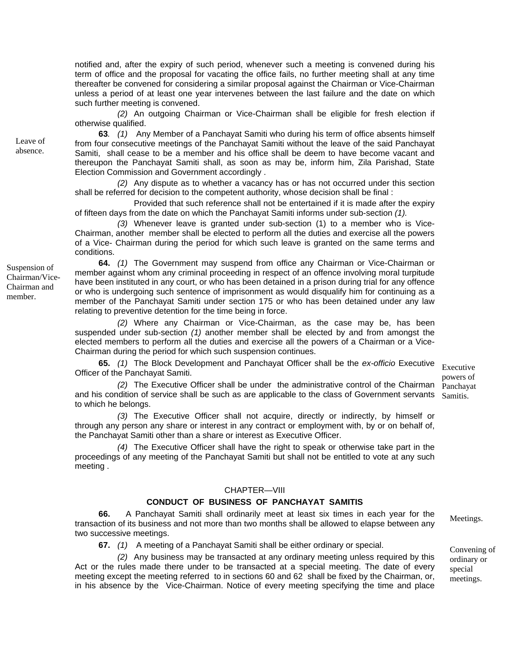notified and, after the expiry of such period, whenever such a meeting is convened during his term of office and the proposal for vacating the office fails, no further meeting shall at any time thereafter be convened for considering a similar proposal against the Chairman or Vice-Chairman unless a period of at least one year intervenes between the last failure and the date on which such further meeting is convened.

*(2)* An outgoing Chairman or Vice-Chairman shall be eligible for fresh election if otherwise qualified.

**63***. (1)* Any Member of a Panchayat Samiti who during his term of office absents himself from four consecutive meetings of the Panchayat Samiti without the leave of the said Panchayat Samiti, shall cease to be a member and his office shall be deem to have become vacant and thereupon the Panchayat Samiti shall, as soon as may be, inform him, Zila Parishad, State Election Commission and Government accordingly .

*(2)* Any dispute as to whether a vacancy has or has not occurred under this section shall be referred for decision to the competent authority, whose decision shall be final :

Provided that such reference shall not be entertained if it is made after the expiry of fifteen days from the date on which the Panchayat Samiti informs under sub-section *(1).*

*(3)* Whenever leave is granted under sub-section (1) to a member who is Vice-Chairman, another member shall be elected to perform all the duties and exercise all the powers of a Vice- Chairman during the period for which such leave is granted on the same terms and conditions.

**64.** *(1)* The Government may suspend from office any Chairman or Vice-Chairman or member against whom any criminal proceeding in respect of an offence involving moral turpitude have been instituted in any court, or who has been detained in a prison during trial for any offence or who is undergoing such sentence of imprisonment as would disqualify him for continuing as a member of the Panchayat Samiti under section 175 or who has been detained under any law relating to preventive detention for the time being in force.

*(2)* Where any Chairman or Vice-Chairman, as the case may be, has been suspended under sub-section *(1)* another member shall be elected by and from amongst the elected members to perform all the duties and exercise all the powers of a Chairman or a Vice-Chairman during the period for which such suspension continues.

**65.** *(1)* The Block Development and Panchayat Officer shall be the *ex-officio* Executive Officer of the Panchayat Samiti.

*(2)* The Executive Officer shall be under the administrative control of the Chairman and his condition of service shall be such as are applicable to the class of Government servants to which he belongs.

*(3)* The Executive Officer shall not acquire, directly or indirectly, by himself or through any person any share or interest in any contract or employment with, by or on behalf of, the Panchayat Samiti other than a share or interest as Executive Officer.

*(4)* The Executive Officer shall have the right to speak or otherwise take part in the proceedings of any meeting of the Panchayat Samiti but shall not be entitled to vote at any such meeting .

#### CHAPTER—VIII

#### **CONDUCT OF BUSINESS OF PANCHAYAT SAMITIS**

**66.** A Panchayat Samiti shall ordinarily meet at least six times in each year for the transaction of its business and not more than two months shall be allowed to elapse between any two successive meetings.

**67.** (1) A meeting of a Panchayat Samiti shall be either ordinary or special. Convening of

*(2)* Any business may be transacted at any ordinary meeting unless required by this Act or the rules made there under to be transacted at a special meeting. The date of every meeting except the meeting referred to in sections 60 and 62 shall be fixed by the Chairman, or, in his absence by the Vice-Chairman. Notice of every meeting specifying the time and place

Executive powers of Panchayat Samitis.

Meetings.

ordinary or special meetings.

Suspension of Chairman/Vice-Chairman and member.

Leave of absence.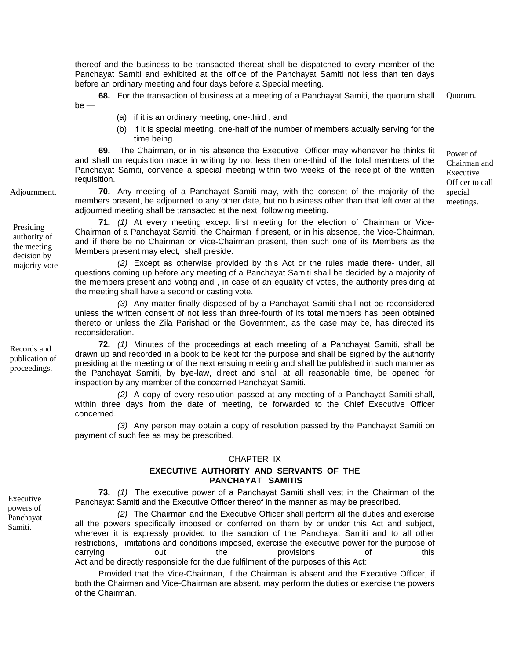thereof and the business to be transacted thereat shall be dispatched to every member of the Panchayat Samiti and exhibited at the office of the Panchayat Samiti not less than ten days before an ordinary meeting and four days before a Special meeting.

**68.** For the transaction of business at a meeting of a Panchayat Samiti, the quorum shall Quorum. be —

- (a) if it is an ordinary meeting, one-third ; and
- (b) If it is special meeting, one-half of the number of members actually serving for the time being.

**69.** The Chairman, or in his absence the Executive Officer may whenever he thinks fit and shall on requisition made in writing by not less then one-third of the total members of the Panchayat Samiti, convence a special meeting within two weeks of the receipt of the written requisition.

**70.** Any meeting of a Panchayat Samiti may, with the consent of the majority of the members present, be adjourned to any other date, but no business other than that left over at the adjourned meeting shall be transacted at the next following meeting.

**71.** *(1)* At every meeting except first meeting for the election of Chairman or Vice-Chairman of a Panchayat Samiti, the Chairman if present, or in his absence, the Vice-Chairman, and if there be no Chairman or Vice-Chairman present, then such one of its Members as the Members present may elect, shall preside.

majority vote *(2)* Except as otherwise provided by this Act or the rules made there- under, all questions coming up before any meeting of a Panchayat Samiti shall be decided by a majority of the members present and voting and , in case of an equality of votes, the authority presiding at the meeting shall have a second or casting vote.

> *(3)* Any matter finally disposed of by a Panchayat Samiti shall not be reconsidered unless the written consent of not less than three-fourth of its total members has been obtained thereto or unless the Zila Parishad or the Government, as the case may be, has directed its reconsideration.

> **72.** *(1)* Minutes of the proceedings at each meeting of a Panchayat Samiti, shall be drawn up and recorded in a book to be kept for the purpose and shall be signed by the authority presiding at the meeting or of the next ensuing meeting and shall be published in such manner as the Panchayat Samiti, by bye-law, direct and shall at all reasonable time, be opened for inspection by any member of the concerned Panchayat Samiti.

> *(2)* A copy of every resolution passed at any meeting of a Panchayat Samiti shall, within three days from the date of meeting, be forwarded to the Chief Executive Officer concerned.

> *(3)* Any person may obtain a copy of resolution passed by the Panchayat Samiti on payment of such fee as may be prescribed.

#### CHAPTER IX

## **EXECUTIVE AUTHORITY AND SERVANTS OF THE PANCHAYAT SAMITIS**

**73.** *(1)* The executive power of a Panchayat Samiti shall vest in the Chairman of the Panchayat Samiti and the Executive Officer thereof in the manner as may be prescribed. Executive

> *(2)* The Chairman and the Executive Officer shall perform all the duties and exercise all the powers specifically imposed or conferred on them by or under this Act and subject, wherever it is expressly provided to the sanction of the Panchayat Samiti and to all other restrictions, limitations and conditions imposed, exercise the executive power for the purpose of carrying out the provisions of this Act and be directly responsible for the due fulfilment of the purposes of this Act:

> Provided that the Vice-Chairman, if the Chairman is absent and the Executive Officer, if both the Chairman and Vice-Chairman are absent, may perform the duties or exercise the powers of the Chairman.

proceedings.

Records and publication of

powers of Panchayat Samiti.

Adjournment.

Presiding authority of the meeting decision by

Power of Chairman and Executive Officer to call special meetings.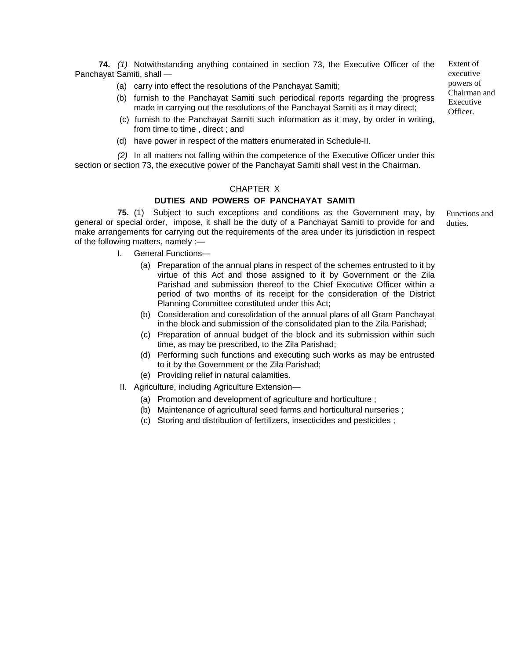**74.** *(1)* Notwithstanding anything contained in section 73, the Executive Officer of the Panchayat Samiti, shall —

- (a) carry into effect the resolutions of the Panchayat Samiti;
- (b) furnish to the Panchayat Samiti such periodical reports regarding the progress made in carrying out the resolutions of the Panchayat Samiti as it may direct;
- (c) furnish to the Panchayat Samiti such information as it may, by order in writing, from time to time , direct ; and
- (d) have power in respect of the matters enumerated in Schedule-II.

*(2)* In all matters not falling within the competence of the Executive Officer under this section or section 73, the executive power of the Panchayat Samiti shall vest in the Chairman.

#### CHAPTER X

#### **DUTIES AND POWERS OF PANCHAYAT SAMITI**

**75.** (1) Subject to such exceptions and conditions as the Government may, by general or special order, impose, it shall be the duty of a Panchayat Samiti to provide for and make arrangements for carrying out the requirements of the area under its jurisdiction in respect of the following matters, namely :—

- I. General Functions—
	- (a) Preparation of the annual plans in respect of the schemes entrusted to it by virtue of this Act and those assigned to it by Government or the Zila Parishad and submission thereof to the Chief Executive Officer within a period of two months of its receipt for the consideration of the District Planning Committee constituted under this Act;
	- (b) Consideration and consolidation of the annual plans of all Gram Panchayat in the block and submission of the consolidated plan to the Zila Parishad;
	- (c) Preparation of annual budget of the block and its submission within such time, as may be prescribed, to the Zila Parishad;
	- (d) Performing such functions and executing such works as may be entrusted to it by the Government or the Zila Parishad;
	- (e) Providing relief in natural calamities.
- II. Agriculture, including Agriculture Extension—
	- (a) Promotion and development of agriculture and horticulture ;
	- (b) Maintenance of agricultural seed farms and horticultural nurseries ;
	- (c) Storing and distribution of fertilizers, insecticides and pesticides ;

Extent of executive powers of Chairman and Executive Officer.

Functions and duties.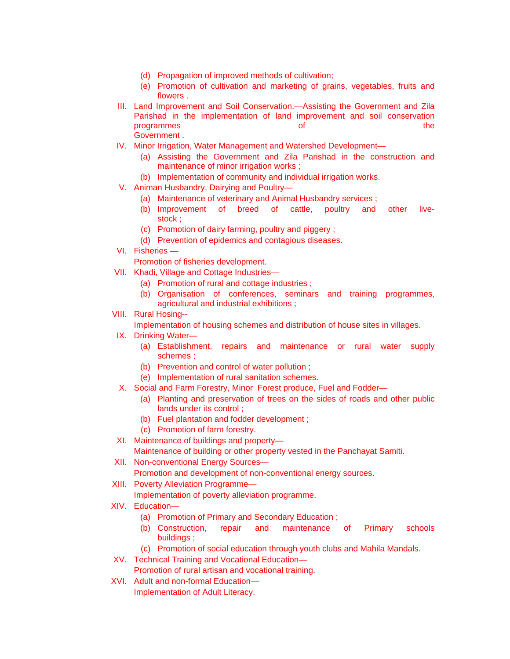- (d) Propagation of improved methods of cultivation;
- (e) Promotion of cultivation and marketing of grains, vegetables, fruits and flowers .
- III. Land Improvement and Soil Conservation.—Assisting the Government and Zila Parishad in the implementation of land improvement and soil conservation programmes of the Government .
- IV. Minor Irrigation, Water Management and Watershed Development—
	- (a) Assisting the Government and Zila Parishad in the construction and maintenance of minor irrigation works ;
	- (b) Implementation of community and individual irrigation works.
- V. Animan Husbandry, Dairying and Poultry—
	- (a) Maintenance of veterinary and Animal Husbandry services ;
	- (b) Improvement of breed of cattle, poultry and other livestock ;
	- (c) Promotion of dairy farming, poultry and piggery ;
	- (d) Prevention of epidemics and contagious diseases.
- VI. Fisheries —

Promotion of fisheries development.

- VII. Khadi, Village and Cottage Industries—
	- (a) Promotion of rural and cottage industries ;
	- (b) Organisation of conferences, seminars and training programmes, agricultural and industrial exhibitions ;
- VIII. Rural Hosing--

Implementation of housing schemes and distribution of house sites in villages.

- IX. Drinking Water—
	- (a) Establishment, repairs and maintenance or rural water supply schemes ;
	- (b) Prevention and control of water pollution ;
	- (e) Implementation of rural sanitation schemes.
- X. Social and Farm Forestry, Minor Forest produce, Fuel and Fodder—
	- (a) Planting and preservation of trees on the sides of roads and other public lands under its control ;
	- (b) Fuel plantation and fodder development ;
	- (c) Promotion of farm forestry.
- XI. Maintenance of buildings and property—
	- Maintenance of building or other property vested in the Panchayat Samiti.
- XII. Non-conventional Energy Sources—

Promotion and development of non-conventional energy sources.

XIII. Poverty Alleviation Programme—

Implementation of poverty alleviation programme.

- XIV. Education—
	- (a) Promotion of Primary and Secondary Education ;
	- (b) Construction, repair and maintenance of Primary schools buildings ;
	- (c) Promotion of social education through youth clubs and Mahila Mandals.
- XV. Technical Training and Vocational Education—
	- Promotion of rural artisan and vocational training.
- XVI. Adult and non-formal Education— Implementation of Adult Literacy.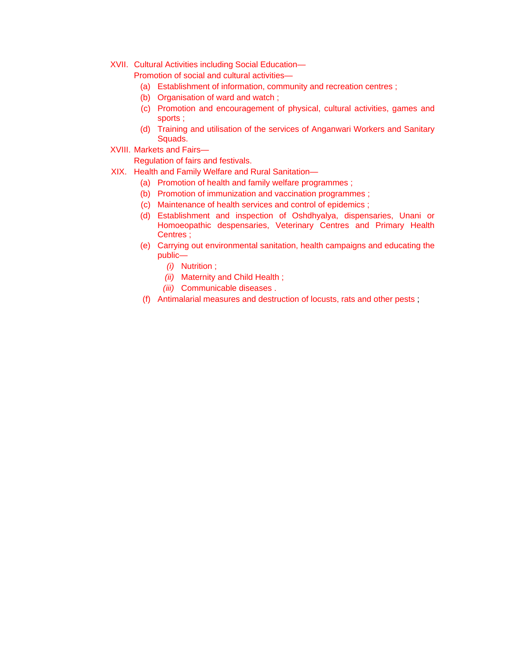XVII. Cultural Activities including Social Education—

Promotion of social and cultural activities—

- (a) Establishment of information, community and recreation centres ;
- (b) Organisation of ward and watch ;
- (c) Promotion and encouragement of physical, cultural activities, games and sports ;
- (d) Training and utilisation of the services of Anganwari Workers and Sanitary Squads.
- XVIII. Markets and Fairs—

Regulation of fairs and festivals.

- XIX. Health and Family Welfare and Rural Sanitation—
	- (a) Promotion of health and family welfare programmes ;
	- (b) Promotion of immunization and vaccination programmes ;
	- (c) Maintenance of health services and control of epidemics ;
	- (d) Establishment and inspection of Oshdhyalya, dispensaries, Unani or Homoeopathic despensaries, Veterinary Centres and Primary Health Centres ;
	- (e) Carrying out environmental sanitation, health campaigns and educating the public—
		- *(i)* Nutrition ;
		- *(ii)* Maternity and Child Health ;
		- *(iii)* Communicable diseases .
	- (f) Antimalarial measures and destruction of locusts, rats and other pests ;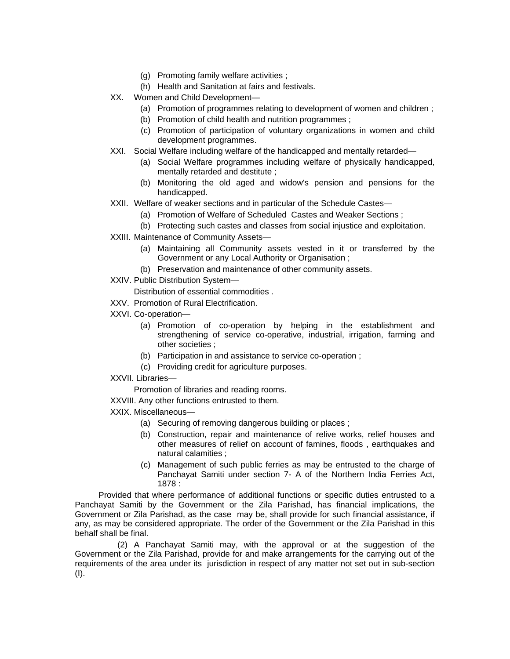- (g) Promoting family welfare activities ;
- (h) Health and Sanitation at fairs and festivals.
- XX. Women and Child Development—
	- (a) Promotion of programmes relating to development of women and children ;
	- (b) Promotion of child health and nutrition programmes ;
	- (c) Promotion of participation of voluntary organizations in women and child development programmes.
- XXI. Social Welfare including welfare of the handicapped and mentally retarded—
	- (a) Social Welfare programmes including welfare of physically handicapped, mentally retarded and destitute ;
	- (b) Monitoring the old aged and widow's pension and pensions for the handicapped.
- XXII. Welfare of weaker sections and in particular of the Schedule Castes—
	- (a) Promotion of Welfare of Scheduled Castes and Weaker Sections ;
	- (b) Protecting such castes and classes from social injustice and exploitation.
- XXIII. Maintenance of Community Assets—
	- (a) Maintaining all Community assets vested in it or transferred by the Government or any Local Authority or Organisation ;
	- (b) Preservation and maintenance of other community assets.
- XXIV. Public Distribution System—

Distribution of essential commodities .

- XXV. Promotion of Rural Electrification.
- XXVI. Co-operation—
	- (a) Promotion of co-operation by helping in the establishment and strengthening of service co-operative, industrial, irrigation, farming and other societies ;
	- (b) Participation in and assistance to service co-operation ;
	- (c) Providing credit for agriculture purposes.
- XXVII. Libraries—

Promotion of libraries and reading rooms.

XXVIII. Any other functions entrusted to them.

- XXIX. Miscellaneous—
	- (a) Securing of removing dangerous building or places ;
	- (b) Construction, repair and maintenance of relive works, relief houses and other measures of relief on account of famines, floods , earthquakes and natural calamities ;
	- (c) Management of such public ferries as may be entrusted to the charge of Panchayat Samiti under section 7- A of the Northern India Ferries Act, 1878 :

Provided that where performance of additional functions or specific duties entrusted to a Panchayat Samiti by the Government or the Zila Parishad, has financial implications, the Government or Zila Parishad, as the case may be, shall provide for such financial assistance, if any, as may be considered appropriate. The order of the Government or the Zila Parishad in this behalf shall be final.

 (2) A Panchayat Samiti may, with the approval or at the suggestion of the Government or the Zila Parishad, provide for and make arrangements for the carrying out of the requirements of the area under its jurisdiction in respect of any matter not set out in sub-section (I).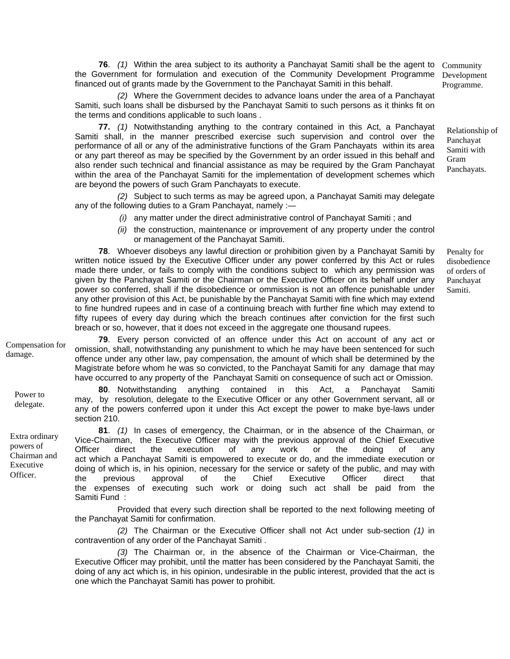**76**. *(1)* Within the area subject to its authority a Panchayat Samiti shall be the agent to the Government for formulation and execution of the Community Development Programme financed out of grants made by the Government to the Panchayat Samiti in this behalf.

*(2)* Where the Government decides to advance loans under the area of a Panchayat Samiti, such loans shall be disbursed by the Panchayat Samiti to such persons as it thinks fit on the terms and conditions applicable to such loans .

**77.** *(1)* Notwithstanding anything to the contrary contained in this Act, a Panchayat Samiti shall, in the manner prescribed exercise such supervision and control over the performance of all or any of the administrative functions of the Gram Panchayats within its area or any part thereof as may be specified by the Government by an order issued in this behalf and also render such technical and financial assistance as may be required by the Gram Panchayat within the area of the Panchayat Samiti for the implementation of development schemes which are beyond the powers of such Gram Panchayats to execute.

*(2)* Subject to such terms as may be agreed upon, a Panchayat Samiti may delegate any of the following duties to a Gram Panchayat, namely :—

- *(i)* any matter under the direct administrative control of Panchayat Samiti ; and
- *(ii)* the construction, maintenance or improvement of any property under the control or management of the Panchayat Samiti.

**78**. Whoever disobeys any lawful direction or prohibition given by a Panchayat Samiti by written notice issued by the Executive Officer under any power conferred by this Act or rules made there under, or fails to comply with the conditions subject to which any permission was given by the Panchayat Samiti or the Chairman or the Executive Officer on its behalf under any power so conferred, shall if the disobedience or ommission is not an offence punishable under any other provision of this Act, be punishable by the Panchayat Samiti with fine which may extend to fine hundred rupees and in case of a continuing breach with further fine which may extend to fifty rupees of every day during which the breach continues after conviction for the first such breach or so, however, that it does not exceed in the aggregate one thousand rupees.

Compensation for damage.

**79**. Every person convicted of an offence under this Act on account of any act or omission, shall, notwithstanding any punishment to which he may have been sentenced for such offence under any other law, pay compensation, the amount of which shall be determined by the Magistrate before whom he was so convicted, to the Panchayat Samiti for any damage that may have occurred to any property of the Panchayat Samiti on consequence of such act or Omission.

**80**. Notwithstanding anything contained in this Act, a Panchayat Samiti may, by resolution, delegate to the Executive Officer or any other Government servant, all or any of the powers conferred upon it under this Act except the power to make bye-laws under section 210.

**81**. *(1)* In cases of emergency, the Chairman, or in the absence of the Chairman, or Vice-Chairman, the Executive Officer may with the previous approval of the Chief Executive Officer direct the execution of any work or the doing of any act which a Panchayat Samiti is empowered to execute or do, and the immediate execution or doing of which is, in his opinion, necessary for the service or safety of the public, and may with the previous approval of the Chief Executive Officer direct that the expenses of executing such work or doing such act shall be paid from the Samiti Fund :

Provided that every such direction shall be reported to the next following meeting of the Panchayat Samiti for confirmation.

*(2)* The Chairman or the Executive Officer shall not Act under sub-section *(1)* in contravention of any order of the Panchayat Samiti .

*(3)* The Chairman or, in the absence of the Chairman or Vice-Chairman, the Executive Officer may prohibit, until the matter has been considered by the Panchayat Samiti, the doing of any act which is, in his opinion, undesirable in the public interest, provided that the act is one which the Panchayat Samiti has power to prohibit.

Power to delegate.

Extra ordinary powers of Chairman and Executive Officer.

Community Development Programme.

Relationship of Panchayat Samiti with Gram Panchayats.

Penalty for disobedience of orders of Panchayat Samiti.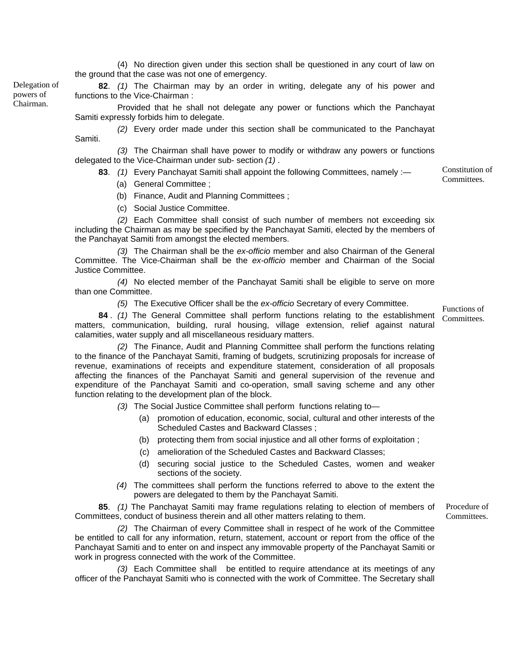(4) No direction given under this section shall be questioned in any court of law on the ground that the case was not one of emergency.

**82**. *(1)* The Chairman may by an order in writing, delegate any of his power and functions to the Vice-Chairman :

Provided that he shall not delegate any power or functions which the Panchayat Samiti expressly forbids him to delegate.

*(2)* Every order made under this section shall be communicated to the Panchayat Samiti.

*(3)* The Chairman shall have power to modify or withdraw any powers or functions delegated to the Vice-Chairman under sub- section *(1)* .

83. (1) Every Panchayat Samiti shall appoint the following Committees, namely :- Constitution Committees.

- (a) General Committee ;
- (b) Finance, Audit and Planning Committees ;
- (c) Social Justice Committee.

*(2)* Each Committee shall consist of such number of members not exceeding six including the Chairman as may be specified by the Panchayat Samiti, elected by the members of the Panchayat Samiti from amongst the elected members.

*(3)* The Chairman shall be the *ex-officio* member and also Chairman of the General Committee. The Vice-Chairman shall be the *ex-officio* member and Chairman of the Social Justice Committee.

*(4)* No elected member of the Panchayat Samiti shall be eligible to serve on more than one Committee.

*(5)* The Executive Officer shall be the *ex-officio* Secretary of every Committee.

**84** . *(1)* The General Committee shall perform functions relating to the establishment matters, communication, building, rural housing, village extension, relief against natural calamities, water supply and all miscellaneous residuary matters. Committees.

*(2)* The Finance, Audit and Planning Committee shall perform the functions relating to the finance of the Panchayat Samiti, framing of budgets, scrutinizing proposals for increase of revenue, examinations of receipts and expenditure statement, consideration of all proposals affecting the finances of the Panchayat Samiti and general supervision of the revenue and expenditure of the Panchayat Samiti and co-operation, small saving scheme and any other function relating to the development plan of the block.

*(3)* The Social Justice Committee shall perform functions relating to—

- (a) promotion of education, economic, social, cultural and other interests of the Scheduled Castes and Backward Classes ;
- (b) protecting them from social injustice and all other forms of exploitation ;
- (c) amelioration of the Scheduled Castes and Backward Classes;
- (d) securing social justice to the Scheduled Castes, women and weaker sections of the society.
- *(4)* The committees shall perform the functions referred to above to the extent the powers are delegated to them by the Panchayat Samiti.

**85**. *(1)* The Panchayat Samiti may frame regulations relating to election of members of Committees, conduct of business therein and all other matters relating to them.

*(2)* The Chairman of every Committee shall in respect of he work of the Committee be entitled to call for any information, return, statement, account or report from the office of the Panchayat Samiti and to enter on and inspect any immovable property of the Panchayat Samiti or work in progress connected with the work of the Committee.

*(3)* Each Committee shall be entitled to require attendance at its meetings of any officer of the Panchayat Samiti who is connected with the work of Committee. The Secretary shall

Delegation of powers of Chairman.

Functions of

Constitution of

Procedure of

Committees.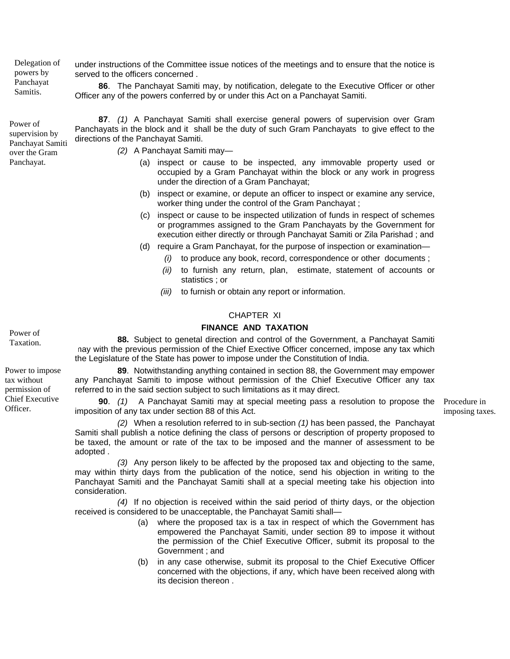Delegation of powers by Panchayat Samitis.

Power of

over the Gram Panchayat.

under instructions of the Committee issue notices of the meetings and to ensure that the notice is served to the officers concerned .

**86**. The Panchayat Samiti may, by notification, delegate to the Executive Officer or other Officer any of the powers conferred by or under this Act on a Panchayat Samiti.

**87**. *(1)* A Panchayat Samiti shall exercise general powers of supervision over Gram Panchayats in the block and it shall be the duty of such Gram Panchayats to give effect to the directions of the Panchayat Samiti. supervision by Panchayat Samiti

*(2)* A Panchayat Samiti may—

- (a) inspect or cause to be inspected, any immovable property used or occupied by a Gram Panchayat within the block or any work in progress under the direction of a Gram Panchayat;
- (b) inspect or examine, or depute an officer to inspect or examine any service, worker thing under the control of the Gram Panchayat ;
- (c) inspect or cause to be inspected utilization of funds in respect of schemes or programmes assigned to the Gram Panchayats by the Government for execution either directly or through Panchayat Samiti or Zila Parishad ; and
- (d) require a Gram Panchayat, for the purpose of inspection or examination—
	- *(i)* to produce any book, record, correspondence or other documents ;
	- *(ii)* to furnish any return, plan, estimate, statement of accounts or statistics ; or
	- *(iii)* to furnish or obtain any report or information.

## CHAPTER XI

#### **FINANCE AND TAXATION**

**88.** Subject to genetal direction and control of the Government, a Panchayat Samiti may with the previous permission of the Chief Exective Officer concerned, impose any tax which the Legislature of the State has power to impose under the Constitution of India.

**89**. Notwithstanding anything contained in section 88, the Government may empower any Panchayat Samiti to impose without permission of the Chief Executive Officer any tax referred to in the said section subject to such limitations as it may direct.

**90**. *(1)* A Panchayat Samiti may at special meeting pass a resolution to propose the Procedure in imposition of any tax under section 88 of this Act.

imposing taxes.

*(2)* When a resolution referred to in sub-section *(1)* has been passed, the Panchayat Samiti shall publish a notice defining the class of persons or description of property proposed to be taxed, the amount or rate of the tax to be imposed and the manner of assessment to be adopted .

*(3)* Any person likely to be affected by the proposed tax and objecting to the same, may within thirty days from the publication of the notice, send his objection in writing to the Panchayat Samiti and the Panchayat Samiti shall at a special meeting take his objection into consideration.

*(4)* If no objection is received within the said period of thirty days, or the objection received is considered to be unacceptable, the Panchayat Samiti shall—

- (a) where the proposed tax is a tax in respect of which the Government has empowered the Panchayat Samiti, under section 89 to impose it without the permission of the Chief Executive Officer, submit its proposal to the Government ; and
- (b) in any case otherwise, submit its proposal to the Chief Executive Officer concerned with the objections, if any, which have been received along with its decision thereon .

Taxation. Power to impose

Power of

tax without permission of Chief Executive Officer.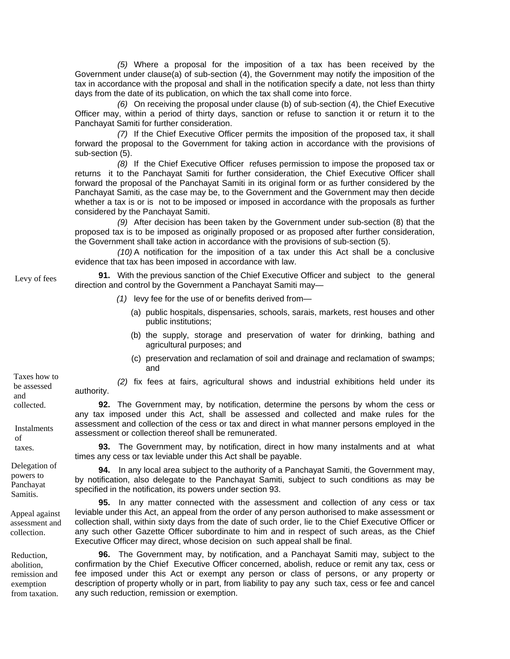*(5)* Where a proposal for the imposition of a tax has been received by the Government under clause(a) of sub-section (4), the Government may notify the imposition of the tax in accordance with the proposal and shall in the notification specify a date, not less than thirty days from the date of its publication, on which the tax shall come into force.

*(6)* On receiving the proposal under clause (b) of sub-section (4), the Chief Executive Officer may, within a period of thirty days, sanction or refuse to sanction it or return it to the Panchayat Samiti for further consideration.

*(7)* If the Chief Executive Officer permits the imposition of the proposed tax, it shall forward the proposal to the Government for taking action in accordance with the provisions of sub-section (5).

 *(8)* If the Chief Executive Officer refuses permission to impose the proposed tax or returns it to the Panchayat Samiti for further consideration, the Chief Executive Officer shall forward the proposal of the Panchayat Samiti in its original form or as further considered by the Panchayat Samiti, as the case may be, to the Government and the Government may then decide whether a tax is or is not to be imposed or imposed in accordance with the proposals as further considered by the Panchayat Samiti.

*(9)* After decision has been taken by the Government under sub-section (8) that the proposed tax is to be imposed as originally proposed or as proposed after further consideration, the Government shall take action in accordance with the provisions of sub-section (5).

*(10)* A notification for the imposition of a tax under this Act shall be a conclusive evidence that tax has been imposed in accordance with law.

**91.** With the previous sanction of the Chief Executive Officer and subject to the general direction and control by the Government a Panchayat Samiti may— Levy of fees

- *(1)* levy fee for the use of or benefits derived from—
	- (a) public hospitals, dispensaries, schools, sarais, markets, rest houses and other public institutions;
	- (b) the supply, storage and preservation of water for drinking, bathing and agricultural purposes; and
	- (c) preservation and reclamation of soil and drainage and reclamation of swamps; and

*(2)* fix fees at fairs, agricultural shows and industrial exhibitions held under its authority.

**92.** The Government may, by notification, determine the persons by whom the cess or any tax imposed under this Act, shall be assessed and collected and make rules for the assessment and collection of the cess or tax and direct in what manner persons employed in the assessment or collection thereof shall be remunerated.

taxes. **93.** The Government may, by notification, direct in how many instalments and at what times any cess or tax leviable under this Act shall be payable.

> **94.** In any local area subject to the authority of a Panchayat Samiti, the Government may, by notification, also delegate to the Panchayat Samiti, subject to such conditions as may be specified in the notification, its powers under section 93.

> **95.** In any matter connected with the assessment and collection of any cess or tax leviable under this Act, an appeal from the order of any person authorised to make assessment or collection shall, within sixty days from the date of such order, lie to the Chief Executive Officer or any such other Gazette Officer subordinate to him and in respect of such areas, as the Chief Executive Officer may direct, whose decision on such appeal shall be final.

> **96.** The Government may, by notification, and a Panchayat Samiti may, subject to the confirmation by the Chief Executive Officer concerned, abolish, reduce or remit any tax, cess or fee imposed under this Act or exempt any person or class of persons, or any property or description of property wholly or in part, from liability to pay any such tax, cess or fee and cancel any such reduction, remission or exemption.

be assessed and collected.

Taxes how to

**Instalments** of

Delegation of powers to Panchayat Samitis.

Appeal against assessment and collection.

Reduction, abolition, remission and exemption from taxation.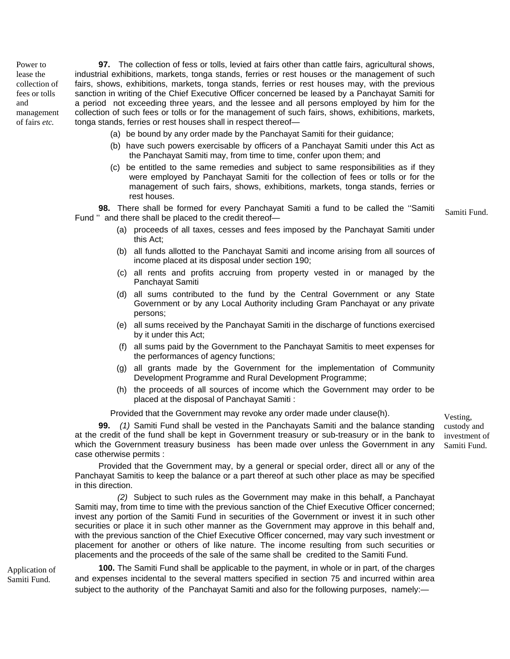Power to lease the collection of fees or tolls and management of fairs *etc.*

**97.** The collection of fess or tolls, levied at fairs other than cattle fairs, agricultural shows, industrial exhibitions, markets, tonga stands, ferries or rest houses or the management of such fairs, shows, exhibitions, markets, tonga stands, ferries or rest houses may, with the previous sanction in writing of the Chief Executive Officer concerned be leased by a Panchayat Samiti for a period not exceeding three years, and the lessee and all persons employed by him for the collection of such fees or tolls or for the management of such fairs, shows, exhibitions, markets, tonga stands, ferries or rest houses shall in respect thereof—

- (a) be bound by any order made by the Panchayat Samiti for their guidance;
- (b) have such powers exercisable by officers of a Panchayat Samiti under this Act as the Panchayat Samiti may, from time to time, confer upon them; and
- (c) be entitled to the same remedies and subject to same responsibilities as if they were employed by Panchayat Samiti for the collection of fees or tolls or for the management of such fairs, shows, exhibitions, markets, tonga stands, ferries or rest houses.

**98.** There shall be formed for every Panchayat Samiti a fund to be called the ''Samiti **Fund ''** and there shall be formed for every Panchayat Samiti a fund to be called the Samiti Samiti Fund.<br>Fund " and there shall be placed to the credit thereof—

- (a) proceeds of all taxes, cesses and fees imposed by the Panchayat Samiti under this Act;
- (b) all funds allotted to the Panchayat Samiti and income arising from all sources of income placed at its disposal under section 190;
- (c) all rents and profits accruing from property vested in or managed by the Panchayat Samiti
- (d) all sums contributed to the fund by the Central Government or any State Government or by any Local Authority including Gram Panchayat or any private persons;
- (e) all sums received by the Panchayat Samiti in the discharge of functions exercised by it under this Act;
- (f) all sums paid by the Government to the Panchayat Samitis to meet expenses for the performances of agency functions;
- (g) all grants made by the Government for the implementation of Community Development Programme and Rural Development Programme;
- (h) the proceeds of all sources of income which the Government may order to be placed at the disposal of Panchayat Samiti :

Provided that the Government may revoke any order made under clause(h).

**99.** *(1)* Samiti Fund shall be vested in the Panchayats Samiti and the balance standing at the credit of the fund shall be kept in Government treasury or sub-treasury or in the bank to which the Government treasury business has been made over unless the Government in any case otherwise permits :

Provided that the Government may, by a general or special order, direct all or any of the Panchayat Samitis to keep the balance or a part thereof at such other place as may be specified in this direction.

*(2)* Subject to such rules as the Government may make in this behalf, a Panchayat Samiti may, from time to time with the previous sanction of the Chief Executive Officer concerned; invest any portion of the Samiti Fund in securities of the Government or invest it in such other securities or place it in such other manner as the Government may approve in this behalf and, with the previous sanction of the Chief Executive Officer concerned, may vary such investment or placement for another or others of like nature. The income resulting from such securities or placements and the proceeds of the sale of the same shall be credited to the Samiti Fund.

Application of Samiti Fund.

**100.** The Samiti Fund shall be applicable to the payment, in whole or in part, of the charges and expenses incidental to the several matters specified in section 75 and incurred within area subject to the authority of the Panchayat Samiti and also for the following purposes, namely:—

Vesting, custody and investment of Samiti Fund.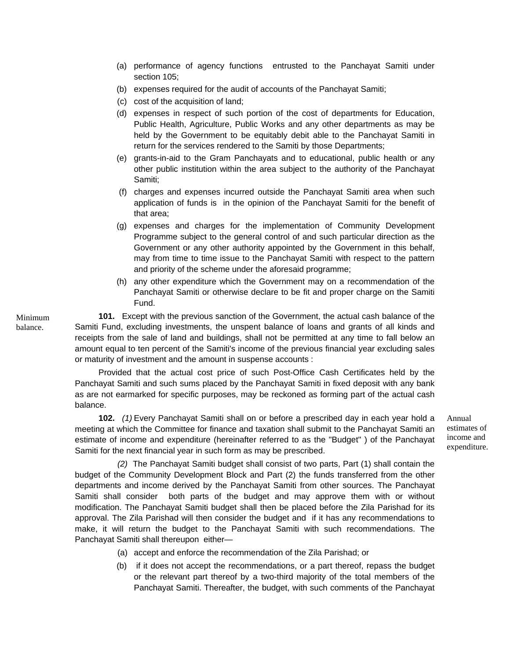- (a) performance of agency functions entrusted to the Panchayat Samiti under section 105;
- (b) expenses required for the audit of accounts of the Panchayat Samiti;
- (c) cost of the acquisition of land;
- (d) expenses in respect of such portion of the cost of departments for Education, Public Health, Agriculture, Public Works and any other departments as may be held by the Government to be equitably debit able to the Panchayat Samiti in return for the services rendered to the Samiti by those Departments;
- (e) grants-in-aid to the Gram Panchayats and to educational, public health or any other public institution within the area subject to the authority of the Panchayat Samiti;
- (f) charges and expenses incurred outside the Panchayat Samiti area when such application of funds is in the opinion of the Panchayat Samiti for the benefit of that area;
- (g) expenses and charges for the implementation of Community Development Programme subject to the general control of and such particular direction as the Government or any other authority appointed by the Government in this behalf, may from time to time issue to the Panchayat Samiti with respect to the pattern and priority of the scheme under the aforesaid programme;
- (h) any other expenditure which the Government may on a recommendation of the Panchayat Samiti or otherwise declare to be fit and proper charge on the Samiti Fund.

**101.** Except with the previous sanction of the Government, the actual cash balance of the Samiti Fund, excluding investments, the unspent balance of loans and grants of all kinds and receipts from the sale of land and buildings, shall not be permitted at any time to fall below an amount equal to ten percent of the Samiti's income of the previous financial year excluding sales or maturity of investment and the amount in suspense accounts :

Provided that the actual cost price of such Post-Office Cash Certificates held by the Panchayat Samiti and such sums placed by the Panchayat Samiti in fixed deposit with any bank as are not earmarked for specific purposes, may be reckoned as forming part of the actual cash balance.

**102.** *(1)* Every Panchayat Samiti shall on or before a prescribed day in each year hold a meeting at which the Committee for finance and taxation shall submit to the Panchayat Samiti an estimate of income and expenditure (hereinafter referred to as the "Budget" ) of the Panchayat Samiti for the next financial year in such form as may be prescribed.

*(2)* The Panchayat Samiti budget shall consist of two parts, Part (1) shall contain the budget of the Community Development Block and Part (2) the funds transferred from the other departments and income derived by the Panchayat Samiti from other sources. The Panchayat Samiti shall consider both parts of the budget and may approve them with or without modification. The Panchayat Samiti budget shall then be placed before the Zila Parishad for its approval. The Zila Parishad will then consider the budget and if it has any recommendations to make, it will return the budget to the Panchayat Samiti with such recommendations. The Panchayat Samiti shall thereupon either—

- (a) accept and enforce the recommendation of the Zila Parishad; or
- (b) if it does not accept the recommendations, or a part thereof, repass the budget or the relevant part thereof by a two-third majority of the total members of the Panchayat Samiti. Thereafter, the budget, with such comments of the Panchayat

Minimum balance.

> Annual estimates of income and expenditure.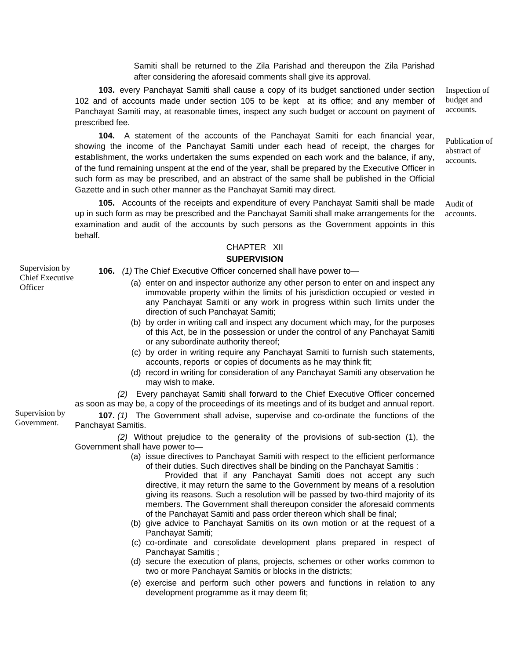Samiti shall be returned to the Zila Parishad and thereupon the Zila Parishad after considering the aforesaid comments shall give its approval.

Inspection of budget and accounts. **103.** every Panchayat Samiti shall cause a copy of its budget sanctioned under section 102 and of accounts made under section 105 to be kept at its office; and any member of Panchayat Samiti may, at reasonable times, inspect any such budget or account on payment of prescribed fee.

**104.** A statement of the accounts of the Panchayat Samiti for each financial year, showing the income of the Panchayat Samiti under each head of receipt, the charges for establishment, the works undertaken the sums expended on each work and the balance, if any, of the fund remaining unspent at the end of the year, shall be prepared by the Executive Officer in such form as may be prescribed, and an abstract of the same shall be published in the Official Gazette and in such other manner as the Panchayat Samiti may direct.

**105.** Accounts of the receipts and expenditure of every Panchayat Samiti shall be made up in such form as may be prescribed and the Panchayat Samiti shall make arrangements for the examination and audit of the accounts by such persons as the Government appoints in this behalf.

Publication of abstract of accounts.

Audit of accounts.

# CHAPTER XII

# **SUPERVISION**

Supervision by Chief Executive **Officer** 

**106.** *(1)* The Chief Executive Officer concerned shall have power to—

- (a) enter on and inspector authorize any other person to enter on and inspect any immovable property within the limits of his jurisdiction occupied or vested in any Panchayat Samiti or any work in progress within such limits under the direction of such Panchayat Samiti;
- (b) by order in writing call and inspect any document which may, for the purposes of this Act, be in the possession or under the control of any Panchayat Samiti or any subordinate authority thereof;
- (c) by order in writing require any Panchayat Samiti to furnish such statements, accounts, reports or copies of documents as he may think fit;
- (d) record in writing for consideration of any Panchayat Samiti any observation he may wish to make.

*(2)* Every panchayat Samiti shall forward to the Chief Executive Officer concerned as soon as may be, a copy of the proceedings of its meetings and of its budget and annual report.

Supervision by

Government. **107.** *(1)* The Government shall advise, supervise and co-ordinate the functions of the Panchayat Samitis.

*(2)* Without prejudice to the generality of the provisions of sub-section (1), the Government shall have power to—

(a) issue directives to Panchayat Samiti with respect to the efficient performance of their duties. Such directives shall be binding on the Panchayat Samitis :

Provided that if any Panchayat Samiti does not accept any such directive, it may return the same to the Government by means of a resolution giving its reasons. Such a resolution will be passed by two-third majority of its members. The Government shall thereupon consider the aforesaid comments of the Panchayat Samiti and pass order thereon which shall be final;

- (b) give advice to Panchayat Samitis on its own motion or at the request of a Panchayat Samiti;
- (c) co-ordinate and consolidate development plans prepared in respect of Panchayat Samitis ;
- (d) secure the execution of plans, projects, schemes or other works common to two or more Panchayat Samitis or blocks in the districts;
- (e) exercise and perform such other powers and functions in relation to any development programme as it may deem fit;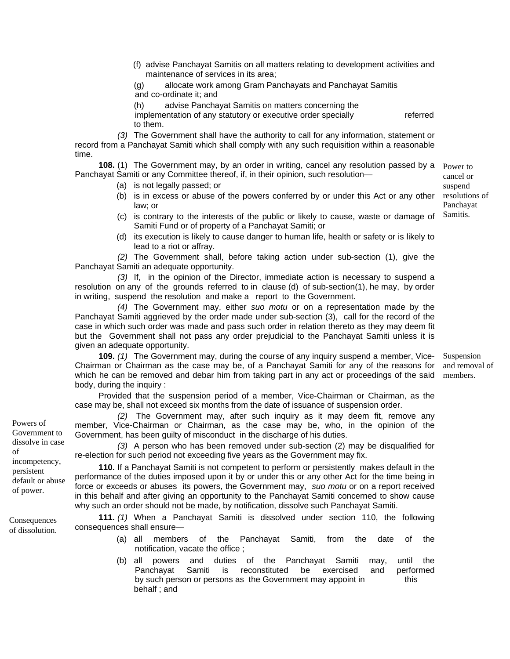(f) advise Panchayat Samitis on all matters relating to development activities and maintenance of services in its area;

(g) allocate work among Gram Panchayats and Panchayat Samitis and co-ordinate it; and

(h) advise Panchayat Samitis on matters concerning the implementation of any statutory or executive order specially referred to them.

*(3)* The Government shall have the authority to call for any information, statement or record from a Panchayat Samiti which shall comply with any such requisition within a reasonable time.

**108.** (1) The Government may, by an order in writing, cancel any resolution passed by a Panchayat Samiti or any Committee thereof, if, in their opinion, such resolution— Power to

- (a) is not legally passed; or
- (b) is in excess or abuse of the powers conferred by or under this Act or any other law; or
- (c) is contrary to the interests of the public or likely to cause, waste or damage of Samiti Fund or of property of a Panchayat Samiti; or
- (d) its execution is likely to cause danger to human life, health or safety or is likely to lead to a riot or affray.

*(2)* The Government shall, before taking action under sub-section (1), give the Panchayat Samiti an adequate opportunity.

*(3)* If, in the opinion of the Director, immediate action is necessary to suspend a resolution on any of the grounds referred to in clause (d) of sub-section(1), he may, by order in writing, suspend the resolution and make a report to the Government.

*(4)* The Government may, either *suo motu* or on a representation made by the Panchayat Samiti aggrieved by the order made under sub-section (3), call for the record of the case in which such order was made and pass such order in relation thereto as they may deem fit but the Government shall not pass any order prejudicial to the Panchayat Samiti unless it is given an adequate opportunity.

**109.** *(1)* The Government may, during the course of any inquiry suspend a member, Vice-Chairman or Chairman as the case may be, of a Panchayat Samiti for any of the reasons for which he can be removed and debar him from taking part in any act or proceedings of the said body, during the inquiry : Suspension and removal of members.

Provided that the suspension period of a member, Vice-Chairman or Chairman, as the case may be, shall not exceed six months from the date of issuance of suspension order.

*(2)* The Government may, after such inquiry as it may deem fit, remove any member, Vice-Chairman or Chairman, as the case may be, who, in the opinion of the Government, has been guilty of misconduct in the discharge of his duties.

*(3)* A person who has been removed under sub-section (2) may be disqualified for re-election for such period not exceeding five years as the Government may fix.

**110.** If a Panchayat Samiti is not competent to perform or persistently makes default in the performance of the duties imposed upon it by or under this or any other Act for the time being in force or exceeds or abuses its powers, the Government may, *suo motu* or on a report received in this behalf and after giving an opportunity to the Panchayat Samiti concerned to show cause why such an order should not be made, by notification, dissolve such Panchayat Samiti.

**111.** *(1)* When a Panchayat Samiti is dissolved under section 110, the following consequences shall ensure—

- (a) all members of the Panchayat Samiti, from the date of the notification, vacate the office ;
- (b) all powers and duties of the Panchayat Samiti may, until the Panchayat Samiti is reconstituted be exercised and performed by such person or persons as the Government may appoint in this behalf ; and

Powers of Government to dissolve in case of incompetency, persistent default or abuse of power.

**Consequences** of dissolution. cancel or suspend resolutions of Panchayat Samitis.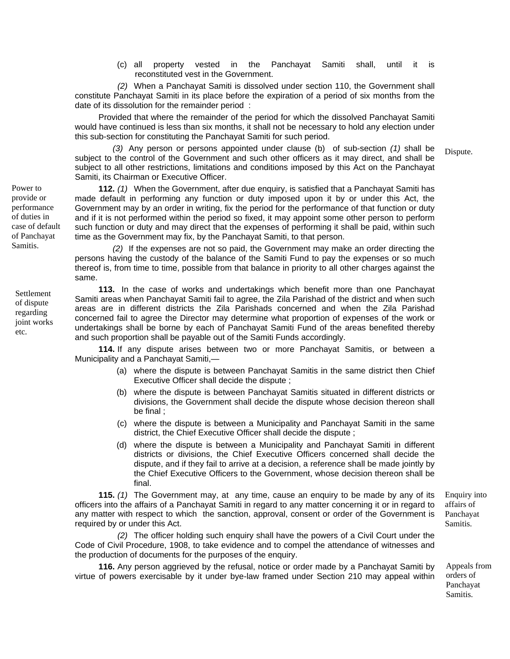(c) all property vested in the Panchayat Samiti shall, until it is reconstituted vest in the Government.

*(2)* When a Panchayat Samiti is dissolved under section 110, the Government shall constitute Panchayat Samiti in its place before the expiration of a period of six months from the date of its dissolution for the remainder period :

Provided that where the remainder of the period for which the dissolved Panchayat Samiti would have continued is less than six months, it shall not be necessary to hold any election under this sub-section for constituting the Panchayat Samiti for such period.

*(3)* Any person or persons appointed under clause (b) of sub-section *(1)* shall be subject to the control of the Government and such other officers as it may direct, and shall be subject to all other restrictions, limitations and conditions imposed by this Act on the Panchayat Samiti, its Chairman or Executive Officer. Dispute.

**112.** *(1)* When the Government, after due enquiry, is satisfied that a Panchayat Samiti has made default in performing any function or duty imposed upon it by or under this Act, the Government may by an order in writing, fix the period for the performance of that function or duty and if it is not performed within the period so fixed, it may appoint some other person to perform such function or duty and may direct that the expenses of performing it shall be paid, within such time as the Government may fix, by the Panchayat Samiti, to that person.

*(2)* If the expenses are not so paid, the Government may make an order directing the persons having the custody of the balance of the Samiti Fund to pay the expenses or so much thereof is, from time to time, possible from that balance in priority to all other charges against the same.

**113.** In the case of works and undertakings which benefit more than one Panchayat Samiti areas when Panchayat Samiti fail to agree, the Zila Parishad of the district and when such areas are in different districts the Zila Parishads concerned and when the Zila Parishad concerned fail to agree the Director may determine what proportion of expenses of the work or undertakings shall be borne by each of Panchayat Samiti Fund of the areas benefited thereby and such proportion shall be payable out of the Samiti Funds accordingly.

**114.** If any dispute arises between two or more Panchayat Samitis, or between a Municipality and a Panchayat Samiti,—

- (a) where the dispute is between Panchayat Samitis in the same district then Chief Executive Officer shall decide the dispute ;
- (b) where the dispute is between Panchayat Samitis situated in different districts or divisions, the Government shall decide the dispute whose decision thereon shall be final ;
- (c) where the dispute is between a Municipality and Panchayat Samiti in the same district, the Chief Executive Officer shall decide the dispute ;
- (d) where the dispute is between a Municipality and Panchayat Samiti in different districts or divisions, the Chief Executive Officers concerned shall decide the dispute, and if they fail to arrive at a decision, a reference shall be made jointly by the Chief Executive Officers to the Government, whose decision thereon shall be final.

**115.** *(1)* The Government may, at any time, cause an enquiry to be made by any of its officers into the affairs of a Panchayat Samiti in regard to any matter concerning it or in regard to any matter with respect to which the sanction, approval, consent or order of the Government is required by or under this Act.

*(2)* The officer holding such enquiry shall have the powers of a Civil Court under the Code of Civil Procedure, 1908, to take evidence and to compel the attendance of witnesses and the production of documents for the purposes of the enquiry.

**116.** Any person aggrieved by the refusal, notice or order made by a Panchayat Samiti by virtue of powers exercisable by it under bye-law framed under Section 210 may appeal within

Enquiry into affairs of Panchayat Samitis.

Appeals from orders of Panchayat Samitis.

Power to provide or performance of duties in case of default of Panchayat Samitis.

Settlement of dispute regarding joint works etc.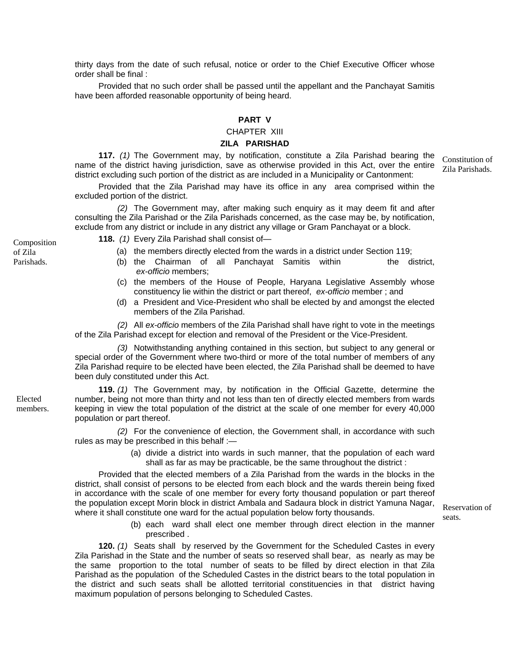thirty days from the date of such refusal, notice or order to the Chief Executive Officer whose order shall be final :

Provided that no such order shall be passed until the appellant and the Panchayat Samitis have been afforded reasonable opportunity of being heard.

# **PART V**

## CHAPTER XIII

## **ZILA PARISHAD**

**117.** *(1)* The Government may, by notification, constitute a Zila Parishad bearing the name of the district having jurisdiction, save as otherwise provided in this Act, over the entire district excluding such portion of the district as are included in a Municipality or Cantonment:

Provided that the Zila Parishad may have its office in any area comprised within the excluded portion of the district.

*(2)* The Government may, after making such enquiry as it may deem fit and after consulting the Zila Parishad or the Zila Parishads concerned, as the case may be, by notification, exclude from any district or include in any district any village or Gram Panchayat or a block.

**118.** *(1)* Every Zila Parishad shall consist of— Composition

- (a) the members directly elected from the wards in a district under Section 119;
- (b) the Chairman of all Panchayat Samitis within the district, *ex-officio* members;
- (c) the members of the House of People, Haryana Legislative Assembly whose constituency lie within the district or part thereof, *ex-officio* member ; and
- (d) a President and Vice-President who shall be elected by and amongst the elected members of the Zila Parishad.

*(2)* All *ex-officio* members of the Zila Parishad shall have right to vote in the meetings of the Zila Parishad except for election and removal of the President or the Vice-President.

*(3)* Notwithstanding anything contained in this section, but subject to any general or special order of the Government where two-third or more of the total number of members of any Zila Parishad require to be elected have been elected, the Zila Parishad shall be deemed to have been duly constituted under this Act.

**119.** *(1)* The Government may, by notification in the Official Gazette, determine the number, being not more than thirty and not less than ten of directly elected members from wards keeping in view the total population of the district at the scale of one member for every 40,000 population or part thereof.

*(2)* For the convenience of election, the Government shall, in accordance with such rules as may be prescribed in this behalf :—

> (a) divide a district into wards in such manner, that the population of each ward shall as far as may be practicable, be the same throughout the district :

Provided that the elected members of a Zila Parishad from the wards in the blocks in the district, shall consist of persons to be elected from each block and the wards therein being fixed in accordance with the scale of one member for every forty thousand population or part thereof the population except Morin block in district Ambala and Sadaura block in district Yamuna Nagar, where it shall constitute one ward for the actual population below forty thousands.

> (b) each ward shall elect one member through direct election in the manner prescribed .

**120.** *(1)* Seats shall by reserved by the Government for the Scheduled Castes in every Zila Parishad in the State and the number of seats so reserved shall bear, as nearly as may be the same proportion to the total number of seats to be filled by direct election in that Zila Parishad as the population of the Scheduled Castes in the district bears to the total population in the district and such seats shall be allotted territorial constituencies in that district having maximum population of persons belonging to Scheduled Castes.

Elected members.

of Zila Parishads. Constitution of Zila Parishads.

Reservation of seats.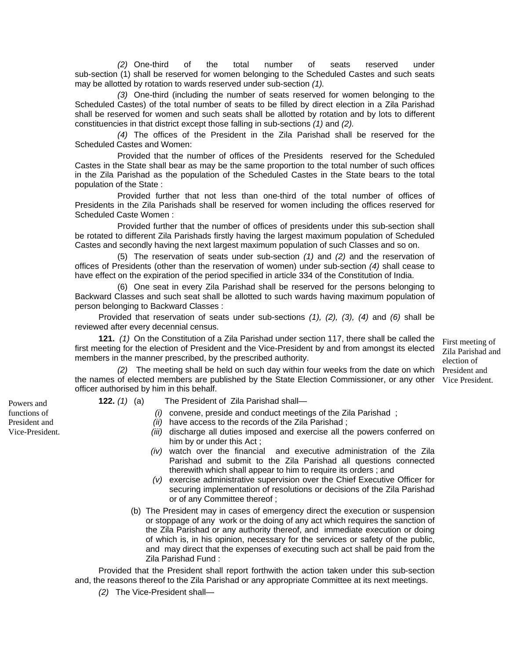*(2)* One-third of the total number of seats reserved under sub-section (1) shall be reserved for women belonging to the Scheduled Castes and such seats may be allotted by rotation to wards reserved under sub-section *(1).*

*(3)* One-third (including the number of seats reserved for women belonging to the Scheduled Castes) of the total number of seats to be filled by direct election in a Zila Parishad shall be reserved for women and such seats shall be allotted by rotation and by lots to different constituencies in that district except those falling in sub-sections *(1)* and *(2).*

*(4)* The offices of the President in the Zila Parishad shall be reserved for the Scheduled Castes and Women:

Provided that the number of offices of the Presidents reserved for the Scheduled Castes in the State shall bear as may be the same proportion to the total number of such offices in the Zila Parishad as the population of the Scheduled Castes in the State bears to the total population of the State :

Provided further that not less than one-third of the total number of offices of Presidents in the Zila Parishads shall be reserved for women including the offices reserved for Scheduled Caste Women :

Provided further that the number of offices of presidents under this sub-section shall be rotated to different Zila Parishads firstly having the largest maximum population of Scheduled Castes and secondly having the next largest maximum population of such Classes and so on.

(5) The reservation of seats under sub-section *(1)* and *(2)* and the reservation of offices of Presidents (other than the reservation of women) under sub-section *(4)* shall cease to have effect on the expiration of the period specified in article 334 of the Constitution of India.

(6) One seat in every Zila Parishad shall be reserved for the persons belonging to Backward Classes and such seat shall be allotted to such wards having maximum population of person belonging to Backward Classes :

Provided that reservation of seats under sub-sections *(1), (2), (3), (4)* and *(6)* shall be reviewed after every decennial census.

**121.** *(1)* On the Constitution of a Zila Parishad under section 117, there shall be called the first meeting for the election of President and the Vice-President by and from amongst its elected members in the manner prescribed, by the prescribed authority. Zila Parishad and

*(2)* The meeting shall be held on such day within four weeks from the date on which President and the names of elected members are published by the State Election Commissioner, or any other Vice President. officer authorised by him in this behalf.

- **122.** *(1)* (a) The President of Zila Parishad shall—
	- *(i)* convene, preside and conduct meetings of the Zila Parishad ;
		- *(ii)* have access to the records of the Zila Parishad ;
		- *(iii)* discharge all duties imposed and exercise all the powers conferred on him by or under this Act ;

First meeting of

election of

- *(iv)* watch over the financial and executive administration of the Zila Parishad and submit to the Zila Parishad all questions connected therewith which shall appear to him to require its orders ; and
- *(v)* exercise administrative supervision over the Chief Executive Officer for securing implementation of resolutions or decisions of the Zila Parishad or of any Committee thereof ;
- (b) The President may in cases of emergency direct the execution or suspension or stoppage of any work or the doing of any act which requires the sanction of the Zila Parishad or any authority thereof, and immediate execution or doing of which is, in his opinion, necessary for the services or safety of the public, and may direct that the expenses of executing such act shall be paid from the Zila Parishad Fund :

Provided that the President shall report forthwith the action taken under this sub-section and, the reasons thereof to the Zila Parishad or any appropriate Committee at its next meetings.

*(2)* The Vice-President shall—

Powers and functions of President and Vice-President.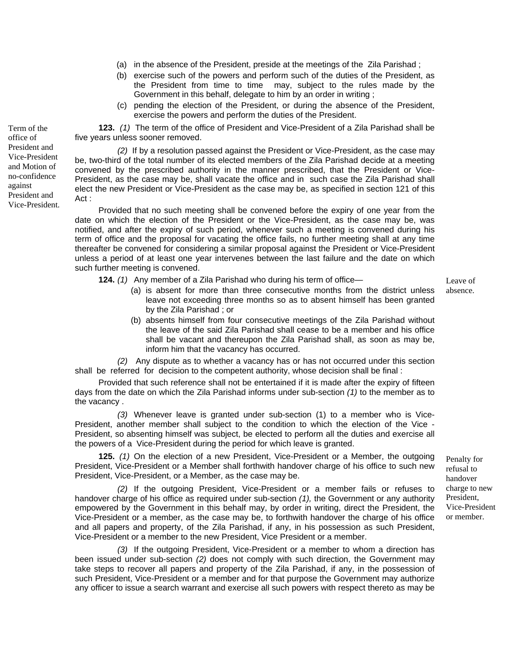- (a) in the absence of the President, preside at the meetings of the Zila Parishad ;
- (b) exercise such of the powers and perform such of the duties of the President, as the President from time to time may, subject to the rules made by the Government in this behalf, delegate to him by an order in writing ;
- (c) pending the election of the President, or during the absence of the President, exercise the powers and perform the duties of the President.

**123.** *(1)* The term of the office of President and Vice-President of a Zila Parishad shall be five years unless sooner removed.

*(2)* If by a resolution passed against the President or Vice-President, as the case may be, two-third of the total number of its elected members of the Zila Parishad decide at a meeting convened by the prescribed authority in the manner prescribed, that the President or Vice-President, as the case may be, shall vacate the office and in such case the Zila Parishad shall elect the new President or Vice-President as the case may be, as specified in section 121 of this Act :

Provided that no such meeting shall be convened before the expiry of one year from the date on which the election of the President or the Vice-President, as the case may be, was notified, and after the expiry of such period, whenever such a meeting is convened during his term of office and the proposal for vacating the office fails, no further meeting shall at any time thereafter be convened for considering a similar proposal against the President or Vice-President unless a period of at least one year intervenes between the last failure and the date on which such further meeting is convened.

**124.** *(1)* Any member of a Zila Parishad who during his term of office—

Leave of absence.

- (a) is absent for more than three consecutive months from the district unless leave not exceeding three months so as to absent himself has been granted by the Zila Parishad ; or
- (b) absents himself from four consecutive meetings of the Zila Parishad without the leave of the said Zila Parishad shall cease to be a member and his office shall be vacant and thereupon the Zila Parishad shall, as soon as may be, inform him that the vacancy has occurred.

*(2)* Any dispute as to whether a vacancy has or has not occurred under this section shall be referred for decision to the competent authority, whose decision shall be final :

Provided that such reference shall not be entertained if it is made after the expiry of fifteen days from the date on which the Zila Parishad informs under sub-section *(1)* to the member as to the vacancy .

*(3)* Whenever leave is granted under sub-section (1) to a member who is Vice-President, another member shall subject to the condition to which the election of the Vice - President, so absenting himself was subject, be elected to perform all the duties and exercise all the powers of a Vice-President during the period for which leave is granted.

**125.** *(1)* On the election of a new President, Vice-President or a Member, the outgoing President, Vice-President or a Member shall forthwith handover charge of his office to such new President, Vice-President, or a Member, as the case may be.

*(2)* If the outgoing President, Vice-President or a member fails or refuses to handover charge of his office as required under sub-section *(1),* the Government or any authority empowered by the Government in this behalf may, by order in writing, direct the President, the Vice-President or a member, as the case may be, to forthwith handover the charge of his office and all papers and property, of the Zila Parishad, if any, in his possession as such President, Vice-President or a member to the new President, Vice President or a member.

*(3)* If the outgoing President, Vice-President or a member to whom a direction has been issued under sub-section *(2)* does not comply with such direction, the Government may take steps to recover all papers and property of the Zila Parishad, if any, in the possession of such President, Vice-President or a member and for that purpose the Government may authorize any officer to issue a search warrant and exercise all such powers with respect thereto as may be

Penalty for refusal to handover charge to new President, Vice-President or member.

Term of the office of President and Vice-President and Motion of no-confidence against President and Vice-President.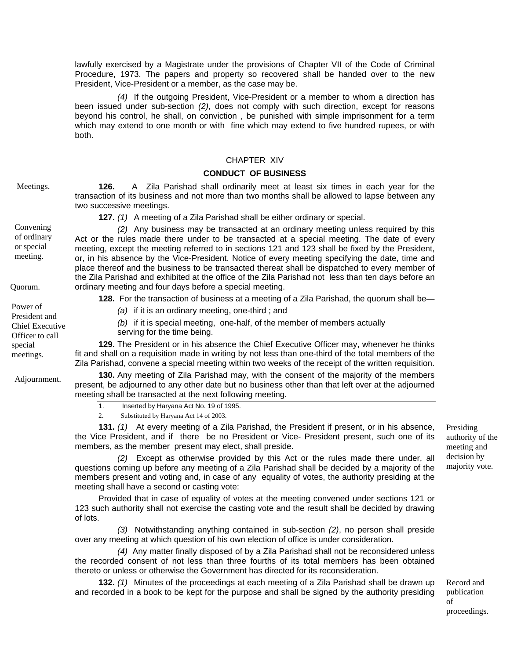lawfully exercised by a Magistrate under the provisions of Chapter VII of the Code of Criminal Procedure, 1973. The papers and property so recovered shall be handed over to the new President, Vice-President or a member, as the case may be.

*(4)* If the outgoing President, Vice-President or a member to whom a direction has been issued under sub-section *(2)*, does not comply with such direction, except for reasons beyond his control, he shall, on conviction , be punished with simple imprisonment for a term which may extend to one month or with fine which may extend to five hundred rupees, or with both.

# CHAPTER XIV

# **CONDUCT OF BUSINESS**

Meetings. **126.** A Zila Parishad shall ordinarily meet at least six times in each year for the

transaction of its business and not more than two months shall be allowed to lapse between any two successive meetings.

**127.** *(1)* A meeting of a Zila Parishad shall be either ordinary or special.

*(2)* Any business may be transacted at an ordinary meeting unless required by this Act or the rules made there under to be transacted at a special meeting. The date of every meeting, except the meeting referred to in sections 121 and 123 shall be fixed by the President, or, in his absence by the Vice-President. Notice of every meeting specifying the date, time and place thereof and the business to be transacted thereat shall be dispatched to every member of the Zila Parishad and exhibited at the office of the Zila Parishad not less than ten days before an Quorum. ordinary meeting and four days before a special meeting.

**128.** For the transaction of business at a meeting of a Zila Parishad, the quorum shall be—<br>Power of

*(a)* if it is an ordinary meeting, one-third ; and

*(b)* if it is special meeting, one-half, of the member of members actually serving for the time being.

**129.** The President or in his absence the Chief Executive Officer may, whenever he thinks fit and shall on a requisition made in writing by not less than one-third of the total members of the Zila Parishad, convene a special meeting within two weeks of the receipt of the written requisition.

**130.** Any meeting of Zila Parishad may, with the consent of the majority of the members present, be adjourned to any other date but no business other than that left over at the adjourned meeting shall be transacted at the next following meeting.

1. Inserted by Haryana Act No. 19 of 1995.

2. Substituted by Haryana Act 14 of 2003.

**131.** *(1)* At every meeting of a Zila Parishad, the President if present, or in his absence, the Vice President, and if there be no President or Vice- President present, such one of its members, as the member present may elect, shall preside.

*(2)* Except as otherwise provided by this Act or the rules made there under, all questions coming up before any meeting of a Zila Parishad shall be decided by a majority of the members present and voting and, in case of any equality of votes, the authority presiding at the meeting shall have a second or casting vote:

Provided that in case of equality of votes at the meeting convened under sections 121 or 123 such authority shall not exercise the casting vote and the result shall be decided by drawing of lots.

*(3)* Notwithstanding anything contained in sub-section *(2)*, no person shall preside over any meeting at which question of his own election of office is under consideration.

*(4)* Any matter finally disposed of by a Zila Parishad shall not be reconsidered unless the recorded consent of not less than three fourths of its total members has been obtained thereto or unless or otherwise the Government has directed for its reconsideration.

**132.** *(1)* Minutes of the proceedings at each meeting of a Zila Parishad shall be drawn up and recorded in a book to be kept for the purpose and shall be signed by the authority presiding

Presiding authority of the meeting and decision by majority vote.

Record and publication of proceedings.

or special meeting.

President and Chief Executive Officer to call special meetings.

Adjournment.

Convening

of ordinary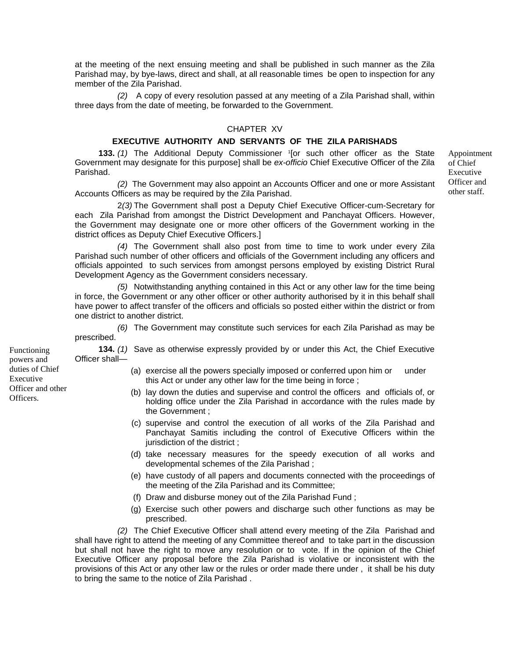at the meeting of the next ensuing meeting and shall be published in such manner as the Zila Parishad may, by bye-laws, direct and shall, at all reasonable times be open to inspection for any member of the Zila Parishad.

*(2)* A copy of every resolution passed at any meeting of a Zila Parishad shall, within three days from the date of meeting, be forwarded to the Government.

## CHAPTER XV

## **EXECUTIVE AUTHORITY AND SERVANTS OF THE ZILA PARISHADS**

**133.** (1) The Additional Deputy Commissioner <sup>1</sup>[or such other officer as the State Government may designate for this purpose] shall be *ex-officio* Chief Executive Officer of the Zila Parishad.

*(2)* The Government may also appoint an Accounts Officer and one or more Assistant Accounts Officers as may be required by the Zila Parishad.

 2*(3)* The Government shall post a Deputy Chief Executive Officer-cum-Secretary for each Zila Parishad from amongst the District Development and Panchayat Officers. However, the Government may designate one or more other officers of the Government working in the district offices as Deputy Chief Executive Officers.]

*(4)* The Government shall also post from time to time to work under every Zila Parishad such number of other officers and officials of the Government including any officers and officials appointed to such services from amongst persons employed by existing District Rural Development Agency as the Government considers necessary.

*(5)* Notwithstanding anything contained in this Act or any other law for the time being in force, the Government or any other officer or other authority authorised by it in this behalf shall have power to affect transfer of the officers and officials so posted either within the district or from one district to another district.

*(6)* The Government may constitute such services for each Zila Parishad as may be prescribed.

**134.** *(1)* Save as otherwise expressly provided by or under this Act, the Chief Executive Officer shall—

- (a) exercise all the powers specially imposed or conferred upon him or under this Act or under any other law for the time being in force ;
- (b) lay down the duties and supervise and control the officers and officials of, or holding office under the Zila Parishad in accordance with the rules made by the Government ;
- (c) supervise and control the execution of all works of the Zila Parishad and Panchayat Samitis including the control of Executive Officers within the jurisdiction of the district ;
- (d) take necessary measures for the speedy execution of all works and developmental schemes of the Zila Parishad ;
- (e) have custody of all papers and documents connected with the proceedings of the meeting of the Zila Parishad and its Committee;
- (f) Draw and disburse money out of the Zila Parishad Fund ;
- (g) Exercise such other powers and discharge such other functions as may be prescribed.

*(2)* The Chief Executive Officer shall attend every meeting of the Zila Parishad and shall have right to attend the meeting of any Committee thereof and to take part in the discussion but shall not have the right to move any resolution or to vote. If in the opinion of the Chief Executive Officer any proposal before the Zila Parishad is violative or inconsistent with the provisions of this Act or any other law or the rules or order made there under , it shall be his duty to bring the same to the notice of Zila Parishad .

Functioning powers and duties of Chief Executive Officer and other Officers.

Appointment of Chief Executive Officer and other staff.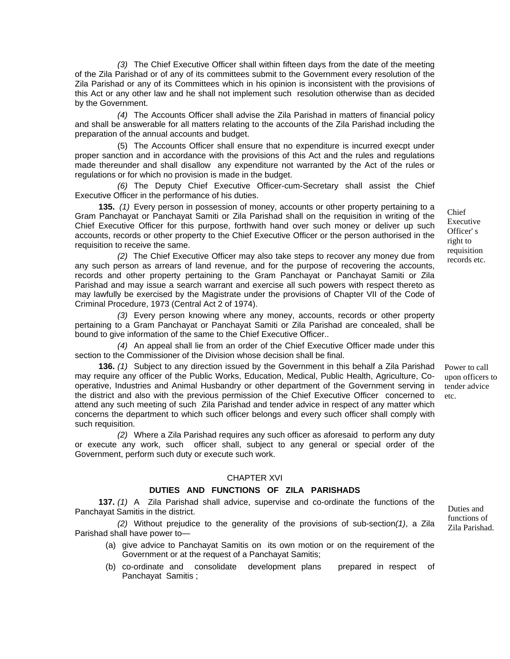*(3)* The Chief Executive Officer shall within fifteen days from the date of the meeting of the Zila Parishad or of any of its committees submit to the Government every resolution of the Zila Parishad or any of its Committees which in his opinion is inconsistent with the provisions of this Act or any other law and he shall not implement such resolution otherwise than as decided by the Government.

*(4)* The Accounts Officer shall advise the Zila Parishad in matters of financial policy and shall be answerable for all matters relating to the accounts of the Zila Parishad including the preparation of the annual accounts and budget.

(5) The Accounts Officer shall ensure that no expenditure is incurred execpt under proper sanction and in accordance with the provisions of this Act and the rules and regulations made thereunder and shall disallow any expenditure not warranted by the Act of the rules or regulations or for which no provision is made in the budget.

*(6)* The Deputy Chief Executive Officer-cum-Secretary shall assist the Chief Executive Officer in the performance of his duties.

**135.** *(1)* Every person in possession of money, accounts or other property pertaining to a Gram Panchayat or Panchayat Samiti or Zila Parishad shall on the requisition in writing of the Chief Executive Officer for this purpose, forthwith hand over such money or deliver up such accounts, records or other property to the Chief Executive Officer or the person authorised in the requisition to receive the same.

(2) The Chief Executive Officer may also take steps to recover any money due from records etc. any such person as arrears of land revenue, and for the purpose of recovering the accounts, records and other property pertaining to the Gram Panchayat or Panchayat Samiti or Zila Parishad and may issue a search warrant and exercise all such powers with respect thereto as may lawfully be exercised by the Magistrate under the provisions of Chapter VII of the Code of Criminal Procedure, 1973 (Central Act 2 of 1974).

*(3)* Every person knowing where any money, accounts, records or other property pertaining to a Gram Panchayat or Panchayat Samiti or Zila Parishad are concealed, shall be bound to give information of the same to the Chief Executive Officer..

*(4)* An appeal shall lie from an order of the Chief Executive Officer made under this section to the Commissioner of the Division whose decision shall be final.

**136.** *(1)* Subject to any direction issued by the Government in this behalf a Zila Parishad may require any officer of the Public Works, Education, Medical, Public Health, Agriculture, Cooperative, Industries and Animal Husbandry or other department of the Government serving in the district and also with the previous permission of the Chief Executive Officer concerned to attend any such meeting of such Zila Parishad and tender advice in respect of any matter which concerns the department to which such officer belongs and every such officer shall comply with such requisition.

*(2)* Where a Zila Parishad requires any such officer as aforesaid to perform any duty or execute any work, such officer shall, subject to any general or special order of the Government, perform such duty or execute such work.

## CHAPTER XVI

#### **DUTIES AND FUNCTIONS OF ZILA PARISHADS**

**137.** *(1)* A Zila Parishad shall advice, supervise and co-ordinate the functions of the Panchayat Samitis in the district.

 $(2)$  Without prejudice to the generality of the provisions of sub-section $(1)$ , a Zila  $\frac{1}{2}$  Zila Parishad. Parishad shall have power to—

- (a) give advice to Panchayat Samitis on its own motion or on the requirement of the Government or at the request of a Panchayat Samitis;
- (b) co-ordinate and consolidate development plans prepared in respect of Panchayat Samitis ;

functions of

Chief Executive Officer' s right to requisition

Power to call upon officers to tender advice etc.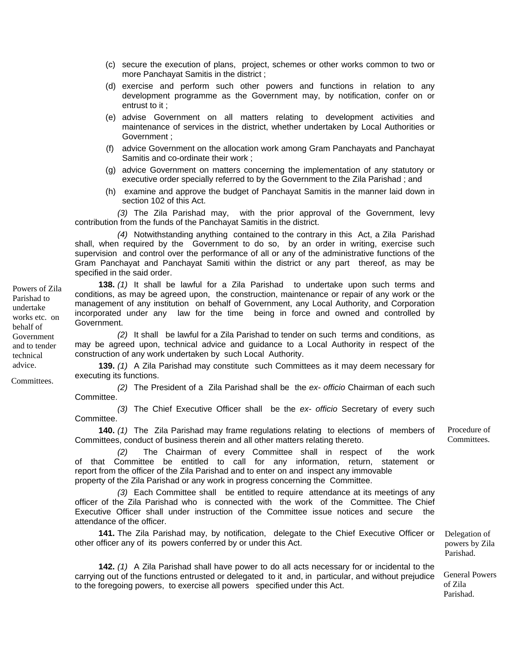- (c) secure the execution of plans, project, schemes or other works common to two or more Panchayat Samitis in the district ;
- (d) exercise and perform such other powers and functions in relation to any development programme as the Government may, by notification, confer on or entrust to it ;
- (e) advise Government on all matters relating to development activities and maintenance of services in the district, whether undertaken by Local Authorities or Government ;
- (f) advice Government on the allocation work among Gram Panchayats and Panchayat Samitis and co-ordinate their work ;
- (g) advice Government on matters concerning the implementation of any statutory or executive order specially referred to by the Government to the Zila Parishad ; and
- (h) examine and approve the budget of Panchayat Samitis in the manner laid down in section 102 of this Act.

 *(3)* The Zila Parishad may, with the prior approval of the Government, levy contribution from the funds of the Panchayat Samitis in the district.

*(4)* Notwithstanding anything contained to the contrary in this Act, a Zila Parishad shall, when required by the Government to do so, by an order in writing, exercise such supervision and control over the performance of all or any of the administrative functions of the Gram Panchayat and Panchayat Samiti within the district or any part thereof, as may be specified in the said order.

**138.** *(1)* It shall be lawful for a Zila Parishad to undertake upon such terms and conditions, as may be agreed upon, the construction, maintenance or repair of any work or the management of any institution on behalf of Government, any Local Authority, and Corporation incorporated under any law for the time being in force and owned and controlled by Government.

 *(2)* It shall be lawful for a Zila Parishad to tender on such terms and conditions, as may be agreed upon, technical advice and guidance to a Local Authority in respect of the construction of any work undertaken by such Local Authority.

**139.** *(1)* A Zila Parishad may constitute such Committees as it may deem necessary for executing its functions.

*(2)* The President of a Zila Parishad shall be the *ex- officio* Chairman of each such Committee.

*(3)* The Chief Executive Officer shall be the *ex- officio* Secretary of every such Committee.

**140.** *(1)* The Zila Parishad may frame regulations relating to elections of members of Committees, conduct of business therein and all other matters relating thereto.

*(2)* The Chairman of every Committee shall in respect of the work of that Committee be entitled to call for any information, return, statement or report from the officer of the Zila Parishad and to enter on and inspect any immovable property of the Zila Parishad or any work in progress concerning the Committee.

*(3)* Each Committee shall be entitled to require attendance at its meetings of any officer of the Zila Parishad who is connected with the work of the Committee. The Chief Executive Officer shall under instruction of the Committee issue notices and secure the attendance of the officer.

**141.** The Zila Parishad may, by notification, delegate to the Chief Executive Officer or other officer any of its powers conferred by or under this Act.

**142.** *(1)* A Zila Parishad shall have power to do all acts necessary for or incidental to the carrying out of the functions entrusted or delegated to it and, in particular, and without prejudice to the foregoing powers, to exercise all powers specified under this Act.

Procedure of Committees.

Parishad. General Powers

Delegation of powers by Zila

of Zila Parishad.

Powers of Zila Parishad to undertake works etc. on behalf of Government and to tender technical advice.

Committees.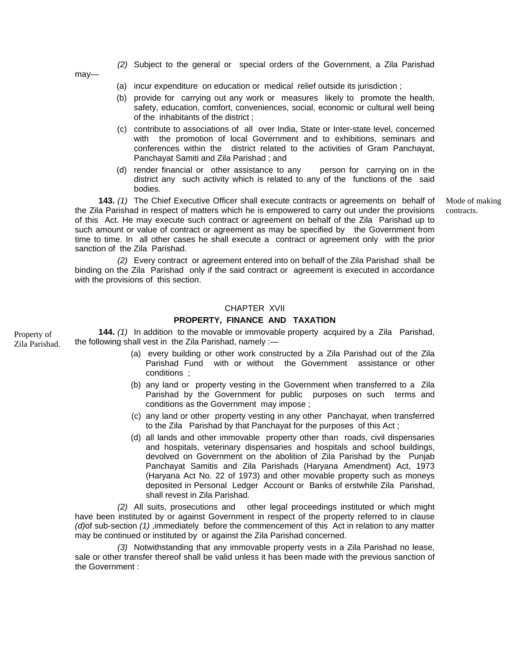*(2)* Subject to the general or special orders of the Government, a Zila Parishad

may—

- (a) incur expenditure on education or medical relief outside its jurisdiction ;
- (b) provide for carrying out any work or measures likely to promote the health, safety, education, comfort, conveniences, social, economic or cultural well being of the inhabitants of the district ;
- (c) contribute to associations of all over India, State or Inter-state level, concerned with the promotion of local Government and to exhibitions, seminars and conferences within the district related to the activities of Gram Panchayat, Panchayat Samiti and Zila Parishad ; and
- (d) render financial or other assistance to any person for carrying on in the district any such activity which is related to any of the functions of the said bodies.

**143.** *(1)* The Chief Executive Officer shall execute contracts or agreements on behalf of the Zila Parishad in respect of matters which he is empowered to carry out under the provisions of this Act. He may execute such contract or agreement on behalf of the Zila Parishad up to such amount or value of contract or agreement as may be specified by the Government from time to time. In all other cases he shall execute a contract or agreement only with the prior sanction of the Zila Parishad.

*(2)* Every contract or agreement entered into on behalf of the Zila Parishad shall be binding on the Zila Parishad only if the said contract or agreement is executed in accordance with the provisions of this section.

## CHAPTER XVII

# **PROPERTY, FINANCE AND TAXATION**

Zila Parishad. **144.** *(1)* In addition to the movable or immovable property acquired by a Zila Parishad, the following shall vest in the Zila Parishad, namely :—

- (a) every building or other work constructed by a Zila Parishad out of the Zila Parishad Fund with or without the Government assistance or other conditions ;
- (b) any land or property vesting in the Government when transferred to a Zila Parishad by the Government for public purposes on such terms and conditions as the Government may impose ;
- (c) any land or other property vesting in any other Panchayat, when transferred to the Zila Parishad by that Panchayat for the purposes of this Act ;
- (d) all lands and other immovable property other than roads, civil dispensaries and hospitals, veterinary dispensaries and hospitals and school buildings, devolved on Government on the abolition of Zila Parishad by the Punjab Panchayat Samitis and Zila Parishads (Haryana Amendment) Act, 1973 (Haryana Act No. 22 of 1973) and other movable property such as moneys deposited in Personal Ledger Account or Banks of erstwhile Zila Parishad, shall revest in Zila Parishad.

*(2)* All suits, prosecutions and other legal proceedings instituted or which might have been instituted by or against Government in respect of the property referred to in clause *(d)*of sub-section *(1)* ,immediately before the commencement of this Act in relation to any matter may be continued or instituted by or against the Zila Parishad concerned.

*(3)* Notwithstanding that any immovable property vests in a Zila Parishad no lease, sale or other transfer thereof shall be valid unless it has been made with the previous sanction of the Government :

Property of

Mode of making contracts.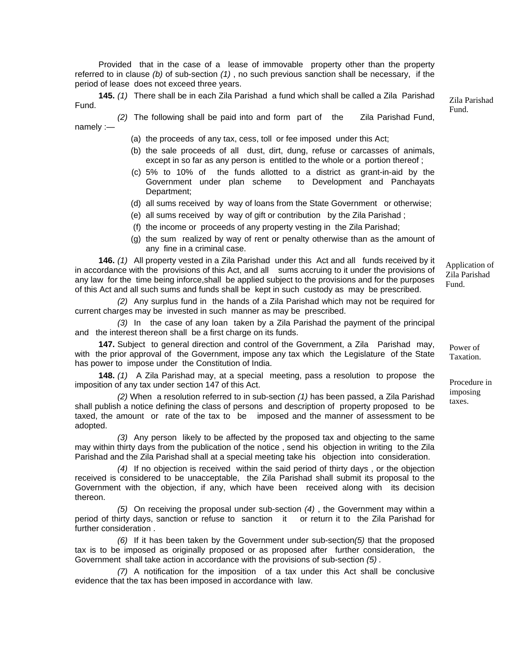Provided that in the case of a lease of immovable property other than the property referred to in clause *(b)* of sub-section *(1)* , no such previous sanction shall be necessary, if the period of lease does not exceed three years.

**145.** *(1)* There shall be in each Zila Parishad a fund which shall be called a Zila Parishad <br>Eund

Fund.

- *(2)* The following shall be paid into and form part of the Zila Parishad Fund, namely :—
	- (a) the proceeds of any tax, cess, toll or fee imposed under this Act;
	- (b) the sale proceeds of all dust, dirt, dung, refuse or carcasses of animals, except in so far as any person is entitled to the whole or a portion thereof ;
	- (c) 5% to 10% of the funds allotted to a district as grant-in-aid by the Government under plan scheme to Development and Panchayats Department;
	- (d) all sums received by way of loans from the State Government or otherwise;
	- (e) all sums received by way of gift or contribution by the Zila Parishad ;
	- (f) the income or proceeds of any property vesting in the Zila Parishad;
	- (g) the sum realized by way of rent or penalty otherwise than as the amount of any fine in a criminal case.

**146.** *(1)* All property vested in a Zila Parishad under this Act and all funds received by it in accordance with the provisions of this Act, and all sums accruing to it under the provisions of any law for the time being inforce,shall be applied subject to the provisions and for the purposes of this Act and all such sums and funds shall be kept in such custody as may be prescribed.

*(2)* Any surplus fund in the hands of a Zila Parishad which may not be required for current charges may be invested in such manner as may be prescribed.

*(3)* In the case of any loan taken by a Zila Parishad the payment of the principal and the interest thereon shall be a first charge on its funds.

**147.** Subject to general direction and control of the Government, a Zila Parishad may, with the prior approval of the Government, impose any tax which the Legislature of the State has power to impose under the Constitution of India.

**148.** *(1)* A Zila Parishad may, at a special meeting, pass a resolution to propose the imposition of any tax under section 147 of this Act.

(2) When a resolution referred to in sub-section (1) has been passed, a Zila Parishad taxes. shall publish a notice defining the class of persons and description of property proposed to be taxed, the amount or rate of the tax to be imposed and the manner of assessment to be adopted.

*(3)* Any person likely to be affected by the proposed tax and objecting to the same may within thirty days from the publication of the notice , send his objection in writing to the Zila Parishad and the Zila Parishad shall at a special meeting take his objection into consideration.

*(4)* If no objection is received within the said period of thirty days , or the objection received is considered to be unacceptable, the Zila Parishad shall submit its proposal to the Government with the objection, if any, which have been received along with its decision thereon.

*(5)* On receiving the proposal under sub-section *(4)* , the Government may within a period of thirty days, sanction or refuse to sanction it or return it to the Zila Parishad for further consideration

*(6)* If it has been taken by the Government under sub-section*(5)* that the proposed tax is to be imposed as originally proposed or as proposed after further consideration, the Government shall take action in accordance with the provisions of sub-section *(5) .*

*(7)* A notification for the imposition of a tax under this Act shall be conclusive evidence that the tax has been imposed in accordance with law.

Power of Taxation.

Application of Zila Parishad Fund.

imposing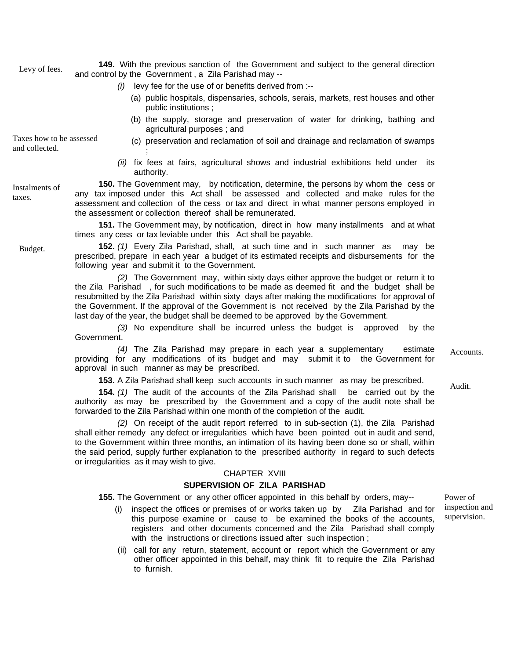**149.** With the previous sanction of the Government and subject to the general direction Levy of fees.<br>and control by the Government , a Zila Parishad may --

*(i)* levy fee for the use of or benefits derived from :--

;

- (a) public hospitals, dispensaries, schools, serais, markets, rest houses and other public institutions ;
- (b) the supply, storage and preservation of water for drinking, bathing and agricultural purposes ; and

Taxes how to be assessed Taxes how to be assessed (c) preservation and reclamation of soil and drainage and reclamation of swamps and collected.

> *(ii)* fix fees at fairs, agricultural shows and industrial exhibitions held under its authority.

**150.** The Government may, by notification, determine, the persons by whom the cess or any tax imposed under this Act shall be assessed and collected and make rules for the assessment and collection of the cess or tax and direct in what manner persons employed in the assessment or collection thereof shall be remunerated.

**151.** The Government may, by notification, direct in how many installments and at what times any cess or tax leviable under this Act shall be payable.

Budget. **152.** *(1)* Every Zila Parishad, shall, at such time and in such manner as may be prescribed, prepare in each year a budget of its estimated receipts and disbursements for the following year and submit it to the Government.

> *(2)* The Government may, within sixty days either approve the budget or return it to the Zila Parishad , for such modifications to be made as deemed fit and the budget shall be resubmitted by the Zila Parishad within sixty days after making the modifications for approval of the Government. If the approval of the Government is not received by the Zila Parishad by the last day of the year, the budget shall be deemed to be approved by the Government.

> *(3)* No expenditure shall be incurred unless the budget is approved by the Government.

*(4)* The Zila Parishad may prepare in each year a supplementary estimate providing for any modifications of its budget and may submit it to the Government for approval in such manner as may be prescribed.

**153.** A Zila Parishad shall keep such accounts in such manner as may be prescribed.

**154.** *(1)* The audit of the accounts of the Zila Parishad shall be carried out by the authority as may be prescribed by the Government and a copy of the audit note shall be forwarded to the Zila Parishad within one month of the completion of the audit.

*(2)* On receipt of the audit report referred to in sub-section (1), the Zila Parishad shall either remedy any defect or irregularities which have been pointed out in audit and send, to the Government within three months, an intimation of its having been done so or shall, within the said period, supply further explanation to the prescribed authority in regard to such defects or irregularities as it may wish to give.

# CHAPTER XVIII

# **SUPERVISION OF ZILA PARISHAD**

**155.** The Government or any other officer appointed in this behalf by orders, may--

- (i) inspect the offices or premises of or works taken up by Zila Parishad and for this purpose examine or cause to be examined the books of the accounts, registers and other documents concerned and the Zila Parishad shall comply with the instructions or directions issued after such inspection ;
- (ii) call for any return, statement, account or report which the Government or any other officer appointed in this behalf, may think fit to require the Zila Parishad to furnish.

Power of inspection and supervision.

Instalments of

**Accounts** 

taxes.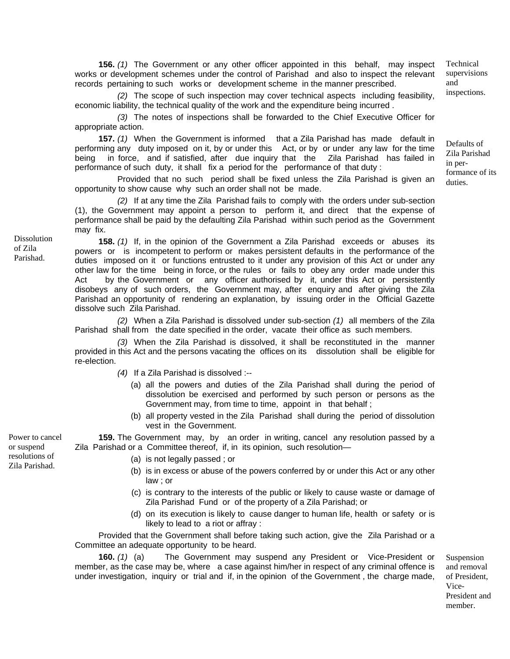**156.** *(1)* The Government or any other officer appointed in this behalf, may inspect works or development schemes under the control of Parishad and also to inspect the relevant records pertaining to such works or development scheme in the manner prescribed.

(2) The scope of such inspection may cover technical aspects including feasibility, inspections. economic liability, the technical quality of the work and the expenditure being incurred .

*(3)* The notes of inspections shall be forwarded to the Chief Executive Officer for appropriate action.

**157.** *(1)* When the Government is informed that a Zila Parishad has made default in performing any duty imposed on it, by or under this Act, or by or under any law for the time being in force, and if satisfied, after due inquiry that the Zila Parishad has failed in performance of such duty, it shall fix a period for the performance of that duty :

Provided that no such period shall be fixed unless the Zila Parishad is given an  $\frac{\text{volume}}{\text{dutes}}$ opportunity to show cause why such an order shall not be made.

 *(2)* If at any time the Zila Parishad fails to comply with the orders under sub-section (1), the Government may appoint a person to perform it, and direct that the expense of performance shall be paid by the defaulting Zila Parishad within such period as the Government may fix.

**158.** *(1)* If, in the opinion of the Government a Zila Parishad exceeds or abuses its powers or is incompetent to perform or makes persistent defaults in the performance of the duties imposed on it or functions entrusted to it under any provision of this Act or under any other law for the time being in force, or the rules or fails to obey any order made under this Act by the Government or any officer authorised by it, under this Act or persistently disobeys any of such orders, the Government may, after enquiry and after giving the Zila Parishad an opportunity of rendering an explanation, by issuing order in the Official Gazette dissolve such Zila Parishad.

*(2)* When a Zila Parishad is dissolved under sub-section *(1)* all members of the Zila Parishad shall from the date specified in the order, vacate their office as such members.

*(3)* When the Zila Parishad is dissolved, it shall be reconstituted in the manner provided in this Act and the persons vacating the offices on its dissolution shall be eligible for re-election.

- *(4)* If a Zila Parishad is dissolved :--
	- (a) all the powers and duties of the Zila Parishad shall during the period of dissolution be exercised and performed by such person or persons as the Government may, from time to time, appoint in that behalf ;
	- (b) all property vested in the Zila Parishad shall during the period of dissolution vest in the Government.

**159.** The Government may, by an order in writing, cancel any resolution passed by a Zila Parishad or a Committee thereof, if, in its opinion, such resolution-

- (a) is not legally passed ; or
- (b) is in excess or abuse of the powers conferred by or under this Act or any other law ; or
- (c) is contrary to the interests of the public or likely to cause waste or damage of Zila Parishad Fund or of the property of a Zila Parishad; or
- (d) on its execution is likely to cause danger to human life, health or safety or is likely to lead to a riot or affray :

Provided that the Government shall before taking such action, give the Zila Parishad or a Committee an adequate opportunity to be heard.

**160.** *(1)* (a) The Government may suspend any President or Vice-President or member, as the case may be, where a case against him/her in respect of any criminal offence is under investigation, inquiry or trial and if, in the opinion of the Government , the charge made,

Suspension and removal of President, Vice-President and member.

Power to cancel or suspend resolutions of Zila Parishad.

Dissolution of Zila Parishad.

Technical supervisions and

Defaults of Zila Parishad in per-

formance of its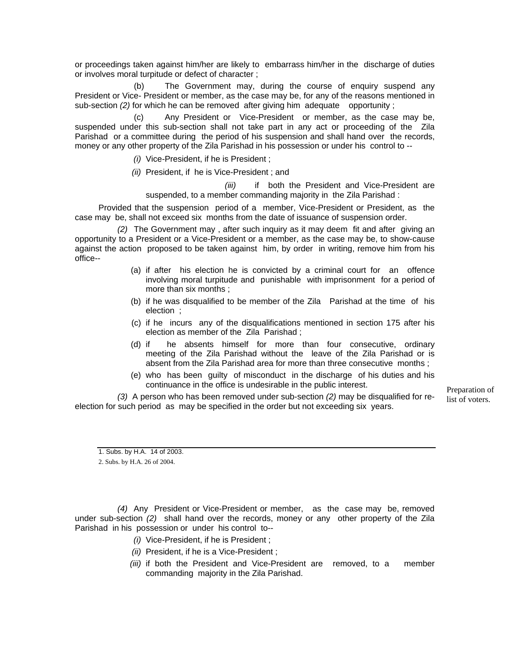or proceedings taken against him/her are likely to embarrass him/her in the discharge of duties or involves moral turpitude or defect of character ;

(b) The Government may, during the course of enquiry suspend any President or Vice- President or member, as the case may be, for any of the reasons mentioned in sub-section *(2)* for which he can be removed after giving him adequate opportunity ;

Any President or Vice-President or member, as the case may be, suspended under this sub-section shall not take part in any act or proceeding of the Zila Parishad or a committee during the period of his suspension and shall hand over the records, money or any other property of the Zila Parishad in his possession or under his control to --

*(i)* Vice-President, if he is President ;

 *(ii)* President, if he is Vice-President ; and

 *(iii)* if both the President and Vice-President are suspended, to a member commanding majority in the Zila Parishad :

Provided that the suspension period of a member, Vice-President or President, as the case may be, shall not exceed six months from the date of issuance of suspension order.

*(2)* The Government may , after such inquiry as it may deem fit and after giving an opportunity to a President or a Vice-President or a member, as the case may be, to show-cause against the action proposed to be taken against him, by order in writing, remove him from his office--

- (a) if after his election he is convicted by a criminal court for an offence involving moral turpitude and punishable with imprisonment for a period of more than six months ;
- (b) if he was disqualified to be member of the Zila Parishad at the time of his election ;
- (c) if he incurs any of the disqualifications mentioned in section 175 after his election as member of the Zila Parishad ;
- (d) if he absents himself for more than four consecutive, ordinary meeting of the Zila Parishad without the leave of the Zila Parishad or is absent from the Zila Parishad area for more than three consecutive months ;
- (e) who has been guilty of misconduct in the discharge of his duties and his continuance in the office is undesirable in the public interest.<br>Preparation of

(3) A person who has been removed under sub-section (2) may be disqualified for re-<br>list of voters. election for such period as may be specified in the order but not exceeding six years.

2. Subs. by H.A. 26 of 2004.

*(4)* Any President or Vice-President or member, as the case may be, removed under sub-section *(2)* shall hand over the records, money or any other property of the Zila Parishad in his possession or under his control to--

- *(i)* Vice-President, if he is President ;
- *(ii)* President, if he is a Vice-President ;
- *(iii)* if both the President and Vice-President are removed, to a member commanding majority in the Zila Parishad.

<sup>1.</sup> Subs. by H.A. 14 of 2003.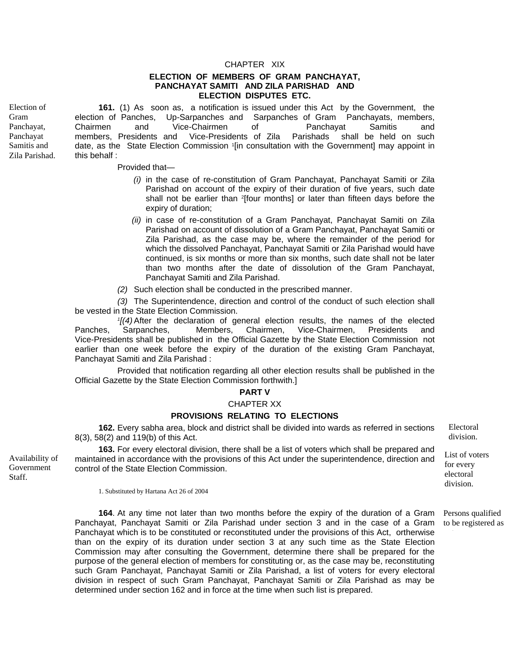#### CHAPTER XIX

#### **ELECTION OF MEMBERS OF GRAM PANCHAYAT, PANCHAYAT SAMITI AND ZILA PARISHAD AND ELECTION DISPUTES ETC.**

Election of Gram Panchayat, Panchayat Samitis and Zila Parishad.

**161.** (1) As soon as, a notification is issued under this Act by the Government, the election of Panches, Up-Sarpanches and Sarpanches of Gram Panchayats, members, Chairmen and Vice-Chairmen of Panchayat Samitis and members, Presidents and Vice-Presidents of Zila Parishads shall be held on such date, as the State Election Commission 1[in consultation with the Government] may appoint in this behalf :

#### Provided that—

- *(i)* in the case of re-constitution of Gram Panchayat, Panchayat Samiti or Zila Parishad on account of the expiry of their duration of five years, such date shall not be earlier than <sup>2</sup>[four months] or later than fifteen days before the expiry of duration;
- *(ii)* in case of re-constitution of a Gram Panchayat, Panchayat Samiti on Zila Parishad on account of dissolution of a Gram Panchayat, Panchayat Samiti or Zila Parishad, as the case may be, where the remainder of the period for which the dissolved Panchayat, Panchayat Samiti or Zila Parishad would have continued, is six months or more than six months, such date shall not be later than two months after the date of dissolution of the Gram Panchayat, Panchayat Samiti and Zila Parishad.
- *(2)* Such election shall be conducted in the prescribed manner.

*(3)* The Superintendence, direction and control of the conduct of such election shall be vested in the State Election Commission.

*1[(4)* After the declaration of general election results, the names of the elected Panches, Sarpanches, Members, Chairmen, Vice-Chairmen, Presidents and Vice-Presidents shall be published in the Official Gazette by the State Election Commission not earlier than one week before the expiry of the duration of the existing Gram Panchayat, Panchayat Samiti and Zila Parishad :

Provided that notification regarding all other election results shall be published in the Official Gazette by the State Election Commission forthwith.]

#### **PART V**

## CHAPTER XX

## **PROVISIONS RELATING TO ELECTIONS**

**162.** Every sabha area, block and district shall be divided into wards as referred in sections 8(3), 58(2) and 119(b) of this Act.

**163.** For every electoral division, there shall be a list of voters which shall be prepared and maintained in accordance with the provisions of this Act under the superintendence, direction and control of the State Election Commission.

Electoral division.

List of voters for every electoral division.

Persons qualified

1. Substituted by Hartana Act 26 of 2004

**164**. At any time not later than two months before the expiry of the duration of a Gram Panchayat, Panchayat Samiti or Zila Parishad under section 3 and in the case of a Gram Panchayat which is to be constituted or reconstituted under the provisions of this Act, ortherwise than on the expiry of its duration under section 3 at any such time as the State Election Commission may after consulting the Government, determine there shall be prepared for the purpose of the general election of members for constituting or, as the case may be, reconstituting such Gram Panchayat, Panchayat Samiti or Zila Parishad, a list of voters for every electoral division in respect of such Gram Panchayat, Panchayat Samiti or Zila Parishad as may be determined under section 162 and in force at the time when such list is prepared. to be registered as

Availability of Government Staff.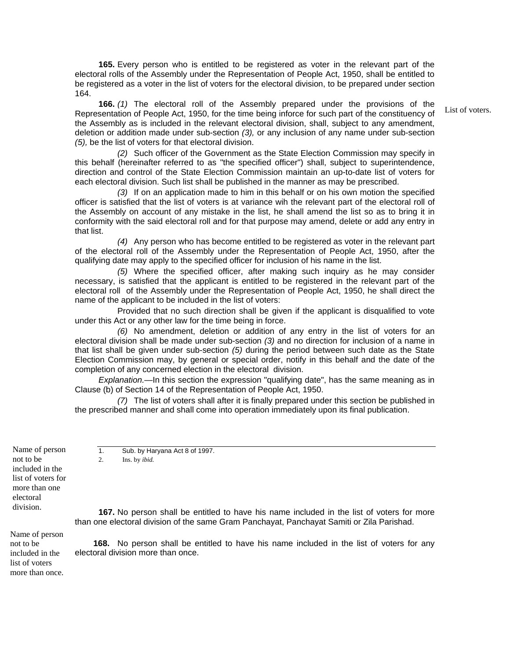**165.** Every person who is entitled to be registered as voter in the relevant part of the electoral rolls of the Assembly under the Representation of People Act, 1950, shall be entitled to be registered as a voter in the list of voters for the electoral division, to be prepared under section 164.

**166.** *(1)* The electoral roll of the Assembly prepared under the provisions of the Representation of People Act, 1950, for the time being inforce for such part of the constituency of the Assembly as is included in the relevant electoral division, shall, subject to any amendment, deletion or addition made under sub-section *(3),* or any inclusion of any name under sub-section *(5),* be the list of voters for that electoral division.

List of voters.

*(2)* Such officer of the Government as the State Election Commission may specify in this behalf (hereinafter referred to as "the specified officer") shall, subject to superintendence, direction and control of the State Election Commission maintain an up-to-date list of voters for each electoral division. Such list shall be published in the manner as may be prescribed.

*(3)* If on an application made to him in this behalf or on his own motion the specified officer is satisfied that the list of voters is at variance wih the relevant part of the electoral roll of the Assembly on account of any mistake in the list, he shall amend the list so as to bring it in conformity with the said electoral roll and for that purpose may amend, delete or add any entry in that list.

*(4)* Any person who has become entitled to be registered as voter in the relevant part of the electoral roll of the Assembly under the Representation of People Act, 1950, after the qualifying date may apply to the specified officer for inclusion of his name in the list.

*(5)* Where the specified officer, after making such inquiry as he may consider necessary, is satisfied that the applicant is entitled to be registered in the relevant part of the electoral roll of the Assembly under the Representation of People Act, 1950, he shall direct the name of the applicant to be included in the list of voters:

Provided that no such direction shall be given if the applicant is disqualified to vote under this Act or any other law for the time being in force.

*(6)* No amendment, deletion or addition of any entry in the list of voters for an electoral division shall be made under sub-section *(3)* and no direction for inclusion of a name in that list shall be given under sub-section *(5)* during the period between such date as the State Election Commission may, by general or special order, notify in this behalf and the date of the completion of any concerned election in the electoral division.

*Explanation.—*In this section the expression "qualifying date", has the same meaning as in Clause (b) of Section 14 of the Representation of People Act, 1950.

*(7)* The list of voters shall after it is finally prepared under this section be published in the prescribed manner and shall come into operation immediately upon its final publication.

Name of person not to be included in the list of voters for more than one electoral division.

1. Sub. by Haryana Act 8 of 1997. 2. Ins. by *ibid.*

**167.** No person shall be entitled to have his name included in the list of voters for more than one electoral division of the same Gram Panchayat, Panchayat Samiti or Zila Parishad.

 **168.** No person shall be entitled to have his name included in the list of voters for any electoral division more than once.

Name of person not to be included in the list of voters more than once.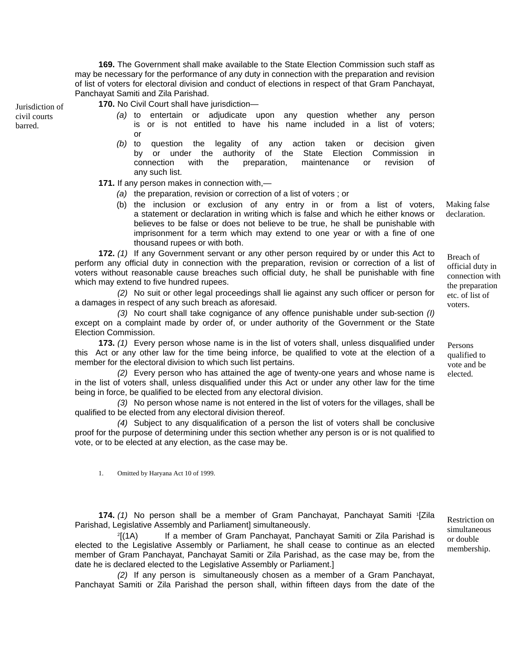**169.** The Government shall make available to the State Election Commission such staff as may be necessary for the performance of any duty in connection with the preparation and revision of list of voters for electoral division and conduct of elections in respect of that Gram Panchayat, Panchayat Samiti and Zila Parishad.

civil courts barred.

**Iurisdiction of 170. No Civil Court shall have jurisdiction—** 

- *(a)* to entertain or adjudicate upon any question whether any person is or is not entitled to have his name included in a list of voters; or
- *(b)* to question the legality of any action taken or decision given by or under the authority of the State Election Commission in connection with the preparation, maintenance or revision of any such list.

**171.** If any person makes in connection with,—

- *(a)* the preparation, revision or correction of a list of voters ; or
- (b) the inclusion or exclusion of any entry in or from a list of voters, a statement or declaration in writing which is false and which he either knows or believes to be false or does not believe to be true, he shall be punishable with imprisonment for a term which may extend to one year or with a fine of one thousand rupees or with both.

**172.** *(1)* If any Government servant or any other person required by or under this Act to perform any official duty in connection with the preparation, revision or correction of a list of voters without reasonable cause breaches such official duty, he shall be punishable with fine which may extend to five hundred rupees.

*(2)* No suit or other legal proceedings shall lie against any such officer or person for a damages in respect of any such breach as aforesaid.

*(3)* No court shall take cognigance of any offence punishable under sub-section *(I)* except on a complaint made by order of, or under authority of the Government or the State Election Commission.

**173.** *(1)* Every person whose name is in the list of voters shall, unless disqualified under this Act or any other law for the time being inforce, be qualified to vote at the election of a member for the electoral division to which such list pertains.

*(2)* Every person who has attained the age of twenty-one years and whose name is in the list of voters shall, unless disqualified under this Act or under any other law for the time being in force, be qualified to be elected from any electoral division.

*(3)* No person whose name is not entered in the list of voters for the villages, shall be qualified to be elected from any electoral division thereof.

*(4)* Subject to any disqualification of a person the list of voters shall be conclusive proof for the purpose of determining under this section whether any person is or is not qualified to vote, or to be elected at any election, as the case may be.

1. Omitted by Haryana Act 10 of 1999.

**174.** *(1)* No person shall be a member of Gram Panchayat, Panchayat Samiti 1[Zila  $P$ arishad, Legislative Assembly and Parliament] simultaneously. Restriction on Parishad, Legislative Assembly and Parliament] simultaneously.

2[(1A) If a member of Gram Panchayat, Panchayat Samiti or Zila Parishad is elected to the Legislative Assembly or Parliament, he shall cease to continue as an elected member of Gram Panchayat, Panchayat Samiti or Zila Parishad, as the case may be, from the date he is declared elected to the Legislative Assembly or Parliament.]

*(2)* If any person is simultaneously chosen as a member of a Gram Panchayat, Panchayat Samiti or Zila Parishad the person shall, within fifteen days from the date of the

Making false declaration.

Breach of official duty in connection with the preparation etc. of list of voters.

Persons qualified to vote and be elected.

simultaneous or double membership.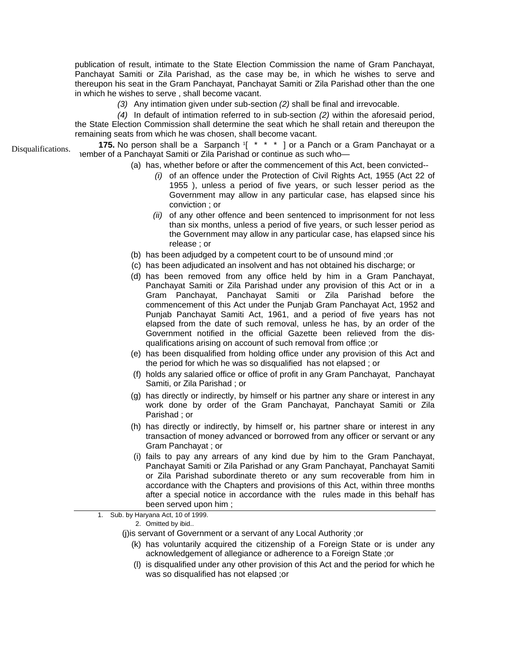publication of result, intimate to the State Election Commission the name of Gram Panchayat, Panchayat Samiti or Zila Parishad, as the case may be, in which he wishes to serve and thereupon his seat in the Gram Panchayat, Panchayat Samiti or Zila Parishad other than the one in which he wishes to serve , shall become vacant.

*(3)* Any intimation given under sub-section *(2)* shall be final and irrevocable.

*(4)* In default of intimation referred to in sub-section *(2)* within the aforesaid period, the State Election Commission shall determine the seat which he shall retain and thereupon the remaining seats from which he was chosen, shall become vacant.

**175.** No person shall be a Sarpanch 1[ \* \* \* ] or a Panch or a Gram Panchayat or a Disqualifications. This is person shall be a Salpanch [1] or a ranch or a<br>— Disqualifications. Dember of a Panchayat Samiti or Zila Parishad or continue as such who

- (a) has, whether before or after the commencement of this Act, been convicted--
	- *(i)* of an offence under the Protection of Civil Rights Act, 1955 (Act 22 of 1955 ), unless a period of five years, or such lesser period as the Government may allow in any particular case, has elapsed since his conviction ; or
	- *(ii)* of any other offence and been sentenced to imprisonment for not less than six months, unless a period of five years, or such lesser period as the Government may allow in any particular case, has elapsed since his release ; or
- (b) has been adjudged by a competent court to be of unsound mind ;or
- (c) has been adjudicated an insolvent and has not obtained his discharge; or
- (d) has been removed from any office held by him in a Gram Panchayat, Panchayat Samiti or Zila Parishad under any provision of this Act or in a Gram Panchayat, Panchayat Samiti or Zila Parishad before the commencement of this Act under the Punjab Gram Panchayat Act, 1952 and Punjab Panchayat Samiti Act, 1961, and a period of five years has not elapsed from the date of such removal, unless he has, by an order of the Government notified in the official Gazette been relieved from the disqualifications arising on account of such removal from office ;or
- (e) has been disqualified from holding office under any provision of this Act and the period for which he was so disqualified has not elapsed ; or
- (f) holds any salaried office or office of profit in any Gram Panchayat, Panchayat Samiti, or Zila Parishad ; or
- (g) has directly or indirectly, by himself or his partner any share or interest in any work done by order of the Gram Panchayat, Panchayat Samiti or Zila Parishad ; or
- (h) has directly or indirectly, by himself or, his partner share or interest in any transaction of money advanced or borrowed from any officer or servant or any Gram Panchayat ; or
- (i) fails to pay any arrears of any kind due by him to the Gram Panchayat, Panchayat Samiti or Zila Parishad or any Gram Panchayat, Panchayat Samiti or Zila Parishad subordinate thereto or any sum recoverable from him in accordance with the Chapters and provisions of this Act, within three months after a special notice in accordance with the rules made in this behalf has been served upon him ;

1. Sub. by Haryana Act, 10 of 1999.

2. Omitted by ibid..

- (j)is servant of Government or a servant of any Local Authority ;or
	- (k) has voluntarily acquired the citizenship of a Foreign State or is under any acknowledgement of allegiance or adherence to a Foreign State ;or
	- (l) is disqualified under any other provision of this Act and the period for which he was so disqualified has not elapsed ;or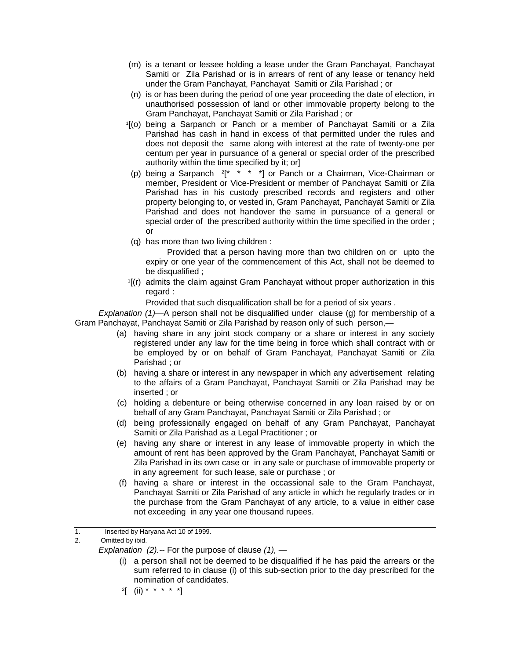- (m) is a tenant or lessee holding a lease under the Gram Panchayat, Panchayat Samiti or Zila Parishad or is in arrears of rent of any lease or tenancy held under the Gram Panchayat, Panchayat Samiti or Zila Parishad ; or
- (n) is or has been during the period of one year proceeding the date of election, in unauthorised possession of land or other immovable property belong to the Gram Panchayat, Panchayat Samiti or Zila Parishad ; or 1[(o) being a Sarpanch or Panch or a member of Panchayat Samiti or a Zila
- Parishad has cash in hand in excess of that permitted under the rules and does not deposit the same along with interest at the rate of twenty-one per centum per year in pursuance of a general or special order of the prescribed authority within the time specified by it; or]
- (p) being a Sarpanch  $2^*$  \* \* \*] or Panch or a Chairman, Vice-Chairman or member, President or Vice-President or member of Panchayat Samiti or Zila Parishad has in his custody prescribed records and registers and other property belonging to, or vested in, Gram Panchayat, Panchayat Samiti or Zila Parishad and does not handover the same in pursuance of a general or special order of the prescribed authority within the time specified in the order ; or
- (q) has more than two living children :

 Provided that a person having more than two children on or upto the expiry or one year of the commencement of this Act, shall not be deemed to

be disqualified ;<br>1[(r) admits the claim against Gram Panchayat without proper authorization in this regard :

Provided that such disqualification shall be for a period of six years .

*Explanation (1)—*A person shall not be disqualified under clause (g) for membership of a Gram Panchayat, Panchayat Samiti or Zila Parishad by reason only of such person,—

- (a) having share in any joint stock company or a share or interest in any society registered under any law for the time being in force which shall contract with or be employed by or on behalf of Gram Panchayat, Panchayat Samiti or Zila Parishad ; or
- (b) having a share or interest in any newspaper in which any advertisement relating to the affairs of a Gram Panchayat, Panchayat Samiti or Zila Parishad may be inserted ; or
- (c) holding a debenture or being otherwise concerned in any loan raised by or on behalf of any Gram Panchayat, Panchayat Samiti or Zila Parishad ; or
- (d) being professionally engaged on behalf of any Gram Panchayat, Panchayat Samiti or Zila Parishad as a Legal Practitioner ; or
- (e) having any share or interest in any lease of immovable property in which the amount of rent has been approved by the Gram Panchayat, Panchayat Samiti or Zila Parishad in its own case or in any sale or purchase of immovable property or in any agreement for such lease, sale or purchase ; or
- (f) having a share or interest in the occassional sale to the Gram Panchayat, Panchayat Samiti or Zila Parishad of any article in which he regularly trades or in the purchase from the Gram Panchayat of any article, to a value in either case not exceeding in any year one thousand rupees.

1. Inserted by Haryana Act 10 of 1999.

*Explanation (2).--* For the purpose of clause *(1),* —

- (i) a person shall not be deemed to be disqualified if he has paid the arrears or the sum referred to in clause (i) of this sub-section prior to the day prescribed for the nomination of candidates.<br><sup>2</sup>[ (ii) \* \* \* \* \*]
- 

<sup>2.</sup> Omitted by ibid.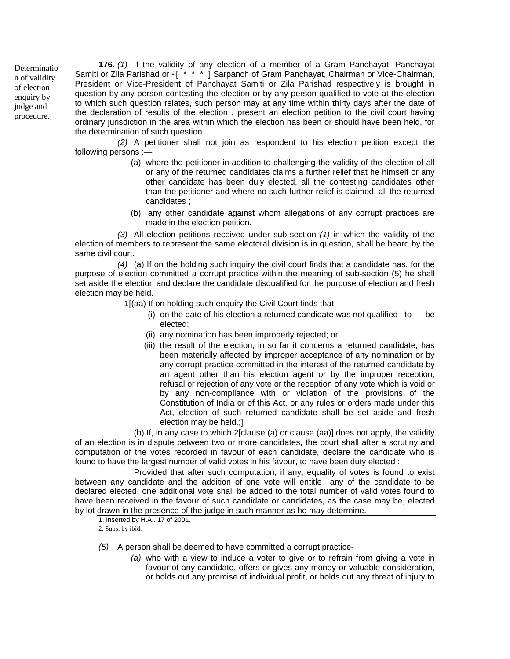Determinatio n of validity of election enquiry by judge and procedure.

**176.** *(1)* If the validity of any election of a member of a Gram Panchayat, Panchayat Samiti or Zila Parishad or <sup>2</sup>[<sup>\*\*\*\*</sup>] Sarpanch of Gram Panchayat, Chairman or Vice-Chairman, President or Vice-President of Panchayat Samiti or Zila Parishad respectively is brought in question by any person contesting the election or by any person qualified to vote at the election to which such question relates, such person may at any time within thirty days after the date of the declaration of results of the election , present an election petition to the civil court having ordinary jurisdiction in the area within which the election has been or should have been held, for the determination of such question.

*(2)* A petitioner shall not join as respondent to his election petition except the following persons :—

- (a) where the petitioner in addition to challenging the validity of the election of all or any of the returned candidates claims a further relief that he himself or any other candidate has been duly elected, all the contesting candidates other than the petitioner and where no such further relief is claimed, all the returned candidates ;
- (b) any other candidate against whom allegations of any corrupt practices are made in the election petition.

*(3)* All election petitions received under sub-section *(1)* in which the validity of the election of members to represent the same electoral division is in question, shall be heard by the same civil court.

*(4)* (a) If on the holding such inquiry the civil court finds that a candidate has, for the purpose of election committed a corrupt practice within the meaning of sub-section (5) he shall set aside the election and declare the candidate disqualified for the purpose of election and fresh election may be held.

1[(aa) If on holding such enquiry the Civil Court finds that-

- (i) on the date of his election a returned candidate was not qualified to be elected;
- (ii) any nomination has been improperly rejected; or
- (iii) the result of the election, in so far it concerns a returned candidate, has been materially affected by improper acceptance of any nomination or by any corrupt practice committed in the interest of the returned candidate by an agent other than his election agent or by the improper reception, refusal or rejection of any vote or the reception of any vote which is void or by any non-compliance with or violation of the provisions of the Constitution of India or of this Act, or any rules or orders made under this Act, election of such returned candidate shall be set aside and fresh election may be held.;]

(b) If, in any case to which 2[clause (a) or clause (aa)] does not apply, the validity of an election is in dispute between two or more candidates, the court shall after a scrutiny and computation of the votes recorded in favour of each candidate, declare the candidate who is found to have the largest number of valid votes in his favour, to have been duty elected :

Provided that after such computation, if any, equality of votes is found to exist between any candidate and the addition of one vote will entitle any of the candidate to be declared elected, one additional vote shall be added to the total number of valid votes found to have been received in the favour of such candidate or candidates, as the case may be, elected by lot drawn in the presence of the judge in such manner as he may determine.

1. Inserted by H.A.. 17 of 2001. 2. Subs. by ibid.

*(5)* A person shall be deemed to have committed a corrupt practice-

*(a)* who with a view to induce a voter to give or to refrain from giving a vote in favour of any candidate, offers or gives any money or valuable consideration, or holds out any promise of individual profit, or holds out any threat of injury to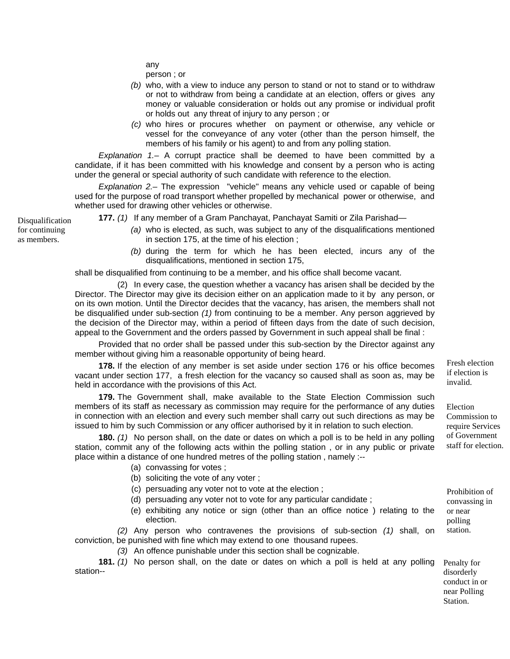any

person ; or

- *(b)* who, with a view to induce any person to stand or not to stand or to withdraw or not to withdraw from being a candidate at an election, offers or gives any money or valuable consideration or holds out any promise or individual profit or holds out any threat of injury to any person ; or
- *(c)* who hires or procures whether on payment or otherwise, any vehicle or vessel for the conveyance of any voter (other than the person himself, the members of his family or his agent) to and from any polling station.

*Explanation 1.–* A corrupt practice shall be deemed to have been committed by a candidate, if it has been committed with his knowledge and consent by a person who is acting under the general or special authority of such candidate with reference to the election.

*Explanation 2.–* The expression "vehicle" means any vehicle used or capable of being used for the purpose of road transport whether propelled by mechanical power or otherwise, and whether used for drawing other vehicles or otherwise.

Disqualification **177.** (1) If any member of a Gram Panchayat, Panchayat Samiti or Zila Parishad—

- *(a)* who is elected, as such, was subject to any of the disqualifications mentioned in section 175, at the time of his election ;
- *(b)* during the term for which he has been elected, incurs any of the disqualifications, mentioned in section 175,

shall be disqualified from continuing to be a member, and his office shall become vacant.

(2) In every case, the question whether a vacancy has arisen shall be decided by the Director. The Director may give its decision either on an application made to it by any person, or on its own motion. Until the Director decides that the vacancy, has arisen, the members shall not be disqualified under sub-section *(1)* from continuing to be a member. Any person aggrieved by the decision of the Director may, within a period of fifteen days from the date of such decision, appeal to the Government and the orders passed by Government in such appeal shall be final :

Provided that no order shall be passed under this sub-section by the Director against any member without giving him a reasonable opportunity of being heard.

**178.** If the election of any member is set aside under section 176 or his office becomes vacant under section 177, a fresh election for the vacancy so caused shall as soon as, may be held in accordance with the provisions of this Act.

**179.** The Government shall, make available to the State Election Commission such members of its staff as necessary as commission may require for the performance of any duties in connection with an election and every such member shall carry out such directions as may be issued to him by such Commission or any officer authorised by it in relation to such election.

**180.** *(1)* No person shall, on the date or dates on which a poll is to be held in any polling station, commit any of the following acts within the polling station , or in any public or private place within a distance of one hundred metres of the polling station , namely :--

- (a) convassing for votes ;
- (b) soliciting the vote of any voter ;
- (c) persuading any voter not to vote at the election ;
- (d) persuading any voter not to vote for any particular candidate ;
- (e) exhibiting any notice or sign (other than an office notice ) relating to the election.

*(2)* Any person who contravenes the provisions of sub-section *(1)* shall, on conviction, be punished with fine which may extend to one thousand rupees.

*(3)* An offence punishable under this section shall be cognizable.

**181.** *(1)* No person shall, on the date or dates on which a poll is held at any polling station--

Fresh election if election is invalid.

Election Commission to require Services of Government staff for election.

Penalty for disorderly conduct in or

Prohibition of convassing in or near polling station.

near Polling Station.

for continuing as members.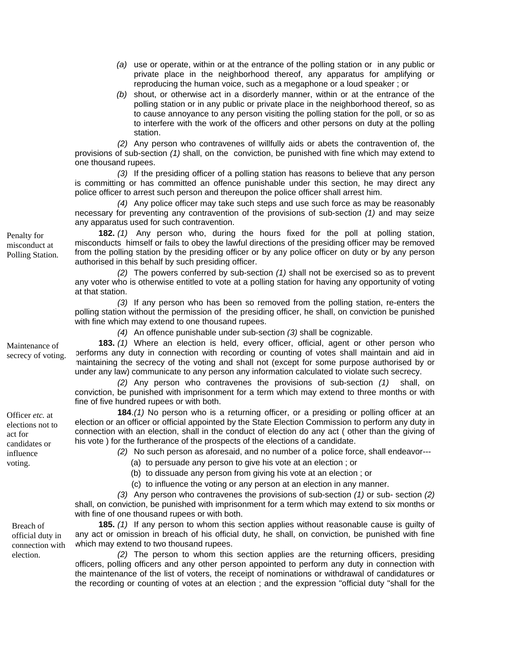- *(a)* use or operate, within or at the entrance of the polling station or in any public or private place in the neighborhood thereof, any apparatus for amplifying or reproducing the human voice, such as a megaphone or a loud speaker ; or
- *(b)* shout, or otherwise act in a disorderly manner, within or at the entrance of the polling station or in any public or private place in the neighborhood thereof, so as to cause annoyance to any person visiting the polling station for the poll, or so as to interfere with the work of the officers and other persons on duty at the polling station.

*(2)* Any person who contravenes of willfully aids or abets the contravention of, the provisions of sub-section *(1)* shall, on the conviction, be punished with fine which may extend to one thousand rupees.

*(3)* If the presiding officer of a polling station has reasons to believe that any person is committing or has committed an offence punishable under this section, he may direct any police officer to arrest such person and thereupon the police officer shall arrest him.

*(4)* Any police officer may take such steps and use such force as may be reasonably necessary for preventing any contravention of the provisions of sub-section *(1)* and may seize any apparatus used for such contravention.

**182.** *(1)* Any person who, during the hours fixed for the poll at polling station, misconducts himself or fails to obey the lawful directions of the presiding officer may be removed from the polling station by the presiding officer or by any police officer on duty or by any person authorised in this behalf by such presiding officer.

*(2)* The powers conferred by sub-section *(1)* shall not be exercised so as to prevent any voter who is otherwise entitled to vote at a polling station for having any opportunity of voting at that station.

 *(3)* If any person who has been so removed from the polling station, re-enters the polling station without the permission of the presiding officer, he shall, on conviction be punished with fine which may extend to one thousand rupees.

 *(4)* An offence punishable under sub-section *(3)* shall be cognizable.

**183.** *(1)* Where an election is held, every officer, official, agent or other person who performs any duty in connection with recording or counting of votes shall maintain and aid in maintaining the secrecy of the voting and shall not (except for some purpose authorised by or under any law) communicate to any person any information calculated to violate such secrecy.

*(2)* Any person who contravenes the provisions of sub-section *(1)* shall, on conviction, be punished with imprisonment for a term which may extend to three months or with fine of five hundred rupees or with both.

**184**. *(1)* No person who is a returning officer, or a presiding or polling officer at an election or an officer or official appointed by the State Election Commission to perform any duty in connection with an election, shall in the conduct of election do any act ( other than the giving of his vote ) for the furtherance of the prospects of the elections of a candidate.

*(2)* No such person as aforesaid, and no number of a police force, shall endeavor---

(a) to persuade any person to give his vote at an election ; or

(b) to dissuade any person from giving his vote at an election ; or

(c) to influence the voting or any person at an election in any manner.

*(3)* Any person who contravenes the provisions of sub-section *(1)* or sub- section *(2)* shall, on conviction, be punished with imprisonment for a term which may extend to six months or with fine of one thousand rupees or with both.

**185.** *(1)* If any person to whom this section applies without reasonable cause is guilty of any act or omission in breach of his official duty, he shall, on conviction, be punished with fine which may extend to two thousand rupees.

*(2)* The person to whom this section applies are the returning officers, presiding officers, polling officers and any other person appointed to perform any duty in connection with the maintenance of the list of voters, the receipt of nominations or withdrawal of candidatures or the recording or counting of votes at an election ; and the expression "official duty "shall for the

Maintenance of secrecy of voting.

Penalty for misconduct at Polling Station.

Officer *etc.* at elections not to act for candidates or influence voting.

> Breach of official duty in connection with

election.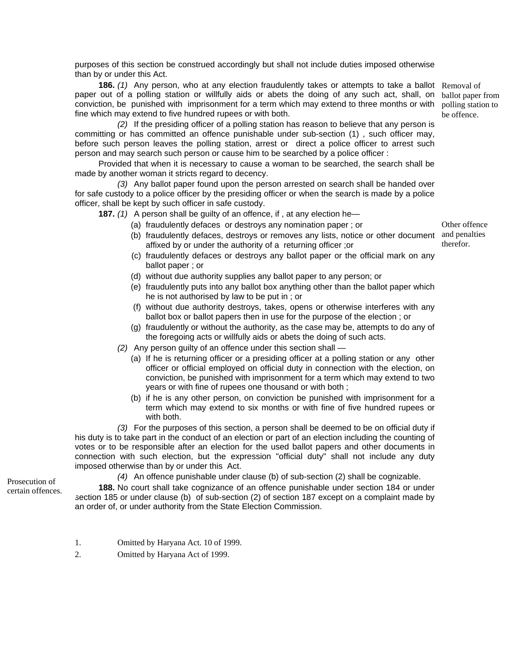purposes of this section be construed accordingly but shall not include duties imposed otherwise than by or under this Act.

**186.** (1) Any person, who at any election fraudulently takes or attempts to take a ballot Removal of paper out of a polling station or willfully aids or abets the doing of any such act, shall, on ballot paper from conviction, be punished with imprisonment for a term which may extend to three months or with polling station to fine which may extend to five hundred rupees or with both.

*(2)* If the presiding officer of a polling station has reason to believe that any person is committing or has committed an offence punishable under sub-section (1) , such officer may, before such person leaves the polling station, arrest or direct a police officer to arrest such person and may search such person or cause him to be searched by a police officer :

Provided that when it is necessary to cause a woman to be searched, the search shall be made by another woman it stricts regard to decency.

*(3)* Any ballot paper found upon the person arrested on search shall be handed over for safe custody to a police officer by the presiding officer or when the search is made by a police officer, shall be kept by such officer in safe custody.

**187.** *(1)* A person shall be guilty of an offence, if , at any election he—

- (a) fraudulently defaces or destroys any nomination paper ; or
- (b) fraudulently defaces, destroys or removes any lists, notice or other document and penalties affixed by or under the authority of a returning officer ;or
- (c) fraudulently defaces or destroys any ballot paper or the official mark on any ballot paper ; or
- (d) without due authority supplies any ballot paper to any person; or
- (e) fraudulently puts into any ballot box anything other than the ballot paper which he is not authorised by law to be put in ; or
- (f) without due authority destroys, takes, opens or otherwise interferes with any ballot box or ballot papers then in use for the purpose of the election ; or
- (g) fraudulently or without the authority, as the case may be, attempts to do any of the foregoing acts or willfully aids or abets the doing of such acts.
- *(2)* Any person guilty of an offence under this section shall
	- (a) If he is returning officer or a presiding officer at a polling station or any other officer or official employed on official duty in connection with the election, on conviction, be punished with imprisonment for a term which may extend to two years or with fine of rupees one thousand or with both ;
	- (b) if he is any other person, on conviction be punished with imprisonment for a term which may extend to six months or with fine of five hundred rupees or with both.

*(3)* For the purposes of this section, a person shall be deemed to be on official duty if his duty is to take part in the conduct of an election or part of an election including the counting of votes or to be responsible after an election for the used ballot papers and other documents in connection with such election, but the expression "official duty" shall not include any duty imposed otherwise than by or under this Act.

Prosecution of certain offences. *(4)* An offence punishable under clause (b) of sub-section (2) shall be cognizable.

**188.** No court shall take cognizance of an offence punishable under section 184 or under section 185 or under clause (b) of sub-section (2) of section 187 except on a complaint made by an order of, or under authority from the State Election Commission.

- 1. Omitted by Haryana Act. 10 of 1999.
- 2. Omitted by Haryana Act of 1999.

be offence.

Other offence therefor.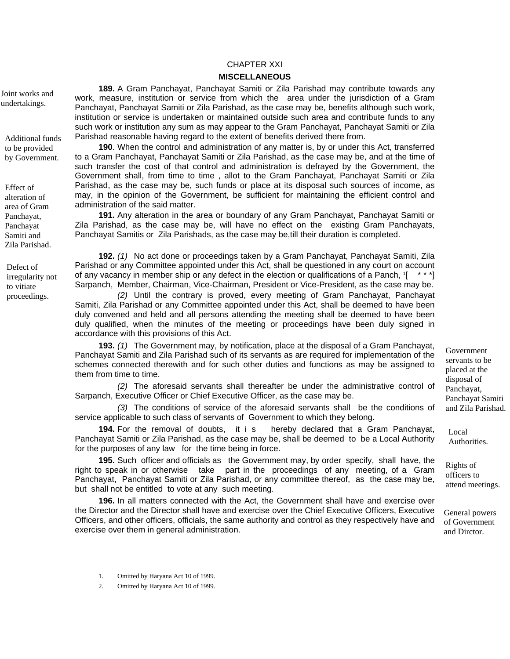## CHAPTER XXI

#### **MISCELLANEOUS**

**189.** A Gram Panchayat, Panchayat Samiti or Zila Parishad may contribute towards any work, measure, institution or service from which the area under the jurisdiction of a Gram Panchayat, Panchayat Samiti or Zila Parishad, as the case may be, benefits although such work, institution or service is undertaken or maintained outside such area and contribute funds to any such work or institution any sum as may appear to the Gram Panchayat, Panchayat Samiti or Zila Parishad reasonable having regard to the extent of benefits derived there from.

**190**. When the control and administration of any matter is, by or under this Act, transferred to a Gram Panchayat, Panchayat Samiti or Zila Parishad, as the case may be, and at the time of such transfer the cost of that control and administration is defrayed by the Government, the Government shall, from time to time , allot to the Gram Panchayat, Panchayat Samiti or Zila Parishad, as the case may be, such funds or place at its disposal such sources of income, as may, in the opinion of the Government, be sufficient for maintaining the efficient control and administration of the said matter.

**191.** Any alteration in the area or boundary of any Gram Panchayat, Panchayat Samiti or Zila Parishad, as the case may be, will have no effect on the existing Gram Panchayats, Panchayat Samitis or Zila Parishads, as the case may be,till their duration is completed.

**192.** *(1)* No act done or proceedings taken by a Gram Panchayat, Panchayat Samiti, Zila Parishad or any Committee appointed under this Act, shall be questioned in any court on account of any vacancy in member ship or any defect in the election or qualifications of a Panch,  $[1 \times \cdot \cdot]$ Sarpanch, Member, Chairman, Vice-Chairman, President or Vice-President, as the case may be.

proceedings. *(2)* Until the contrary is proved, every meeting of Gram Panchayat, Panchayat Samiti, Zila Parishad or any Committee appointed under this Act, shall be deemed to have been duly convened and held and all persons attending the meeting shall be deemed to have been duly qualified, when the minutes of the meeting or proceedings have been duly signed in accordance with this provisions of this Act.

> **193.** *(1)* The Government may, by notification, place at the disposal of a Gram Panchayat, Panchayat Samiti and Zila Parishad such of its servants as are required for implementation of the schemes connected therewith and for such other duties and functions as may be assigned to them from time to time.

> *(2)* The aforesaid servants shall thereafter be under the administrative control of Sarpanch, Executive Officer or Chief Executive Officer, as the case may be.

> *(3)* The conditions of service of the aforesaid servants shall be the conditions of service applicable to such class of servants of Government to which they belong.

**194.** For the removal of doubts, it i s hereby declared that a Gram Panchayat, Panchayat Samiti or Zila Parishad, as the case may be, shall be deemed to be a Local Authority for the purposes of any law for the time being in force.

**195.** Such officer and officials as the Government may, by order specify, shall have, the right to speak in or otherwise take part in the proceedings of any meeting, of a Gram Panchayat, Panchayat Samiti or Zila Parishad, or any committee thereof, as the case may be, but shall not be entitled to vote at any such meeting.

**196.** In all matters connected with the Act, the Government shall have and exercise over the Director and the Director shall have and exercise over the Chief Executive Officers, Executive Officers, and other officers, officials, the same authority and control as they respectively have and exercise over them in general administration.

Government servants to be placed at the disposal of Panchayat, Panchayat Samiti and Zila Parishad.

Local Authorities.

Rights of officers to attend meetings.

General powers of Government and Dirctor.

Joint works and undertakings.

Additional funds to be provided by Government.

Effect of alteration of area of Gram Panchayat, Panchayat Samiti and Zila Parishad.

Defect of irregularity not to vitiate

- 1. Omitted by Haryana Act 10 of 1999.
- 2. Omitted by Haryana Act 10 of 1999.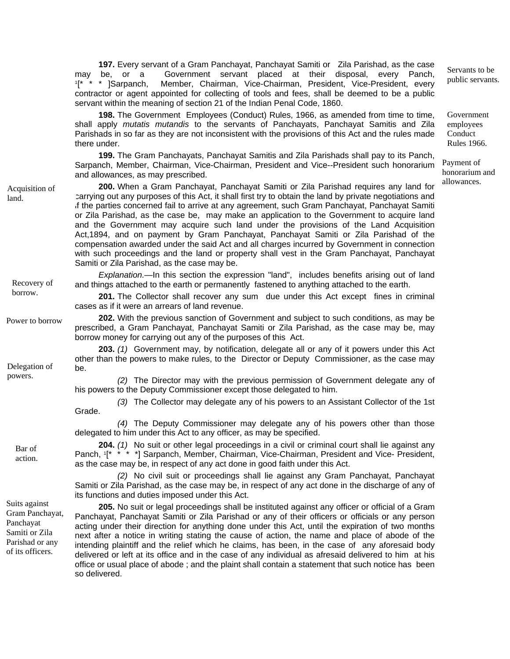**197.** Every servant of a Gram Panchayat, Panchayat Samiti or Zila Parishad, as the case may be, or a Government servant placed at their disposal, every Panch,  $1[^* * * ]$ Sarpanch, Member, Chairman, Vice-Chairman, President, Vice-President, every contractor or agent appointed for collecting of tools and fees, shall be deemed to be a public servant within the meaning of section 21 of the Indian Penal Code, 1860.

**198.** The Government Employees (Conduct) Rules, 1966, as amended from time to time, shall apply *mutatis mutandis* to the servants of Panchayats, Panchayat Samitis and Zila Parishads in so far as they are not inconsistent with the provisions of this Act and the rules made there under.

**199.** The Gram Panchayats, Panchayat Samitis and Zila Parishads shall pay to its Panch, Sarpanch, Member, Chairman, Vice-Chairman, President and Vice--President such honorarium and allowances, as may prescribed.

**200.** When a Gram Panchayat, Panchayat Samiti or Zila Parishad requires any land for carrying out any purposes of this Act, it shall first try to obtain the land by private negotiations and if the parties concerned fail to arrive at any agreement, such Gram Panchayat, Panchayat Samiti or Zila Parishad, as the case be, may make an application to the Government to acquire land and the Government may acquire such land under the provisions of the Land Acquisition Act,1894, and on payment by Gram Panchayat, Panchayat Samiti or Zila Parishad of the compensation awarded under the said Act and all charges incurred by Government in connection with such proceedings and the land or property shall vest in the Gram Panchayat, Panchayat Samiti or Zila Parishad, as the case may be.

*Explanation.—*In this section the expression "land", includes benefits arising out of land Recovery of and things attached to the earth or permanently fastened to anything attached to the earth.<br>borrow.

201. The Collector shall recover any sum due under this Act except fines in criminal cases as if it were an arrears of land revenue.

**202.** With the previous sanction of Government and subject to such conditions, as may be prescribed, a Gram Panchayat, Panchayat Samiti or Zila Parishad, as the case may be, may borrow money for carrying out any of the purposes of this Act.

**203.** *(1)* Government may, by notification, delegate all or any of it powers under this Act other than the powers to make rules, to the Director or Deputy Commissioner, as the case may<br>powers. (2) The Director may with the provisue parmission of Covernment delegate any of

powers. *(2)* The Director may with the previous permission of Government delegate any of his powers to the Deputy Commissioner except those delegated to him.

*(3)* The Collector may delegate any of his powers to an Assistant Collector of the 1st Grade.

*(4)* The Deputy Commissioner may delegate any of his powers other than those delegated to him under this Act to any officer, as may be specified.

**204.** *(1)* No suit or other legal proceedings in a civil or criminal court shall lie against any Panch, <sup>1</sup> \* \* \* \* 1 Sarpanch, Member, Chairman, Vice-Chairman, President and Vice- President, as the case may be, in respect of any act done in good faith under this Act.

*(2)* No civil suit or proceedings shall lie against any Gram Panchayat, Panchayat Samiti or Zila Parishad, as the case may be, in respect of any act done in the discharge of any of its functions and duties imposed under this Act.

**205.** No suit or legal proceedings shall be instituted against any officer or official of a Gram Panchayat, Panchayat Samiti or Zila Parishad or any of their officers or officials or any person acting under their direction for anything done under this Act, until the expiration of two months next after a notice in writing stating the cause of action, the name and place of abode of the intending plaintiff and the relief which he claims, has been, in the case of any aforesaid body delivered or left at its office and in the case of any individual as afresaid delivered to him at his office or usual place of abode ; and the plaint shall contain a statement that such notice has been so delivered.

Acquisition of land.

Power to borrow

Bar of action.

Suits against Gram Panchayat, Panchayat Samiti or Zila Parishad or any of its officers.

Servants to be public servants.

Government employees Conduct Rules 1966.

Payment of honorarium and allowances.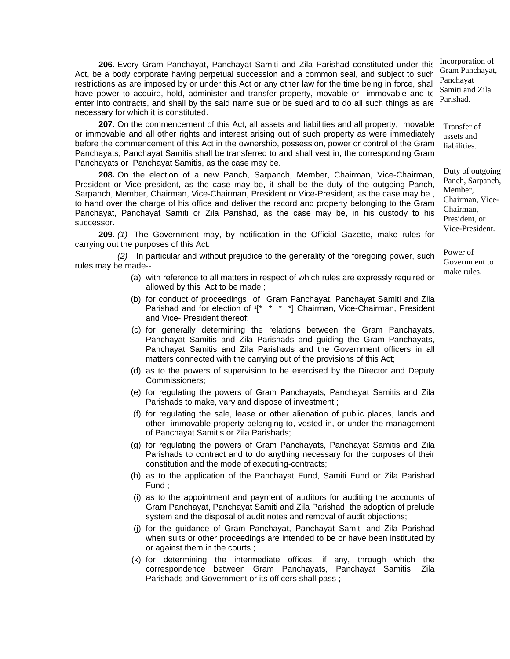**206.** Every Gram Panchayat, Panchayat Samiti and Zila Parishad constituted under this Act, be a body corporate having perpetual succession and a common seal, and subject to such restrictions as are imposed by or under this Act or any other law for the time being in force, shall have power to acquire, hold, administer and transfer property, movable or immovable and to enter into contracts, and shall by the said name sue or be sued and to do all such things as are necessary for which it is constituted.

**207.** On the commencement of this Act, all assets and liabilities and all property, movable or immovable and all other rights and interest arising out of such property as were immediately before the commencement of this Act in the ownership, possession, power or control of the Gram Panchayats, Panchayat Samitis shall be transferred to and shall vest in, the corresponding Gram Panchayats or Panchayat Samitis, as the case may be.

**208.** On the election of a new Panch, Sarpanch, Member, Chairman, Vice-Chairman, President or Vice-president, as the case may be, it shall be the duty of the outgoing Panch, Sarpanch, Member, Chairman, Vice-Chairman, President or Vice-President, as the case may be , to hand over the charge of his office and deliver the record and property belonging to the Gram Panchayat, Panchayat Samiti or Zila Parishad, as the case may be, in his custody to his successor.

**209.** *(1)* The Government may, by notification in the Official Gazette, make rules for carrying out the purposes of this Act.

*(2)* In particular and without prejudice to the generality of the foregoing power, such rules may be made--

- make rules.<br>(a) with reference to all matters in respect of which rules are expressly required or allowed by this Act to be made ;
- (b) for conduct of proceedings of Gram Panchayat, Panchayat Samiti and Zila Parishad and for election of 1<sup>\*</sup> \* \* \*] Chairman, Vice-Chairman, President and Vice- President thereof;
- (c) for generally determining the relations between the Gram Panchayats, Panchayat Samitis and Zila Parishads and guiding the Gram Panchayats, Panchayat Samitis and Zila Parishads and the Government officers in all matters connected with the carrying out of the provisions of this Act;
- (d) as to the powers of supervision to be exercised by the Director and Deputy Commissioners;
- (e) for regulating the powers of Gram Panchayats, Panchayat Samitis and Zila Parishads to make, vary and dispose of investment ;
- (f) for regulating the sale, lease or other alienation of public places, lands and other immovable property belonging to, vested in, or under the management of Panchayat Samitis or Zila Parishads;
- (g) for regulating the powers of Gram Panchayats, Panchayat Samitis and Zila Parishads to contract and to do anything necessary for the purposes of their constitution and the mode of executing-contracts;
- (h) as to the application of the Panchayat Fund, Samiti Fund or Zila Parishad Fund ;
- (i) as to the appointment and payment of auditors for auditing the accounts of Gram Panchayat, Panchayat Samiti and Zila Parishad, the adoption of prelude system and the disposal of audit notes and removal of audit objections;
- (j) for the guidance of Gram Panchayat, Panchayat Samiti and Zila Parishad when suits or other proceedings are intended to be or have been instituted by or against them in the courts ;
- (k) for determining the intermediate offices, if any, through which the correspondence between Gram Panchayats, Panchayat Samitis, Zila Parishads and Government or its officers shall pass ;

Incorporation of Gram Panchayat, Panchayat Samiti and Zila Parishad.

Transfer of assets and liabilities.

Duty of outgoing Panch, Sarpanch, Member, Chairman, Vice-Chairman, President, or Vice-President.

Power of Government to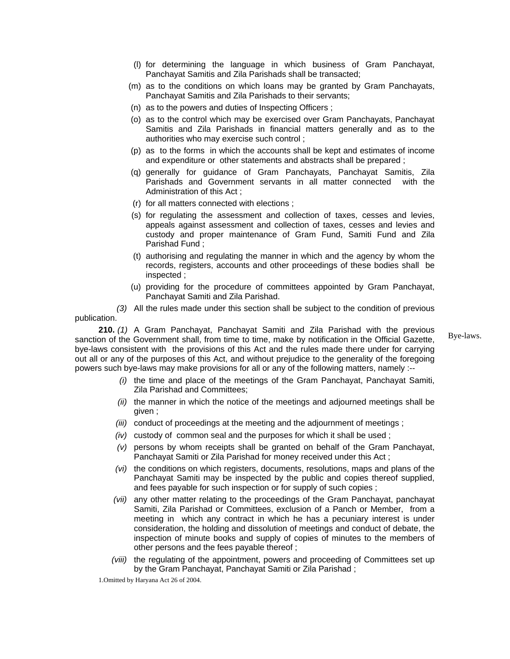- (l) for determining the language in which business of Gram Panchayat, Panchayat Samitis and Zila Parishads shall be transacted;
- (m) as to the conditions on which loans may be granted by Gram Panchayats, Panchayat Samitis and Zila Parishads to their servants;
- (n) as to the powers and duties of Inspecting Officers ;
- (o) as to the control which may be exercised over Gram Panchayats, Panchayat Samitis and Zila Parishads in financial matters generally and as to the authorities who may exercise such control ;
- (p) as to the forms in which the accounts shall be kept and estimates of income and expenditure or other statements and abstracts shall be prepared ;
- (q) generally for guidance of Gram Panchayats, Panchayat Samitis, Zila Parishads and Government servants in all matter connected with the Administration of this Act ;
- (r) for all matters connected with elections ;
- (s) for regulating the assessment and collection of taxes, cesses and levies, appeals against assessment and collection of taxes, cesses and levies and custody and proper maintenance of Gram Fund, Samiti Fund and Zila Parishad Fund ;
- (t) authorising and regulating the manner in which and the agency by whom the records, registers, accounts and other proceedings of these bodies shall be inspected ;
- (u) providing for the procedure of committees appointed by Gram Panchayat, Panchayat Samiti and Zila Parishad.

 *(3)* All the rules made under this section shall be subject to the condition of previous publication.

**210.** *(1)* A Gram Panchayat, Panchayat Samiti and Zila Parishad with the previous sanction of the Government shall, from time to time, make by notification in the Official Gazette, bye-laws consistent with the provisions of this Act and the rules made there under for carrying out all or any of the purposes of this Act, and without prejudice to the generality of the foregoing powers such bye-laws may make provisions for all or any of the following matters, namely :--

Bye-laws.

- *(i)* the time and place of the meetings of the Gram Panchayat, Panchayat Samiti, Zila Parishad and Committees;
- *(ii)* the manner in which the notice of the meetings and adjourned meetings shall be given ;
- *(iii)* conduct of proceedings at the meeting and the adjournment of meetings ;
- *(iv)* custody of common seal and the purposes for which it shall be used ;
- *(v)* persons by whom receipts shall be granted on behalf of the Gram Panchayat, Panchayat Samiti or Zila Parishad for money received under this Act ;
- *(vi)* the conditions on which registers, documents, resolutions, maps and plans of the Panchayat Samiti may be inspected by the public and copies thereof supplied, and fees payable for such inspection or for supply of such copies ;
- *(vii)* any other matter relating to the proceedings of the Gram Panchayat, panchayat Samiti, Zila Parishad or Committees, exclusion of a Panch or Member, from a meeting in which any contract in which he has a pecuniary interest is under consideration, the holding and dissolution of meetings and conduct of debate, the inspection of minute books and supply of copies of minutes to the members of other persons and the fees payable thereof ;
- *(viii)* the regulating of the appointment, powers and proceeding of Committees set up by the Gram Panchayat, Panchayat Samiti or Zila Parishad ;

1.Omitted by Haryana Act 26 of 2004.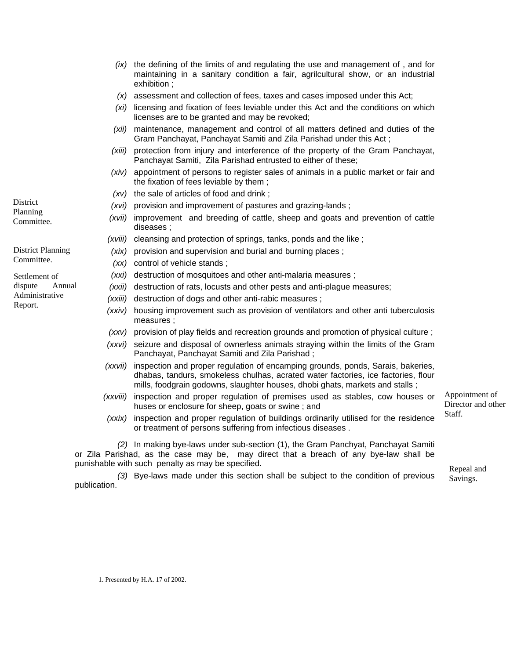- *(ix)* the defining of the limits of and regulating the use and management of , and for maintaining in a sanitary condition a fair, agrilcultural show, or an industrial exhibition ;
- *(x)* assessment and collection of fees, taxes and cases imposed under this Act;
- *(xi)* licensing and fixation of fees leviable under this Act and the conditions on which licenses are to be granted and may be revoked;
- *(xii)* maintenance, management and control of all matters defined and duties of the Gram Panchayat, Panchayat Samiti and Zila Parishad under this Act ;
- *(xiii)* protection from injury and interference of the property of the Gram Panchayat, Panchayat Samiti, Zila Parishad entrusted to either of these;
- *(xiv)* appointment of persons to register sales of animals in a public market or fair and the fixation of fees leviable by them ;
- *(xv)* the sale of articles of food and drink ;
- *(xvi)* provision and improvement of pastures and grazing-lands ;
- *(xvii)* improvement and breeding of cattle, sheep and goats and prevention of cattle diseases ;
- *(xviii)* cleansing and protection of springs, tanks, ponds and the like ;
- *(xix)* provision and supervision and burial and burning places ;
- *(xx)* control of vehicle stands ;
- *(xxi)* destruction of mosquitoes and other anti-malaria measures ;
- *(xxii)* destruction of rats, locusts and other pests and anti-plague measures;
- *(xxiii)* destruction of dogs and other anti-rabic measures ;
- *(xxiv)* housing improvement such as provision of ventilators and other anti tuberculosis measures ;
- *(xxv)* provision of play fields and recreation grounds and promotion of physical culture ;
- *(xxvi)* seizure and disposal of ownerless animals straying within the limits of the Gram Panchayat, Panchayat Samiti and Zila Parishad ;
- *(xxvii)* inspection and proper regulation of encamping grounds, ponds, Sarais, bakeries, dhabas, tandurs, smokeless chulhas, acrated water factories, ice factories, flour mills, foodgrain godowns, slaughter houses, dhobi ghats, markets and stalls ;
- *(xxviii)* inspection and proper regulation of premises used as stables, cow houses or huses or enclosure for sheep, goats or swine ; and
- (xxix) inspection and proper regulation of buildings ordinarily utilised for the residence Staff. or treatment of persons suffering from infectious diseases .

*(2)* In making bye-laws under sub-section (1), the Gram Panchyat, Panchayat Samiti or Zila Parishad, as the case may be, may direct that a breach of any bye-law shall be punishable with such penalty as may be specified.<br>
Repeal and

(3) Bye-laws made under this section shall be subject to the condition of previous  $S_{\text{avings}}$ . publication.

Appointment of Director and other

Committee.

**District** Planning

District Planning Committee.

Settlement of dispute Annual Administrative Report.

1. Presented by H.A. 17 of 2002.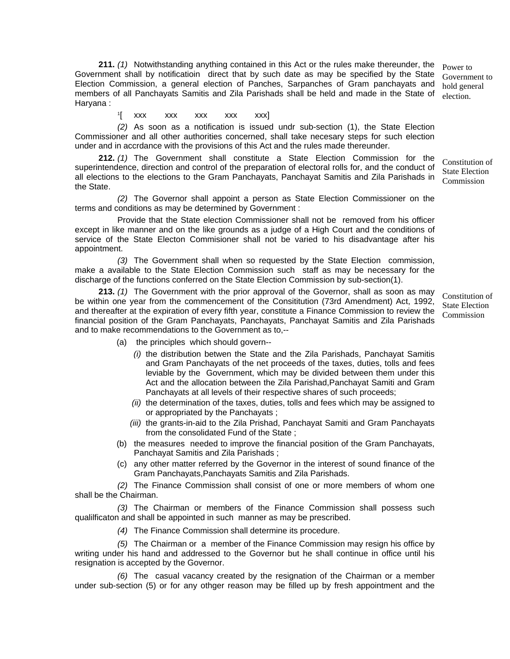**211.** *(1)* Notwithstanding anything contained in this Act or the rules make thereunder, the Government shall by notificatioin direct that by such date as may be specified by the State Election Commission, a general election of Panches, Sarpanches of Gram panchayats and members of all Panchayats Samitis and Zila Parishads shall be held and made in the State of Haryana :

1[ xxx xxx xxx xxx xxx]

*(2)* As soon as a notification is issued undr sub-section (1), the State Election Commissioner and all other authorities concerned, shall take necesary steps for such election under and in accrdance with the provisions of this Act and the rules made thereunder.

**212.** *(1)* The Government shall constitute a State Election Commission for the superintendence, direction and control of the preparation of electoral rolls for, and the conduct of all elections to the elections to the Gram Panchayats, Panchayat Samitis and Zila Parishads in the State. Constitution of State Election Commission

*(2)* The Governor shall appoint a person as State Election Commissioner on the terms and conditions as may be determined by Government :

Provide that the State election Commissioner shall not be removed from his officer except in like manner and on the like grounds as a judge of a High Court and the conditions of service of the State Electon Commisioner shall not be varied to his disadvantage after his appointment.

*(3)* The Government shall when so requested by the State Election commission, make a available to the State Election Commission such staff as may be necessary for the discharge of the functions conferred on the State Election Commission by sub-section(1).

**213.** *(1)* The Government with the prior approval of the Governor, shall as soon as may be within one year from the commencement of the Consititution (73rd Amendment) Act, 1992, and thereafter at the expiration of every fifth year, constitute a Finance Commission to review the financial position of the Gram Panchayats, Panchayats, Panchayat Samitis and Zila Parishads and to make recommendations to the Government as to,--

Constitution of State Election Commission

- (a) the principles which should govern--
	- *(i)* the distribution betwen the State and the Zila Parishads, Panchayat Samitis and Gram Panchayats of the net proceeds of the taxes, duties, tolls and fees leviable by the Government, which may be divided between them under this Act and the allocation between the Zila Parishad,Panchayat Samiti and Gram Panchayats at all levels of their respective shares of such proceeds;
	- *(ii)* the determination of the taxes, duties, tolls and fees which may be assigned to or appropriated by the Panchayats ;
	- *(iii)* the grants-in-aid to the Zila Prishad, Panchayat Samiti and Gram Panchayats from the consolidated Fund of the State ;
- (b) the measures needed to improve the financial position of the Gram Panchayats, Panchayat Samitis and Zila Parishads ;
- (c) any other matter referred by the Governor in the interest of sound finance of the Gram Panchayats,Panchayats Samitis and Zila Parishads.

*(2)* The Finance Commission shall consist of one or more members of whom one shall be the Chairman.

*(3)* The Chairman or members of the Finance Commission shall possess such qualilficaton and shall be appointed in such manner as may be prescribed.

*(4)* The Finance Commission shall determine its procedure.

 *(5)* The Chairman or a member of the Finance Commission may resign his office by writing under his hand and addressed to the Governor but he shall continue in office until his resignation is accepted by the Governor.

*(6)* The casual vacancy created by the resignation of the Chairman or a member under sub-section (5) or for any othger reason may be filled up by fresh appointment and the

Power to Government to hold general election.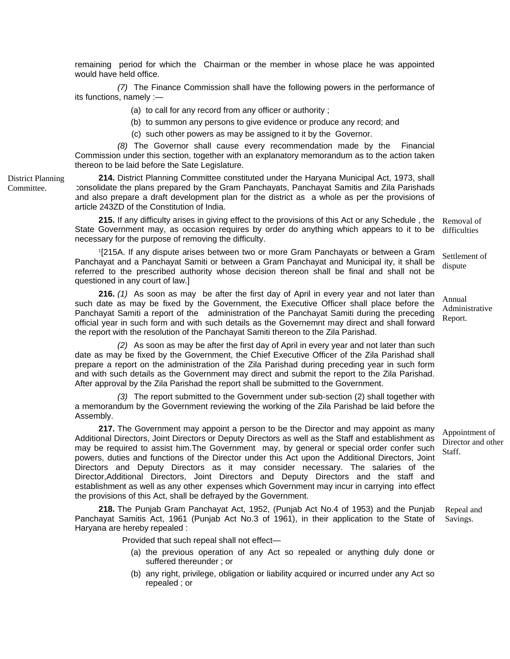remaining period for which the Chairman or the member in whose place he was appointed would have held office.

*(7)* The Finance Commission shall have the following powers in the performance of its functions, namely :—

(a) to call for any record from any officer or authority ;

(b) to summon any persons to give evidence or produce any record; and

(c) such other powers as may be assigned to it by the Governor.

*(8)* The Governor shall cause every recommendation made by the Financial Commission under this section, together with an explanatory memorandum as to the action taken thereon to be laid before the Sate Legislature.

**214.** District Planning Committee constituted under the Haryana Municipal Act, 1973, shall consolidate the plans prepared by the Gram Panchayats, Panchayat Samitis and Zila Parishads and also prepare a draft development plan for the district as a whole as per the provisions of article 243ZD of the Constitution of India.

**215.** If any difficulty arises in giving effect to the provisions of this Act or any Schedule , the State Government may, as occasion requires by order do anything which appears to it to be necessary for the purpose of removing the difficulty. Removal of difficulties

1[215A. If any dispute arises between two or more Gram Panchayats or between a Gram Panchayat and a Panchayat Samiti or between a Gram Panchayat and Municipal ity, it shall be referred to the prescribed authority whose decision thereon shall be final and shall not be questioned in any court of law.] Settlement of dispute

**216.** *(1)* As soon as may be after the first day of April in every year and not later than such date as may be fixed by the Government, the Executive Officer shall place before the Panchayat Samiti a report of the administration of the Panchayat Samiti during the preceding official year in such form and with such details as the Governemnt may direct and shall forward the report with the resolution of the Panchayat Samiti thereon to the Zila Parishad.

*(2)* As soon as may be after the first day of April in every year and not later than such date as may be fixed by the Government, the Chief Executive Officer of the Zila Parishad shall prepare a report on the administration of the Zila Parishad during preceding year in such form and with such details as the Government may direct and submit the report to the Zila Parishad. After approval by the Zila Parishad the report shall be submitted to the Government.

 *(3)* The report submitted to the Government under sub-section (2) shall together with a memorandum by the Government reviewing the working of the Zila Parishad be laid before the Assembly.

**217.** The Government may appoint a person to be the Director and may appoint as many Additional Directors, Joint Directors or Deputy Directors as well as the Staff and establishment as may be required to assist him.The Government may, by general or special order confer such powers, duties and functions of the Director under this Act upon the Additional Directors, Joint Directors and Deputy Directors as it may consider necessary. The salaries of the Director,Additional Directors, Joint Directors and Deputy Directors and the staff and establishment as well as any other expenses which Government may incur in carrying into effect the provisions of this Act, shall be defrayed by the Government. Appointment of Director and other

**218.** The Punjab Gram Panchayat Act, 1952, (Punjab Act No.4 of 1953) and the Punjab Panchayat Samitis Act, 1961 (Punjab Act No.3 of 1961), in their application to the State of Haryana are hereby repealed : Repeal and Savings.

Provided that such repeal shall not effect—

- (a) the previous operation of any Act so repealed or anything duly done or suffered thereunder ; or
- (b) any right, privilege, obligation or liability acquired or incurred under any Act so repealed ; or

District Planning Committee.

Annual Administrative Report.

Staff.